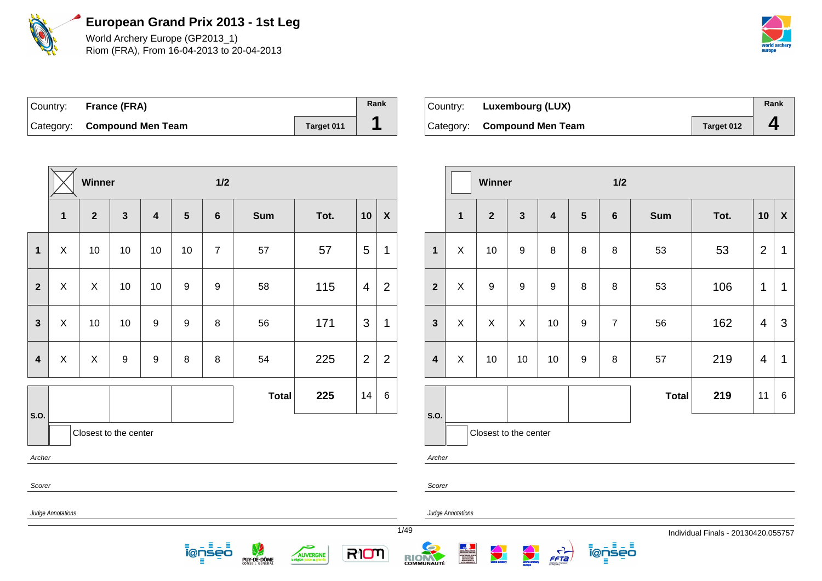

World Archery Europe (GP2013\_1) Riom (FRA), From 16-04-2013 to 20-04-2013



| Country: France (FRA)       |            | Rank |
|-----------------------------|------------|------|
| Category: Compound Men Team | Target 011 |      |

| Country: | <b>Luxembourg (LUX)</b>     |            | Rank |
|----------|-----------------------------|------------|------|
|          | Category: Compound Men Team | Target 012 |      |

|                         |                          | Winner                    |              |    |                | $1/2$                    |                  |               |              |                  |                         |                   | Winner                |              |                                  |                | $1/2$                  |              |                                   |                |                           |
|-------------------------|--------------------------|---------------------------|--------------|----|----------------|--------------------------|------------------|---------------|--------------|------------------|-------------------------|-------------------|-----------------------|--------------|----------------------------------|----------------|------------------------|--------------|-----------------------------------|----------------|---------------------------|
|                         | $\mathbf{1}$             | $\mathbf{2}$              | $\mathbf{3}$ | 4  | $5\phantom{1}$ | 6                        | <b>Sum</b>       | Tot.          | 10           | $\boldsymbol{X}$ |                         | $\mathbf{1}$      | $\overline{2}$        | $\mathbf{3}$ | 4                                | $5\phantom{1}$ | 6                      | Sum          | Tot.                              | 10             | $\boldsymbol{\mathsf{X}}$ |
| $\mathbf{1}$            | X                        | 10                        | 10           | 10 | 10             | $\overline{7}$           | 57               | 57            | 5            | $\mathbf 1$      | $\mathbf{1}$            | X                 | 10                    | 9            | 8                                | 8              | 8                      | 53           | 53                                | $\overline{2}$ | $\overline{1}$            |
| $\overline{2}$          | X                        | $\boldsymbol{\mathsf{X}}$ | 10           | 10 | 9              | 9                        | 58               | 115           | 4            | $\overline{2}$   | $\mathbf{2}$            | X                 | 9                     | 9            | 9                                | 8              | 8                      | 53           | 106                               | $\mathbf{1}$   | $\overline{1}$            |
| $\mathbf{3}$            | X                        | 10                        | 10           | 9  | 9              | 8                        | 56               | 171           | $\mathbf{3}$ | $\mathbf 1$      | $\mathbf{3}$            | X                 | $\sf X$               | $\sf X$      | 10                               | 9              | $\overline{7}$         | 56           | 162                               | $\overline{4}$ | 3                         |
| $\overline{\mathbf{4}}$ | X                        | X                         | 9            | 9  | 8              | 8                        | 54               | 225           | 2            | $\overline{2}$   | $\overline{\mathbf{4}}$ | X                 | 10                    | 10           | 10                               | 9              | 8                      | 57           | 219                               | $\overline{4}$ | $\overline{1}$            |
|                         |                          |                           |              |    |                |                          | <b>Total</b>     | 225           | 14           | 6                |                         |                   |                       |              |                                  |                |                        | <b>Total</b> | 219                               | 11             | 6                         |
| s.o.                    |                          | Closest to the center     |              |    |                |                          |                  |               |              |                  | s.o.                    |                   | Closest to the center |              |                                  |                |                        |              |                                   |                |                           |
| Archer                  |                          |                           |              |    |                |                          |                  |               |              |                  | Archer                  |                   |                       |              |                                  |                |                        |              |                                   |                |                           |
| Scorer                  |                          |                           |              |    |                |                          |                  |               |              |                  | Scorer                  |                   |                       |              |                                  |                |                        |              |                                   |                |                           |
|                         | <b>Judge Annotations</b> |                           |              |    |                | Ξ.<br>- 5<br>ionseo<br>Е | V<br>PUY-DE-DÔME | c<br>AUVERGNE | RIOM         |                  | 1/49<br>RIOM            | Judge Annotations | <b>World archary</b>  |              | $\frac{1}{\sqrt{1-\frac{1}{2}}}$ |                | 4 E 4 E<br>i@nseo<br>目 |              | Individual Finals - 20130420.0557 |                |                           |

Individual Finals - 20130420.055757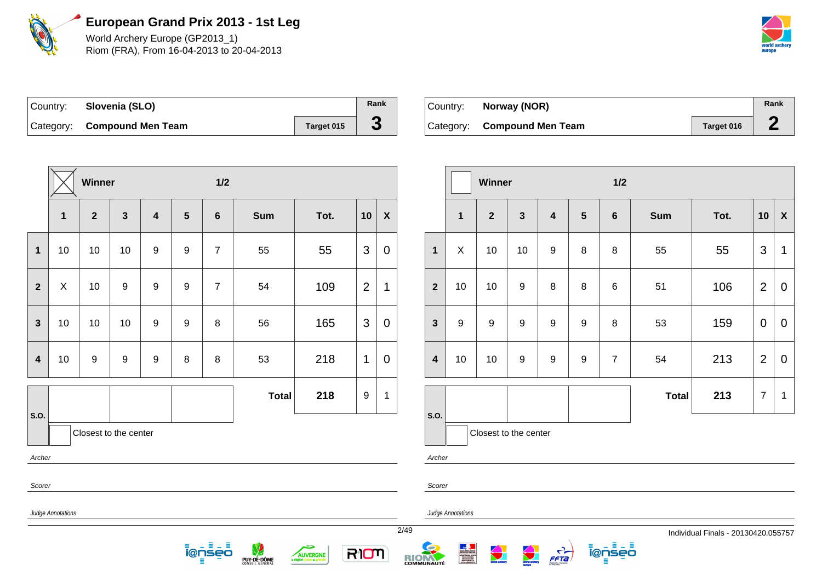

World Archery Europe (GP2013\_1) Riom (FRA), From 16-04-2013 to 20-04-2013



| Country: Slovenia (SLO)     |            | Rank |
|-----------------------------|------------|------|
| Category: Compound Men Team | Target 015 | J.   |

| Country: | Norway (NOR)                |            | Rank |
|----------|-----------------------------|------------|------|
|          | Category: Compound Men Team | Target 016 |      |

|                         |                   | Winner           |                       |                         |                | $1/2$                          |                  |               |                |                  |                         |                          | Winner                |              |                  |                | $1/2$              |              |                                   |                |                           |
|-------------------------|-------------------|------------------|-----------------------|-------------------------|----------------|--------------------------------|------------------|---------------|----------------|------------------|-------------------------|--------------------------|-----------------------|--------------|------------------|----------------|--------------------|--------------|-----------------------------------|----------------|---------------------------|
|                         | $\mathbf 1$       | $\boldsymbol{2}$ | $\mathbf{3}$          | $\overline{\mathbf{4}}$ | $5\phantom{1}$ | $6\phantom{1}$                 | <b>Sum</b>       | Tot.          | 10             | $\boldsymbol{X}$ |                         | $\mathbf{1}$             | $\overline{2}$        | $\mathbf{3}$ | 4                | $5\phantom{1}$ | 6                  | <b>Sum</b>   | Tot.                              | 10             | $\boldsymbol{\mathsf{X}}$ |
| $\mathbf 1$             | 10                | 10               | 10                    | $\boldsymbol{9}$        | 9              | $\overline{7}$                 | 55               | 55            | $\mathbf{3}$   | $\mathbf 0$      | $\mathbf{1}$            | X                        | 10                    | 10           | 9                | 8              | 8                  | 55           | 55                                | $\mathbf{3}$   | $\overline{1}$            |
| $\overline{2}$          | $\pmb{\times}$    | 10               | $9\,$                 | 9                       | 9              | $\overline{7}$                 | 54               | 109           | $\overline{2}$ | $\mathbf 1$      | $\mathbf{2}$            | 10                       | 10                    | 9            | 8                | 8              | 6                  | 51           | 106                               | $\overline{2}$ | $\mathbf 0$               |
| $\mathbf{3}$            | 10                | 10               | 10                    | $\boldsymbol{9}$        | 9              | 8                              | 56               | 165           | $\mathbf{3}$   | $\mathbf 0$      | $\mathbf{3}$            | $9\,$                    | 9                     | 9            | 9                | 9              | 8                  | 53           | 159                               | $\overline{0}$ | $\mathbf 0$               |
| $\overline{\mathbf{4}}$ | 10                | 9                | 9                     | $\boldsymbol{9}$        | 8              | 8                              | 53               | 218           | $\mathbf{1}$   | $\overline{0}$   | $\overline{\mathbf{4}}$ | 10                       | 10                    | 9            | 9                | 9              | $\overline{7}$     | 54           | 213                               | $\overline{2}$ | $\mathbf 0$               |
| S.O.                    |                   |                  |                       |                         |                |                                | <b>Total</b>     | 218           | $9\,$          | $\mathbf{1}$     | s.o.                    |                          |                       |              |                  |                |                    | <b>Total</b> | 213                               | $\overline{7}$ | $\overline{\mathbf{1}}$   |
|                         |                   |                  | Closest to the center |                         |                |                                |                  |               |                |                  |                         |                          | Closest to the center |              |                  |                |                    |              |                                   |                |                           |
| Archer                  |                   |                  |                       |                         |                |                                |                  |               |                |                  | Archer                  |                          |                       |              |                  |                |                    |              |                                   |                |                           |
| Scorer                  |                   |                  |                       |                         |                |                                |                  |               |                |                  | Scorer                  |                          |                       |              |                  |                |                    |              |                                   |                |                           |
|                         | Judge Annotations |                  |                       |                         |                |                                |                  |               |                |                  | 2/49                    | <b>Judge Annotations</b> |                       |              |                  |                |                    |              | Individual Finals - 20130420.0557 |                |                           |
|                         |                   |                  |                       |                         | ≡              | Ξ<br>- ≣<br>i@nseo<br>$\equiv$ | V<br>PUY-DE-DÔME | c<br>AUVERGNE | RION           |                  | RIOM                    |                          | <b>World archary</b>  | world archay | $\frac{1}{5572}$ |                | ionseo<br>$\equiv$ |              |                                   |                |                           |

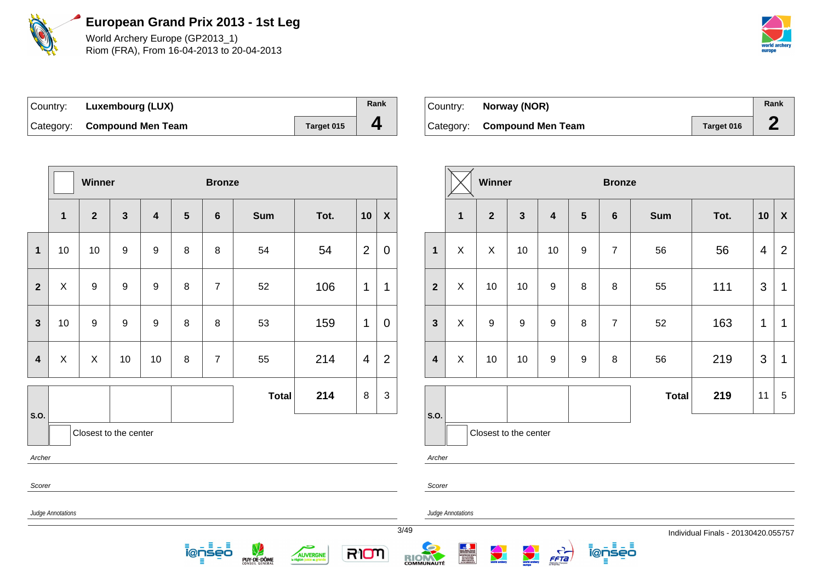

World Archery Europe (GP2013\_1) Riom (FRA), From 16-04-2013 to 20-04-2013



| ⊺Country: | <b>Luxembourg (LUX)</b>     |            | Rank |
|-----------|-----------------------------|------------|------|
|           | Category: Compound Men Team | Target 015 | 4    |

|                         |              | Winner                |                  |                         |                | <b>Bronze</b>  |              |      |                |                    |
|-------------------------|--------------|-----------------------|------------------|-------------------------|----------------|----------------|--------------|------|----------------|--------------------|
|                         | $\mathbf{1}$ | $\overline{2}$        | $\mathbf{3}$     | $\overline{\mathbf{4}}$ | $5\phantom{1}$ | $\bf 6$        | <b>Sum</b>   | Tot. | 10             | $\pmb{\mathsf{X}}$ |
| $\mathbf{1}$            | 10           | 10                    | $\boldsymbol{9}$ | 9                       | 8              | 8              | 54           | 54   | $\overline{2}$ | $\pmb{0}$          |
| $\mathbf{2}$            | X            | 9                     | $\boldsymbol{9}$ | 9                       | 8              | $\overline{7}$ | 52           | 106  | 1              | $\mathbf 1$        |
| $\mathbf{3}$            | 10           | 9                     | $\boldsymbol{9}$ | 9                       | 8              | 8              | 53           | 159  | 1              | 0                  |
| $\overline{\mathbf{4}}$ | X            | X                     | 10               | 10                      | 8              | $\overline{7}$ | 55           | 214  | $\overline{4}$ | $\overline{2}$     |
|                         |              |                       |                  |                         |                |                | <b>Total</b> | 214  | 8              | 3                  |
| S.O.                    |              | Closest to the center |                  |                         |                |                |              |      |                |                    |
| Archer                  |              |                       |                  |                         |                |                |              |      |                |                    |
| Scorer                  |              |                       |                  |                         |                |                |              |      |                |                    |

 $\equiv$ . ≡ <u> ionseo</u>

PUY-DE-DÔME

÷

AUVERGNE

| Country: | Norway (NOR)                |            | Rank      |
|----------|-----------------------------|------------|-----------|
|          | Category: Compound Men Team | Target 016 | $\bullet$ |

|                         |              | Winner                |              |                         |                  | <b>Bronze</b>    |              |      |    |                |
|-------------------------|--------------|-----------------------|--------------|-------------------------|------------------|------------------|--------------|------|----|----------------|
|                         | $\mathbf{1}$ | $\overline{2}$        | $\mathbf{3}$ | $\overline{\mathbf{4}}$ | $5\phantom{1}$   | $\bf 6$          | <b>Sum</b>   | Tot. | 10 | X              |
| $\mathbf{1}$            | X            | X                     | 10           | 10                      | $\boldsymbol{9}$ | $\overline{7}$   | 56           | 56   | 4  | $\overline{2}$ |
| $\overline{2}$          | X            | 10                    | 10           | 9                       | 8                | 8                | 55           | 111  | 3  | 1              |
| $\mathbf{3}$            | X            | 9                     | 9            | $\boldsymbol{9}$        | $\bf 8$          | $\boldsymbol{7}$ | 52           | 163  | 1  | 1              |
| $\overline{\mathbf{4}}$ | X            | 10                    | 10           | $\boldsymbol{9}$        | $\boldsymbol{9}$ | 8                | 56           | 219  | 3  | 1              |
|                         |              |                       |              |                         |                  |                  | <b>Total</b> | 219  | 11 | 5              |
| S.O.                    |              | Closest to the center |              |                         |                  |                  |              |      |    |                |

<u> ĩ@ņsēō</u>

Ξ

Archer

Scorer

RION

Judge Annotations

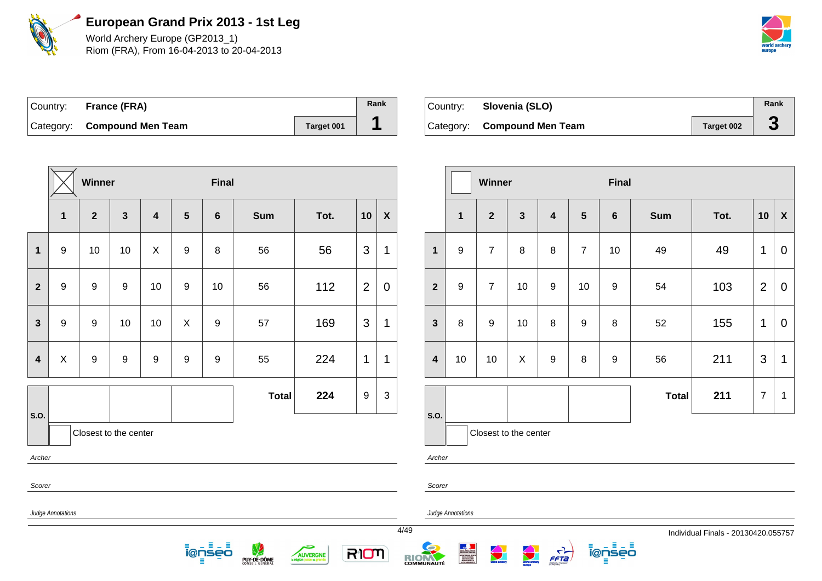

World Archery Europe (GP2013\_1) Riom (FRA), From 16-04-2013 to 20-04-2013



| Country: France (FRA)       |            | Rank |
|-----------------------------|------------|------|
| Category: Compound Men Team | Target 001 |      |

| Country: | Slovenia (SLO)              |            | Rank |
|----------|-----------------------------|------------|------|
|          | Category: Compound Men Team | Target 002 |      |

|                         | <b>Winner</b>                                                                                                          |                       |                  |                         |                  |                  | <b>Final</b> |      |                |              |  |                         |                   | Winn             |
|-------------------------|------------------------------------------------------------------------------------------------------------------------|-----------------------|------------------|-------------------------|------------------|------------------|--------------|------|----------------|--------------|--|-------------------------|-------------------|------------------|
|                         | 1                                                                                                                      | $\overline{2}$        | $\mathbf{3}$     | $\overline{\mathbf{4}}$ | 5                | $6\phantom{a}$   | <b>Sum</b>   | Tot. | 10             | $\pmb{\chi}$ |  |                         | $\mathbf 1$       | $\mathbf{2}$     |
| 1                       | $\boldsymbol{9}$                                                                                                       | 10                    | 10               | $\pmb{\times}$          | $\boldsymbol{9}$ | $\bf 8$          | 56           | 56   | 3              | 1            |  | $\mathbf{1}$            | $9\,$             | $\overline{7}$   |
| $\overline{\mathbf{2}}$ | $\boldsymbol{9}$                                                                                                       | $9\,$                 | 9                | 10                      | $\boldsymbol{9}$ | 10               | 56           | 112  | $\overline{2}$ | $\mathbf 0$  |  | $\overline{2}$          | $\overline{9}$    | $\overline{7}$   |
| $\mathbf{3}$            | $\boldsymbol{9}$                                                                                                       | $\boldsymbol{9}$      | 10               | 10                      | $\mathsf X$      | $\boldsymbol{9}$ | 57           | 169  | 3              | 1            |  | $\mathbf{3}$            | $\bf 8$           | $\boldsymbol{9}$ |
| $\overline{\mathbf{4}}$ | $\mathsf X$                                                                                                            | $\boldsymbol{9}$      | $\boldsymbol{9}$ | $\boldsymbol{9}$        | $\boldsymbol{9}$ | $\boldsymbol{9}$ | 55           | 224  | 1              | 1            |  | $\overline{\mathbf{4}}$ | 10                | 10               |
| S.O.                    |                                                                                                                        |                       |                  |                         |                  |                  | <b>Total</b> | 224  | 9              | $\mathbf{3}$ |  | S.O.                    |                   |                  |
|                         |                                                                                                                        | Closest to the center |                  |                         |                  |                  |              |      |                |              |  |                         |                   | Closest          |
| Archer                  |                                                                                                                        |                       |                  |                         |                  |                  |              |      |                |              |  | Archer                  |                   |                  |
| Scorer                  |                                                                                                                        |                       |                  |                         |                  |                  |              |      |                |              |  | Scorer                  |                   |                  |
|                         | Judge Annotations                                                                                                      |                       |                  |                         |                  |                  |              |      |                |              |  |                         | Judge Annotations |                  |
|                         | 4/49<br>Ξ<br>RION<br>i@nseo<br><b>AUVERGNE</b><br>RIC<br>PUY-DE-DÔME<br>la région juste et p<br>Ξ<br><b>COMMUNAUTÉ</b> |                       |                  |                         |                  |                  |              |      |                |              |  |                         |                   |                  |

|                         |              | Winner                |              |                         |                  | <b>Final</b>   |              |      |                |                    |
|-------------------------|--------------|-----------------------|--------------|-------------------------|------------------|----------------|--------------|------|----------------|--------------------|
|                         | $\mathbf{1}$ | $\overline{2}$        | $\mathbf{3}$ | $\overline{\mathbf{4}}$ | 5                | $6\phantom{1}$ | <b>Sum</b>   | Tot. | 10             | $\pmb{\mathsf{X}}$ |
| $\mathbf{1}$            | 9            | $\overline{7}$        | 8            | 8                       | $\overline{7}$   | 10             | 49           | 49   | 1              | $\mathbf 0$        |
| $\overline{2}$          | 9            | $\overline{7}$        | 10           | 9                       | 10               | $\mathsf g$    | 54           | 103  | $\overline{2}$ | $\mathbf 0$        |
| $\mathbf{3}$            | 8            | 9                     | 10           | 8                       | $\boldsymbol{9}$ | 8              | 52           | 155  | 1              | $\mathbf 0$        |
| $\overline{\mathbf{4}}$ | 10           | 10                    | X            | $\boldsymbol{9}$        | 8                | 9              | 56           | 211  | 3              | $\mathbf 1$        |
|                         |              |                       |              |                         |                  |                | <b>Total</b> | 211  | $\overline{7}$ | $\mathbf 1$        |
| S.O.                    |              | Closest to the center |              |                         |                  |                |              |      |                |                    |

ienseo

 $\frac{1}{\sqrt{1-\frac{1}{2}}}$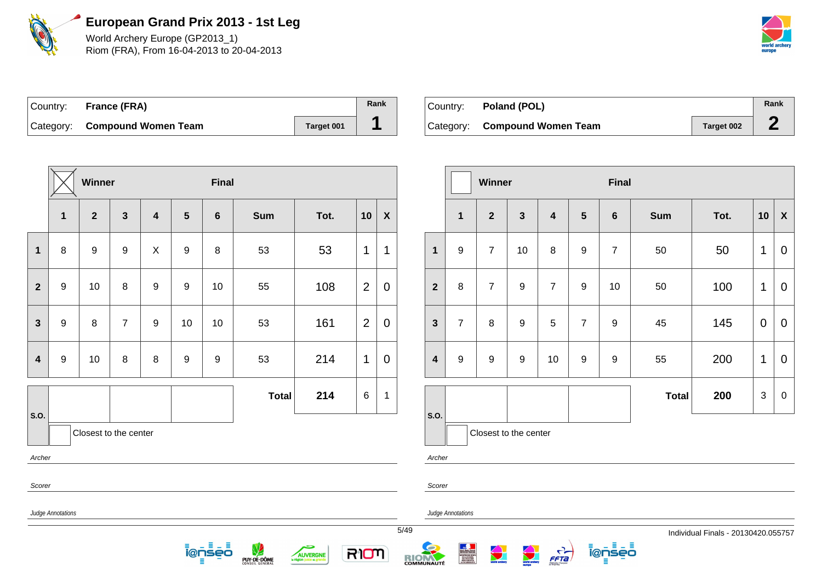

World Archery Europe (GP2013\_1) Riom (FRA), From 16-04-2013 to 20-04-2013



5/49 Individual Finals - 20130420.055757

| Country: | France (FRA)                  |            | Rank |
|----------|-------------------------------|------------|------|
|          | Category: Compound Women Team | Target 001 |      |

| Country: <b>Poland (POL)</b>  |            | Rank   |
|-------------------------------|------------|--------|
| Category: Compound Women Team | Target 002 | $\sim$ |

|                         |                   | Winner                |                         |                         |                  | <b>Final</b>     |              |      |                |              |      |                         |   |
|-------------------------|-------------------|-----------------------|-------------------------|-------------------------|------------------|------------------|--------------|------|----------------|--------------|------|-------------------------|---|
|                         | $\mathbf{1}$      | $\overline{2}$        | $\overline{\mathbf{3}}$ | $\overline{\mathbf{4}}$ | $5\phantom{1}$   | $6\phantom{1}$   | <b>Sum</b>   | Tot. | 10             | $\pmb{\chi}$ |      |                         |   |
| $\mathbf{1}$            | 8                 | $\boldsymbol{9}$      | $\boldsymbol{9}$        | X                       | $\boldsymbol{9}$ | 8                | 53           | 53   | 1              | 1            |      | $\mathbf{1}$            | ς |
| $\overline{\mathbf{2}}$ | $\boldsymbol{9}$  | 10                    | 8                       | $\boldsymbol{9}$        | $\boldsymbol{9}$ | 10               | 55           | 108  | $\overline{2}$ | $\mathbf 0$  |      | $\overline{2}$          | ٤ |
| $\mathbf{3}$            | 9                 | 8                     | $\overline{7}$          | 9                       | 10               | 10               | 53           | 161  | $\overline{2}$ | $\mathbf 0$  |      | $\mathbf{3}$            | 7 |
| $\overline{\mathbf{4}}$ | $\boldsymbol{9}$  | 10                    | $\bf 8$                 | $\bf 8$                 | $\boldsymbol{9}$ | $\boldsymbol{9}$ | 53           | 214  | 1              | $\mathbf 0$  |      | $\overline{\mathbf{4}}$ | Š |
|                         |                   |                       |                         |                         |                  |                  | <b>Total</b> | 214  | 6              | 1            |      |                         |   |
| S.O.                    |                   | Closest to the center |                         |                         |                  |                  |              |      |                |              |      | S.O.                    |   |
| Archer                  |                   |                       |                         |                         |                  |                  |              |      |                |              |      | Archer                  |   |
| Scorer                  |                   |                       |                         |                         |                  |                  |              |      |                |              |      | Scorer                  |   |
|                         | Judge Annotations |                       |                         |                         |                  |                  |              |      |                |              |      | Judge Annota            |   |
|                         |                   |                       |                         |                         |                  |                  |              |      |                |              | 5/49 |                         |   |

<u> ĩ@ņsēō</u>

PUY-DE-DÔME

5

AUVERGNE

RIOM

|                         |                  | Winner                |              |                         |                  | <b>Final</b>     |              |      |    |                           |
|-------------------------|------------------|-----------------------|--------------|-------------------------|------------------|------------------|--------------|------|----|---------------------------|
|                         | $\mathbf{1}$     | $\overline{2}$        | $\mathbf{3}$ | $\overline{\mathbf{4}}$ | 5                | $\bf 6$          | <b>Sum</b>   | Tot. | 10 | $\boldsymbol{\mathsf{X}}$ |
| $\mathbf{1}$            | $\boldsymbol{9}$ | $\overline{7}$        | 10           | 8                       | $\boldsymbol{9}$ | $\overline{7}$   | 50           | 50   | 1  | 0                         |
| $\overline{2}$          | 8                | $\overline{7}$        | 9            | $\overline{7}$          | 9                | 10               | 50           | 100  | 1  | 0                         |
| $\overline{\mathbf{3}}$ | $\overline{7}$   | 8                     | 9            | 5                       | $\overline{7}$   | $\boldsymbol{9}$ | 45           | 145  | 0  | $\pmb{0}$                 |
| $\overline{\mathbf{4}}$ | $\boldsymbol{9}$ | $\boldsymbol{9}$      | 9            | 10                      | $\boldsymbol{9}$ | $\boldsymbol{9}$ | 55           | 200  | 1  | $\mathbf 0$               |
|                         |                  |                       |              |                         |                  |                  | <b>Total</b> | 200  | 3  | 0                         |
| S.O.                    |                  |                       |              |                         |                  |                  |              |      |    |                           |
|                         |                  | Closest to the center |              |                         |                  |                  |              |      |    |                           |

ienseo

 $\frac{1}{5572}$ 

ations

RIOM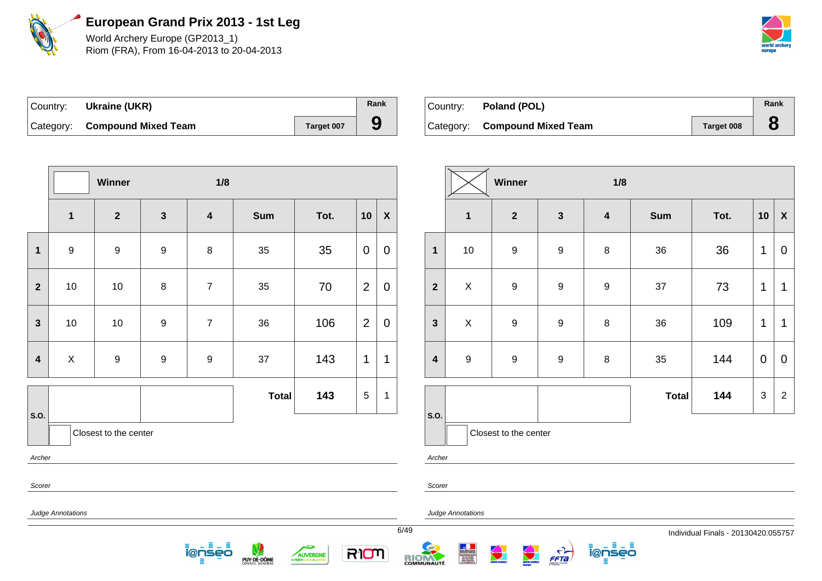

World Archery Europe (GP2013\_1) Riom (FRA), From 16-04-2013 to 20-04-2013



| Country: | Ukraine (UKR)                 |            | Rank |
|----------|-------------------------------|------------|------|
|          | Category: Compound Mixed Team | Target 007 |      |

| ⊺Country: | Poland (POL)                  |            | Rank |
|-----------|-------------------------------|------------|------|
|           | Category: Compound Mixed Team | Target 008 |      |

|                         |                          | Winner                |                  | 1/8                     |              |      |                |                    |
|-------------------------|--------------------------|-----------------------|------------------|-------------------------|--------------|------|----------------|--------------------|
|                         | $\mathbf{1}$             | $\overline{2}$        | $\mathbf{3}$     | $\overline{\mathbf{4}}$ | Sum          | Tot. | 10             | $\pmb{\mathsf{X}}$ |
| $\mathbf 1$             | $\boldsymbol{9}$         | $\boldsymbol{9}$      | $\boldsymbol{9}$ | $\bf 8$                 | 35           | 35   | $\pmb{0}$      | $\mathbf 0$        |
| $\overline{2}$          | $10$                     | $10$                  | $\bf 8$          | $\overline{7}$          | 35           | 70   | $\overline{2}$ | $\mathbf 0$        |
| 3                       | $10$                     | $10$                  | $\boldsymbol{9}$ | $\overline{7}$          | 36           | 106  | $\mathbf{2}$   | $\mathbf 0$        |
| $\overline{\mathbf{4}}$ | X                        | $\boldsymbol{9}$      | $\boldsymbol{9}$ | 9                       | 37           | 143  | 1              | 1                  |
|                         |                          |                       |                  |                         | <b>Total</b> | 143  | 5              | 1                  |
| S.O.                    |                          | Closest to the center |                  |                         |              |      |                |                    |
| Archer<br>Scorer        |                          |                       |                  |                         |              |      |                |                    |
|                         | <b>Judge Annotations</b> |                       |                  |                         |              |      |                |                    |

<u> ionseo</u> 目

**PUY-DE-DÔME** 

5

AUVERGNE

RION

|                         |                         | Winner                  |                  | 1/8                     |              |      |             |                    |
|-------------------------|-------------------------|-------------------------|------------------|-------------------------|--------------|------|-------------|--------------------|
|                         | $\overline{\mathbf{1}}$ | $\overline{\mathbf{2}}$ | $\mathbf{3}$     | $\overline{\mathbf{4}}$ | <b>Sum</b>   | Tot. | 10          | $\pmb{\mathsf{X}}$ |
| $\mathbf{1}$            | $10$                    | $\boldsymbol{9}$        | $\boldsymbol{9}$ | 8                       | 36           | 36   | 1           | 0                  |
| $\overline{2}$          | $\pmb{\times}$          | $\boldsymbol{9}$        | $\boldsymbol{9}$ | 9                       | 37           | 73   | 1           | 1                  |
| $\mathbf{3}$            | X                       | $\boldsymbol{9}$        | $\boldsymbol{9}$ | 8                       | 36           | 109  | 1           | $\mathbf 1$        |
| $\overline{\mathbf{4}}$ | $\boldsymbol{9}$        | 9                       | 9                | 8                       | 35           | 144  | $\mathbf 0$ | $\mathbf 0$        |
|                         |                         |                         |                  |                         | <b>Total</b> | 144  | 3           | $\overline{2}$     |
| S.O.                    |                         | Closest to the center   |                  |                         |              |      |             |                    |

Archer

Judge Annotations

RIOM



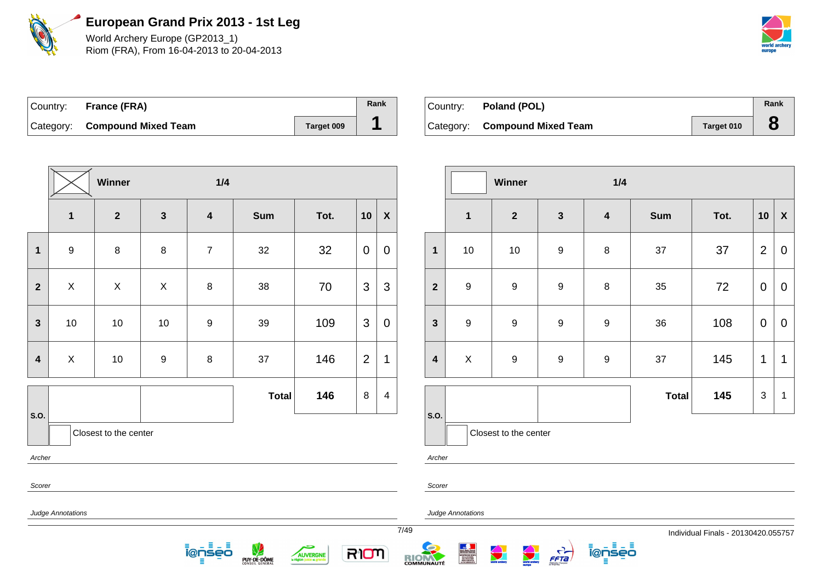

World Archery Europe (GP2013\_1) Riom (FRA), From 16-04-2013 to 20-04-2013



| Country: France (FRA)         |            | Rank |
|-------------------------------|------------|------|
| Category: Compound Mixed Team | Target 009 |      |

| Country: Poland (POL)         |            | Rank |
|-------------------------------|------------|------|
| Category: Compound Mixed Team | Target 010 |      |

|                         |                          | <b>Winner</b>           |                  | 1/4                     |              |      |                |                         |
|-------------------------|--------------------------|-------------------------|------------------|-------------------------|--------------|------|----------------|-------------------------|
|                         | $\mathbf{1}$             | $\overline{\mathbf{2}}$ | $\mathbf{3}$     | $\overline{\mathbf{4}}$ | Sum          | Tot. | 10             | $\pmb{\chi}$            |
| $\mathbf 1$             | $\boldsymbol{9}$         | 8                       | 8                | $\overline{7}$          | 32           | 32   | $\mathbf 0$    | $\pmb{0}$               |
| $\overline{\mathbf{2}}$ | $\mathsf X$              | X                       | $\pmb{\times}$   | $\bf 8$                 | 38           | 70   | $\mathfrak{S}$ | $\mathfrak{S}$          |
| $\mathbf{3}$            | $10$                     | $10\,$                  | 10               | $\boldsymbol{9}$        | 39           | 109  | 3              | $\pmb{0}$               |
| $\overline{\mathbf{4}}$ | $\mathsf X$              | 10                      | $\boldsymbol{9}$ | $\bf 8$                 | 37           | 146  | $\overline{2}$ | $\mathbf 1$             |
|                         |                          |                         |                  |                         | <b>Total</b> | 146  | 8              | $\overline{\mathbf{4}}$ |
| S.O.                    |                          | Closest to the center   |                  |                         |              |      |                |                         |
| Archer                  |                          |                         |                  |                         |              |      |                |                         |
| Scorer                  |                          |                         |                  |                         |              |      |                |                         |
|                         | <b>Judge Annotations</b> |                         |                  |                         |              |      |                |                         |

<u> ĩ@ņsឺēo</u> E

**PUY-DE-DÔME** 

5

AUVERGNE

RION

|                         |                  | Winner                |                  | 1/4                     |              |      |                |                  |
|-------------------------|------------------|-----------------------|------------------|-------------------------|--------------|------|----------------|------------------|
|                         | $\mathbf 1$      | $\mathbf{2}$          | $\mathbf{3}$     | $\overline{\mathbf{4}}$ | <b>Sum</b>   | Tot. | 10             | $\pmb{\chi}$     |
| $\mathbf{1}$            | $10$             | 10                    | $\boldsymbol{9}$ | $\bf 8$                 | 37           | 37   | $\overline{2}$ | $\boldsymbol{0}$ |
| $\overline{2}$          | $\boldsymbol{9}$ | $\boldsymbol{9}$      | $\boldsymbol{9}$ | $\bf 8$                 | 35           | 72   | $\mathbf 0$    | $\mathbf 0$      |
| $\mathbf{3}$            | $\boldsymbol{9}$ | $\boldsymbol{9}$      | $\boldsymbol{9}$ | $\boldsymbol{9}$        | 36           | 108  | $\mathbf 0$    | $\mathbf 0$      |
| $\overline{\mathbf{4}}$ | $\pmb{\times}$   | $\boldsymbol{9}$      | $\boldsymbol{9}$ | $\boldsymbol{9}$        | 37           | 145  | 1              | 1                |
|                         |                  |                       |                  |                         | <b>Total</b> | 145  | 3              | $\mathbf 1$      |
| S.O.                    |                  | Closest to the center |                  |                         |              |      |                |                  |

ienseo

Ξ

Archer

Scorer

Judge Annotations

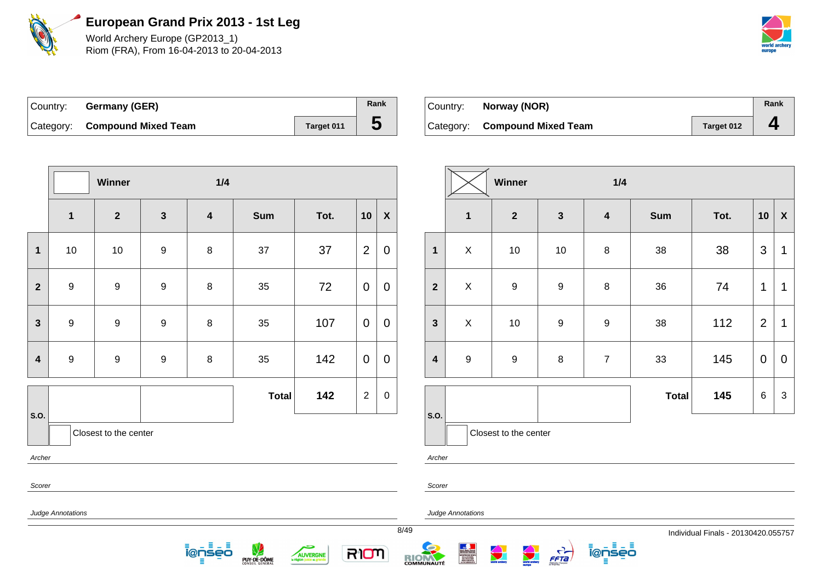

World Archery Europe (GP2013\_1) Riom (FRA), From 16-04-2013 to 20-04-2013



| Country: Germany (GER)        |            | Rank |
|-------------------------------|------------|------|
| Category: Compound Mixed Team | Target 011 | C    |

| Country: | Norway (NOR)                  |            | Rank |
|----------|-------------------------------|------------|------|
|          | Category: Compound Mixed Team | Target 012 |      |

|                         |                                         | Winner           |                  | 1/4                     |              |      |                |              |      |                         |                   |
|-------------------------|-----------------------------------------|------------------|------------------|-------------------------|--------------|------|----------------|--------------|------|-------------------------|-------------------|
|                         | $\mathbf 1$                             | $\overline{2}$   | $\mathbf{3}$     | $\overline{\mathbf{4}}$ | Sum          | Tot. | 10             | $\pmb{\chi}$ |      |                         | 1                 |
| $\mathbf 1$             | $10\,$                                  | 10               | $\boldsymbol{9}$ | $\bf 8$                 | 37           | 37   | $\overline{2}$ | $\mathbf 0$  |      | $\overline{\mathbf{1}}$ | $\mathsf X$       |
| $\mathbf{2}$            | $\boldsymbol{9}$                        | $\boldsymbol{9}$ | $\boldsymbol{9}$ | $\bf 8$                 | 35           | 72   | $\mathbf 0$    | $\mathbf 0$  |      | $\mathbf{2}$            | $\mathsf X$       |
| $\mathbf{3}$            | $\boldsymbol{9}$                        | $\boldsymbol{9}$ | $\boldsymbol{9}$ | $\bf 8$                 | $35\,$       | 107  | $\mathbf 0$    | $\mathbf 0$  |      | $\mathbf{3}$            | $\mathsf X$       |
| $\overline{\mathbf{4}}$ | $\boldsymbol{9}$                        | $\boldsymbol{9}$ | $\boldsymbol{9}$ | $\bf 8$                 | 35           | 142  | $\mathbf 0$    | $\pmb{0}$    |      | $\overline{\mathbf{4}}$ | $\boldsymbol{9}$  |
|                         |                                         |                  |                  |                         | <b>Total</b> | 142  | $\overline{2}$ | $\mathbf 0$  |      |                         |                   |
|                         | S.O.<br>Closest to the center<br>Archer |                  |                  |                         |              |      |                |              |      | S.O.<br>Archer          | Clos              |
| Scorer                  |                                         |                  |                  |                         |              |      |                |              |      | Scorer                  |                   |
|                         | Judge Annotations                       |                  |                  |                         |              |      |                |              | 8/49 |                         | Judge Annotations |

Æ

5

AUVERGNE

RIOM

ienseo

PUY-DE-DÔME

|                         |                  | Winner                |                  | 1/4                     |              |      |                |                  |
|-------------------------|------------------|-----------------------|------------------|-------------------------|--------------|------|----------------|------------------|
|                         | $\mathbf 1$      | $\overline{2}$        | $\mathbf{3}$     | $\overline{\mathbf{4}}$ | <b>Sum</b>   | Tot. | 10             | $\boldsymbol{X}$ |
| 1                       | X                | $10$                  | 10               | $\bf 8$                 | 38           | 38   | 3              | 1                |
| $\overline{2}$          | X                | $\overline{9}$        | $\boldsymbol{9}$ | $\bf 8$                 | 36           | 74   | 1              | 1                |
| $\mathbf{3}$            | X                | $10$                  | $\boldsymbol{9}$ | $\boldsymbol{9}$        | 38           | 112  | $\overline{2}$ | 1                |
| $\overline{\mathbf{4}}$ | $\boldsymbol{9}$ | $\boldsymbol{9}$      | $\bf 8$          | $\overline{7}$          | 33           | 145  | 0              | $\mathbf 0$      |
|                         |                  |                       |                  |                         | <b>Total</b> | 145  | 6              | 3                |
| S.O.                    |                  | Closest to the center |                  |                         |              |      |                |                  |

ienseo

 $\frac{1}{\sqrt{1-\frac{1}{2}}}$ 

RIOM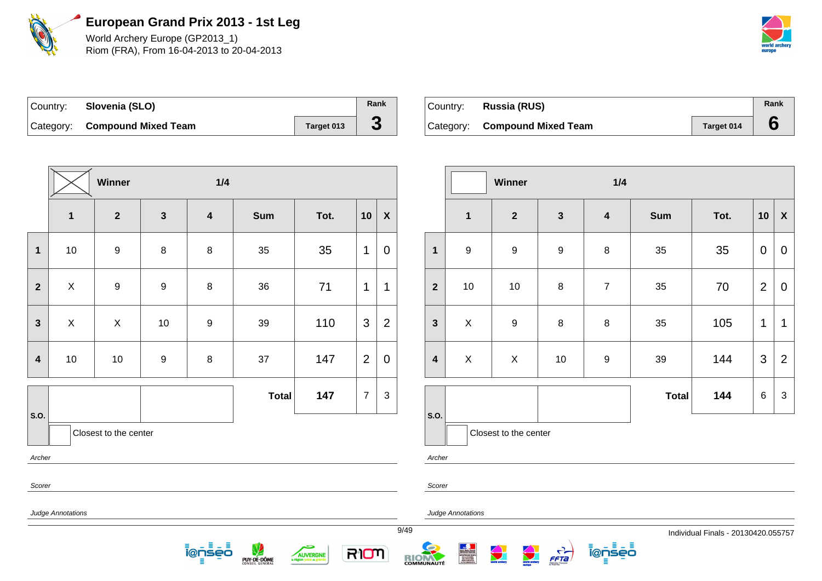

World Archery Europe (GP2013\_1) Riom (FRA), From 16-04-2013 to 20-04-2013



| Country: Slovenia (SLO)       |            | Rank |
|-------------------------------|------------|------|
| Category: Compound Mixed Team | Target 013 | J.   |

| ⊺Country: | <b>Russia (RUS)</b>           |            | Rank |
|-----------|-------------------------------|------------|------|
|           | Category: Compound Mixed Team | Target 014 |      |

|                         |                   | Winner                  |                  | 1/4                     |              |      |                |                |        |                         |
|-------------------------|-------------------|-------------------------|------------------|-------------------------|--------------|------|----------------|----------------|--------|-------------------------|
|                         | $\mathbf 1$       | $\overline{\mathbf{2}}$ | $\mathbf{3}$     | $\overline{\mathbf{4}}$ | Sum          | Tot. | 10             | $\pmb{\chi}$   |        |                         |
| $\mathbf 1$             | $10$              | $\boldsymbol{9}$        | $\bf 8$          | $\, 8$                  | 35           | 35   | 1              | $\mathbf 0$    |        | $\mathbf 1$             |
| $\overline{2}$          | $\mathsf X$       | $\boldsymbol{9}$        | $\boldsymbol{9}$ | $\, 8$                  | 36           | 71   | 1              | $\mathbf 1$    |        | $\overline{\mathbf{2}}$ |
| $\mathbf{3}$            | $\mathsf X$       | X                       | $10$             | $\boldsymbol{9}$        | 39           | 110  | 3              | $\overline{2}$ |        | $\mathbf{3}$            |
| $\overline{\mathbf{4}}$ | $10$              | $10$                    | $\boldsymbol{9}$ | $\bf 8$                 | 37           | 147  | $\overline{2}$ | $\mathbf 0$    |        | $\overline{\mathbf{4}}$ |
| S.O.                    |                   |                         |                  |                         | <b>Total</b> | 147  | $\overline{7}$ | $\mathbf{3}$   |        | S.O.                    |
| Closest to the center   |                   |                         |                  |                         |              |      |                |                |        |                         |
| Archer                  |                   |                         |                  |                         |              |      |                |                | Archer |                         |
| Scorer                  |                   |                         |                  |                         |              |      |                |                |        | Scorer                  |
|                         | Judge Annotations |                         |                  |                         |              |      |                |                | 0110   | Judge                   |

<u> ionseo</u> E

PUY-DE-DÔME

5

AUVERGNE

RION

|                         |                  | <b>Winner</b>         |                  | 1/4              |              |      |                |                           |
|-------------------------|------------------|-----------------------|------------------|------------------|--------------|------|----------------|---------------------------|
|                         | $\mathbf{1}$     | $\overline{2}$        | $\mathbf{3}$     | $\boldsymbol{4}$ | <b>Sum</b>   | Tot. | 10             | $\boldsymbol{\mathsf{X}}$ |
| $\mathbf{1}$            | $\boldsymbol{9}$ | $\boldsymbol{9}$      | $\boldsymbol{9}$ | $\,8\,$          | 35           | 35   | $\mathbf 0$    | $\mathbf 0$               |
| $\overline{2}$          | $10$             | $10$                  | $\bf 8$          | $\overline{7}$   | 35           | 70   | $\overline{2}$ | $\mathbf 0$               |
| $\mathbf{3}$            | X                | $\boldsymbol{9}$      | 8                | $\bf 8$          | 35           | 105  | 1              | 1                         |
| $\overline{\mathbf{4}}$ | $\pmb{\times}$   | Χ                     | $10$             | 9                | 39           | 144  | 3              | $\overline{2}$            |
|                         |                  |                       |                  |                  | <b>Total</b> | 144  | 6              | $\mathfrak{S}$            |
| S.O.                    |                  | Closest to the center |                  |                  |              |      |                |                           |

ienseo

Ξ

Archer

Judge Annotations

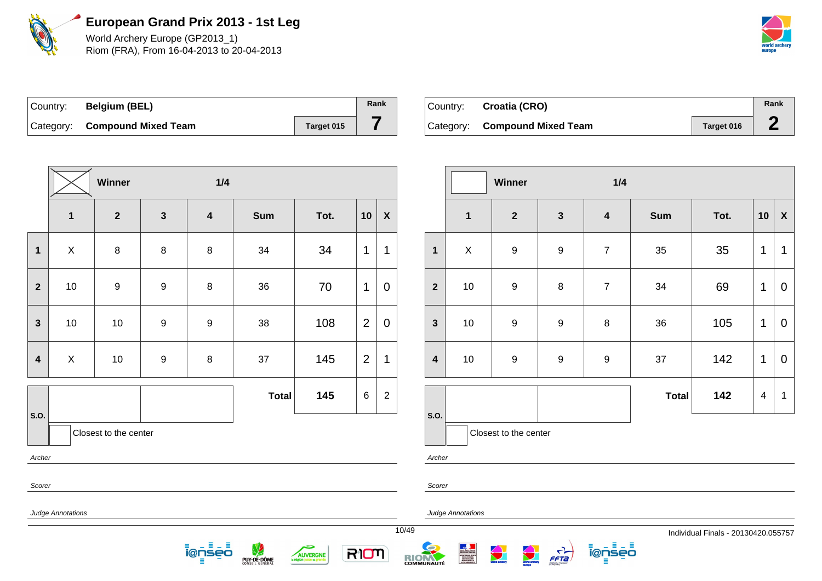

World Archery Europe (GP2013\_1) Riom (FRA), From 16-04-2013 to 20-04-2013



| ∣Country: | <b>Belgium (BEL)</b>          |            | Rank |
|-----------|-------------------------------|------------|------|
|           | Category: Compound Mixed Team | Target 015 |      |

| Country: Croatia (CRO)        |            | Rank |
|-------------------------------|------------|------|
| Category: Compound Mixed Team | Target 016 |      |

|                         |                           | Winner                |                  | 1/4                     |              |      |                |                    |       |
|-------------------------|---------------------------|-----------------------|------------------|-------------------------|--------------|------|----------------|--------------------|-------|
|                         | $\mathbf{1}$              | $\overline{2}$        | $\mathbf{3}$     | $\overline{\mathbf{4}}$ | Sum          | Tot. | 10             | $\pmb{\mathsf{X}}$ |       |
| $\mathbf 1$             | $\boldsymbol{\mathsf{X}}$ | $\bf 8$               | $\bf 8$          | $\bf 8$                 | 34           | 34   | 1              | $\mathbf 1$        |       |
| $\mathbf{2}$            | 10                        | $\boldsymbol{9}$      | $\boldsymbol{9}$ | $\bf 8$                 | 36           | 70   | 1              | $\mathbf 0$        |       |
| $\mathbf{3}$            | 10                        | 10                    | $\boldsymbol{9}$ | $\boldsymbol{9}$        | 38           | 108  | $\overline{2}$ | $\mathbf 0$        |       |
| $\overline{\mathbf{4}}$ | $\mathsf X$               | $10$                  | $\boldsymbol{9}$ | $\bf 8$                 | 37           | 145  | $\overline{2}$ | $\mathbf 1$        |       |
|                         |                           |                       |                  |                         | <b>Total</b> | 145  | $\,6$          | $\mathbf 2$        |       |
| S.O.                    |                           | Closest to the center |                  |                         |              |      |                |                    |       |
| Archer                  |                           |                       |                  |                         |              |      |                |                    |       |
| Scorer                  |                           |                       |                  |                         |              |      |                |                    |       |
|                         | Judge Annotations         |                       |                  |                         |              |      |                |                    | 10/49 |

– ≣ ienseo - 5

**PUY-DE-DÔME** 

÷

AUVERGNE

RIOM

|                         |              | <b>Winner</b>         |                  | 1/4                     |              |      |                         |                           |
|-------------------------|--------------|-----------------------|------------------|-------------------------|--------------|------|-------------------------|---------------------------|
|                         | $\mathbf{1}$ | $\mathbf{2}$          | $\mathbf{3}$     | $\overline{\mathbf{4}}$ | <b>Sum</b>   | Tot. | 10                      | $\boldsymbol{\mathsf{X}}$ |
| $\mathbf{1}$            | $\mathsf X$  | $\boldsymbol{9}$      | $\boldsymbol{9}$ | $\overline{7}$          | 35           | 35   | $\mathbf 1$             | 1                         |
| $\overline{2}$          | $10$         | 9                     | $\bf 8$          | $\overline{7}$          | 34           | 69   | $\mathbf 1$             | $\pmb{0}$                 |
| $\mathbf{3}$            | $10$         | $\boldsymbol{9}$      | $\boldsymbol{9}$ | 8                       | 36           | 105  | $\mathbf 1$             | $\pmb{0}$                 |
| $\overline{\mathbf{4}}$ | $10$         | $\boldsymbol{9}$      | $\boldsymbol{9}$ | $\boldsymbol{9}$        | 37           | 142  | 1                       | $\pmb{0}$                 |
|                         |              |                       |                  |                         | <b>Total</b> | 142  | $\overline{\mathbf{4}}$ | $\mathbf 1$               |
| S.O.                    |              | Closest to the center |                  |                         |              |      |                         |                           |

rcher

udge Annotations

RIOM

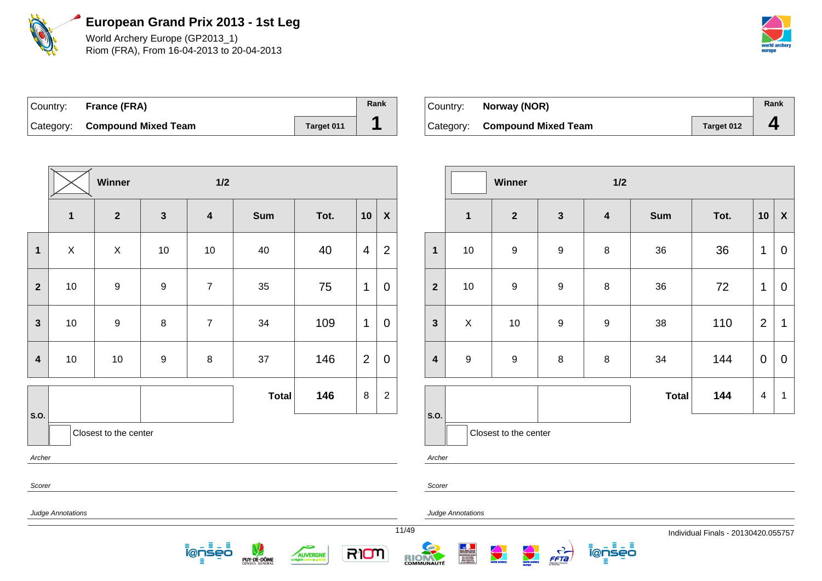

World Archery Europe (GP2013\_1) Riom (FRA), From 16-04-2013 to 20-04-2013



| Country: France (FRA)         |                   | Rank |
|-------------------------------|-------------------|------|
| Category: Compound Mixed Team | <b>Target 011</b> |      |

| Country: <b>Norway (NOR)</b>  |            | Rank |
|-------------------------------|------------|------|
| Category: Compound Mixed Team | Target 012 | д    |

|                         |                   | Winner                |                  | $1/2$                   |              |      |                |                           |       |                         |                |
|-------------------------|-------------------|-----------------------|------------------|-------------------------|--------------|------|----------------|---------------------------|-------|-------------------------|----------------|
|                         | $\mathbf{1}$      | $\overline{2}$        | $\mathbf{3}$     | $\overline{\mathbf{4}}$ | <b>Sum</b>   | Tot. | 10             | $\boldsymbol{\mathsf{X}}$ |       |                         | 1              |
| $\mathbf 1$             | $\mathsf X$       | $\pmb{\times}$        | 10               | 10                      | 40           | 40   | 4              | $\overline{2}$            |       | $\mathbf{1}$            | 1 <sub>1</sub> |
| $\mathbf{2}$            | $10$              | 9                     | $\boldsymbol{9}$ | $\overline{7}$          | 35           | 75   | 1              | $\mathbf 0$               |       | $\mathbf{2}$            | 1 <sub>1</sub> |
| $\mathbf{3}$            | $10$              | $\boldsymbol{9}$      | $\bf 8$          | $\overline{7}$          | 34           | 109  | 1              | $\mathbf 0$               |       | $\mathbf{3}$            | $\lambda$      |
| $\overline{\mathbf{4}}$ | $10$              | 10                    | $\boldsymbol{9}$ | 8                       | 37           | 146  | $\overline{2}$ | $\mathbf 0$               |       | $\overline{\mathbf{4}}$ | ç              |
|                         |                   |                       |                  |                         | <b>Total</b> | 146  | 8              | $\overline{2}$            |       |                         |                |
| S.O.                    |                   | Closest to the center |                  |                         |              |      |                |                           |       | S.O.                    |                |
| Archer                  |                   |                       |                  |                         |              |      |                |                           |       | Archer                  |                |
| Scorer                  |                   |                       |                  |                         |              |      |                |                           |       | Scorer                  |                |
|                         | Judge Annotations |                       |                  |                         |              |      |                |                           |       |                         | Judge Annota   |
|                         |                   |                       |                  |                         |              |      |                |                           | 11/49 |                         |                |

. ≣ – ≣

5

AUVERGNE

RIOM

ienseo

PUY-DE-DÔME

|                         |                  | Winner                  |                  | 1/2                     |              |      |                |                           |
|-------------------------|------------------|-------------------------|------------------|-------------------------|--------------|------|----------------|---------------------------|
|                         | $\mathbf 1$      | $\overline{\mathbf{2}}$ | $\mathbf{3}$     | $\overline{\mathbf{4}}$ | <b>Sum</b>   | Tot. | 10             | $\boldsymbol{\mathsf{X}}$ |
| $\mathbf{1}$            | $10\,$           | $\boldsymbol{9}$        | $\boldsymbol{9}$ | $\,8\,$                 | 36           | 36   | 1              | $\mathbf 0$               |
| $\overline{2}$          | $10$             | $\boldsymbol{9}$        | $\boldsymbol{9}$ | $\,8\,$                 | 36           | 72   | 1              | 0                         |
| $\mathbf{3}$            | X                | $10$                    | $\boldsymbol{9}$ | $\boldsymbol{9}$        | 38           | 110  | $\overline{2}$ | 1                         |
| $\overline{\mathbf{4}}$ | $\boldsymbol{9}$ | $\mathsf g$             | $\bf 8$          | $\,8\,$                 | 34           | 144  | $\mathbf 0$    | 0                         |
|                         |                  |                         |                  |                         | <b>Total</b> | 144  | $\overline{4}$ | 1                         |
| S.O.                    |                  | Closest to the center   |                  |                         |              |      |                |                           |

otations

RIOM

 $\frac{C}{FFA}$ 

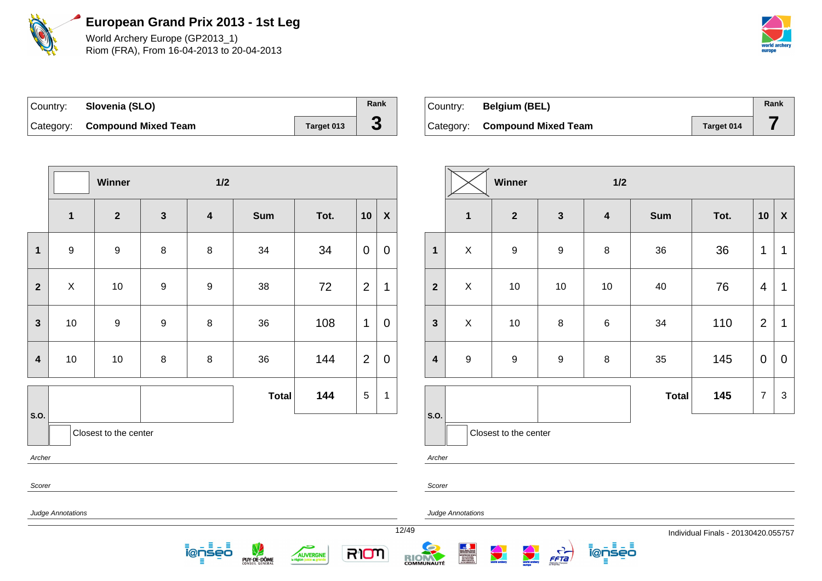

World Archery Europe (GP2013\_1) Riom (FRA), From 16-04-2013 to 20-04-2013



| Country: Slovenia (SLO)       |            | Rank |
|-------------------------------|------------|------|
| Category: Compound Mixed Team | Target 013 | C.   |

| Country: | <b>Belgium (BEL)</b>          |            | Rank |
|----------|-------------------------------|------------|------|
|          | Category: Compound Mixed Team | Target 014 |      |

|                         |                   | Winner                |                  | $1/2$                   |              |      |                |                    |       |                         |              |
|-------------------------|-------------------|-----------------------|------------------|-------------------------|--------------|------|----------------|--------------------|-------|-------------------------|--------------|
|                         | $\mathbf{1}$      | $\mathbf{2}$          | $\mathbf{3}$     | $\overline{\mathbf{4}}$ | <b>Sum</b>   | Tot. | 10             | $\pmb{\mathsf{X}}$ |       |                         | 1            |
| 1                       | $\boldsymbol{9}$  | $\boldsymbol{9}$      | 8                | 8                       | 34           | 34   | $\overline{0}$ | $\mathbf 0$        |       | $\mathbf{1}$            | $\lambda$    |
| $\overline{\mathbf{2}}$ | $\mathsf X$       | $10$                  | $\boldsymbol{9}$ | $\boldsymbol{9}$        | 38           | 72   | $\overline{2}$ | 1                  |       | $\overline{2}$          | $\lambda$    |
| $\mathbf{3}$            | $10$              | $\boldsymbol{9}$      | $\boldsymbol{9}$ | $\bf 8$                 | 36           | 108  | 1              | $\mathbf 0$        |       | $\mathbf{3}$            | $\lambda$    |
| $\boldsymbol{4}$        | $10$              | $10$                  | 8                | 8                       | 36           | 144  | $\overline{2}$ | $\mathbf 0$        |       | $\overline{\mathbf{4}}$ | 9            |
|                         |                   |                       |                  |                         | <b>Total</b> | 144  | 5              | $\mathbf{1}$       |       |                         |              |
| S.O.                    |                   | Closest to the center |                  |                         |              |      |                |                    |       | S.O.                    |              |
| Archer                  |                   |                       |                  |                         |              |      |                |                    |       | Archer                  |              |
| Scorer                  |                   |                       |                  |                         |              |      |                |                    |       | Scorer                  |              |
|                         | Judge Annotations |                       |                  |                         |              |      |                |                    |       |                         | Judge Annota |
|                         |                   |                       |                  |                         |              |      |                |                    | 12/49 |                         |              |

目 ienseo

PUY-DE-DÔME

5

AUVERGNE

RIOM

|                         |                  | <b>Winner</b><br>1/2  |                  |                         |              |      |                |                    |  |
|-------------------------|------------------|-----------------------|------------------|-------------------------|--------------|------|----------------|--------------------|--|
|                         | $\mathbf 1$      | $\mathbf{2}$          | $\mathbf{3}$     | $\overline{\mathbf{4}}$ | <b>Sum</b>   | Tot. | 10             | $\pmb{\mathsf{X}}$ |  |
| $\mathbf{1}$            | $\mathsf X$      | $\boldsymbol{9}$      | $\boldsymbol{9}$ | 8                       | 36           | 36   | 1              | $\mathbf 1$        |  |
| $\overline{2}$          | X                | $10$                  | 10               | $10$                    | 40           | 76   | $\overline{4}$ | $\mathbf 1$        |  |
| $\mathbf{3}$            | $\mathsf X$      | $10\,$                | $\bf 8$          | 6                       | 34           | 110  | $\overline{2}$ | 1                  |  |
| $\overline{\mathbf{4}}$ | $\boldsymbol{9}$ | $\boldsymbol{9}$      | $\boldsymbol{9}$ | 8                       | 35           | 145  | $\mathbf 0$    | $\overline{0}$     |  |
|                         |                  |                       |                  |                         | <b>Total</b> | 145  | $\overline{7}$ | 3                  |  |
| S.O.                    |                  | Closest to the center |                  |                         |              |      |                |                    |  |

Itions

RIOM



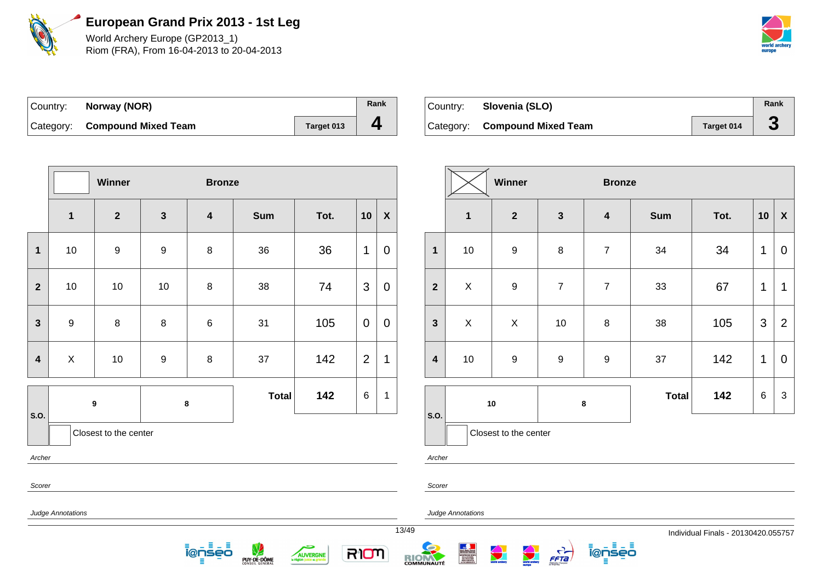

World Archery Europe (GP2013\_1) Riom (FRA), From 16-04-2013 to 20-04-2013



| Country: | Norway (NOR)                  |            | Rank |
|----------|-------------------------------|------------|------|
|          | Category: Compound Mixed Team | Target 013 |      |

| Country: | Slovenia (SLO)                |            | Rank |
|----------|-------------------------------|------------|------|
|          | Category: Compound Mixed Team | Target 014 |      |

|                         |                   | Winner                |                  | <b>Bronze</b>           |              |      |                |                    |        |
|-------------------------|-------------------|-----------------------|------------------|-------------------------|--------------|------|----------------|--------------------|--------|
|                         | $\mathbf{1}$      | $\overline{2}$        | $\mathbf{3}$     | $\overline{\mathbf{4}}$ | Sum          | Tot. | 10             | $\pmb{\mathsf{X}}$ |        |
| $\mathbf 1$             | 10                | $\boldsymbol{9}$      | $\boldsymbol{9}$ | $\bf 8$                 | 36           | 36   | 1              | $\mathbf 0$        |        |
| $\mathbf{2}$            | $10$              | 10                    | 10               | $\bf 8$                 | 38           | 74   | 3              | $\mathbf 0$        |        |
| 3                       | $\boldsymbol{9}$  | 8                     | 8                | $\,6$                   | 31           | 105  | $\pmb{0}$      | $\boldsymbol{0}$   |        |
| $\overline{\mathbf{4}}$ | X                 | 10                    | $\boldsymbol{9}$ | $\bf 8$                 | 37           | 142  | $\overline{2}$ | 1                  |        |
|                         |                   | $\boldsymbol{9}$      |                  | $\bf8$                  | <b>Total</b> | 142  | $\,6$          | 1                  |        |
| S.O.                    |                   | Closest to the center |                  |                         |              |      |                |                    | S.O.   |
| Archer                  |                   |                       |                  |                         |              |      |                |                    | Archer |
| Scorer                  |                   |                       |                  |                         |              |      |                |                    | Scorer |
|                         | Judge Annotations |                       |                  |                         |              |      |                |                    | Judge  |

- 5 <u> ionseo</u> Е

PUY-DE-DÔME

÷

AUVERGNE

RION

|                         |                         | Winner                  |                       | <b>Bronze</b>           |              |      |       |                           |
|-------------------------|-------------------------|-------------------------|-----------------------|-------------------------|--------------|------|-------|---------------------------|
|                         | $\overline{\mathbf{1}}$ | $\overline{\mathbf{2}}$ | $\mathbf{3}$          | $\overline{\mathbf{4}}$ | <b>Sum</b>   | Tot. | 10    | $\pmb{\mathsf{X}}$        |
| $\overline{\mathbf{1}}$ | $10$                    | $\mathsf g$             | $\bf 8$               | $\overline{7}$          | 34           | 34   | 1     | 0                         |
| $\overline{2}$          | Χ                       | $\mathsf g$             | $\overline{7}$        | $\overline{7}$          | 33           | 67   | 1     | 1                         |
| $\mathbf{3}$            | $\mathsf X$             | $\pmb{\times}$          | 10                    | 8                       | 38           | 105  | 3     | $\overline{2}$            |
| $\overline{\mathbf{4}}$ | $\mathsf g$<br>10       |                         | $\boldsymbol{9}$<br>9 |                         | 37           | 142  | 1     | 0                         |
|                         |                         |                         |                       |                         | <b>Total</b> | 142  | $\,6$ | $\ensuremath{\mathsf{3}}$ |
| S.O.                    |                         | $10\,$                  | 8                     |                         |              |      |       |                           |
|                         |                         | Closest to the center   |                       |                         |              |      |       |                           |

ienseo

er

ge Annotations

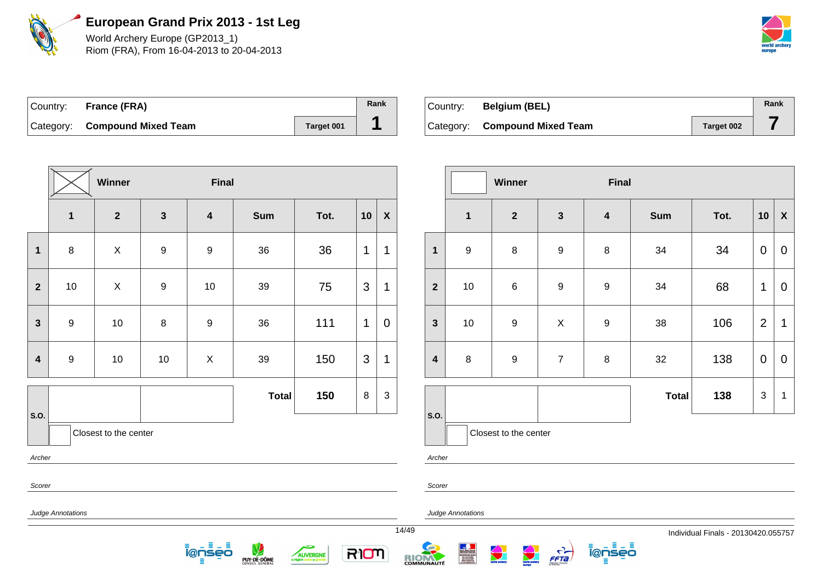

World Archery Europe (GP2013\_1) Riom (FRA), From 16-04-2013 to 20-04-2013



| Country: France (FRA)         |            | Rank |
|-------------------------------|------------|------|
| Category: Compound Mixed Team | Target 001 |      |

| ⊺Countr∨: | <b>Belgium (BEL)</b>          |            | Rank |
|-----------|-------------------------------|------------|------|
|           | Category: Compound Mixed Team | Target 002 |      |

|                         |                          | Winner                |                  | <b>Final</b>            |              |      |                |              |        |                         |
|-------------------------|--------------------------|-----------------------|------------------|-------------------------|--------------|------|----------------|--------------|--------|-------------------------|
|                         | $\mathbf{1}$             | $\mathbf{2}$          | $\mathbf{3}$     | $\overline{\mathbf{4}}$ | Sum          | Tot. | 10             | $\pmb{\chi}$ |        |                         |
| $\mathbf 1$             | $\bf 8$                  | $\mathsf X$           | $\boldsymbol{9}$ | $\boldsymbol{9}$        | 36           | 36   | 1              | $\mathbf 1$  |        | $\mathbf 1$             |
| $\overline{2}$          | 10                       | X                     | $\boldsymbol{9}$ | 10                      | 39           | 75   | $\mathfrak{S}$ | $\mathbf 1$  |        | $\overline{2}$          |
| $\mathbf{3}$            | $\boldsymbol{9}$         | $10$                  | 8                | $\boldsymbol{9}$        | 36           | 111  | $\mathbf{1}$   | 0            |        | $\mathbf{3}$            |
| $\overline{\mathbf{4}}$ | $\boldsymbol{9}$         | 10                    | 10               | $\pmb{\times}$          | 39           | 150  | $\mathfrak{S}$ | $\mathbf 1$  |        | $\overline{\mathbf{4}}$ |
| S.O.                    |                          |                       |                  |                         | <b>Total</b> | 150  | 8              | 3            |        | S.O.                    |
|                         |                          | Closest to the center |                  |                         |              |      |                |              |        |                         |
| Archer<br>Scorer        |                          |                       |                  |                         |              |      |                |              |        | Archer<br>Scorer        |
|                         | <b>Judge Annotations</b> |                       |                  |                         |              |      |                |              | 4.1140 | Judge                   |

<u> ionseo</u> ÷ . 5

**PUY-DE-DÔME** 

5

AUVERGNE

RION

|                         |                         | Winner                |                | <b>Final</b>     |              |      |                |                    |
|-------------------------|-------------------------|-----------------------|----------------|------------------|--------------|------|----------------|--------------------|
|                         | $\overline{\mathbf{1}}$ | $\mathbf{2}$          | $\mathbf{3}$   | $\boldsymbol{4}$ | <b>Sum</b>   | Tot. | 10             | $\pmb{\mathsf{X}}$ |
| $\mathbf{1}$            | $\boldsymbol{9}$        | 8                     | 9              | $\bf 8$          | 34           | 34   | $\mathbf 0$    | 0                  |
| $\overline{2}$          | $10$                    | $\,6$                 | 9              | $\boldsymbol{9}$ | 34           | 68   | 1              | 0                  |
| $\mathbf{3}$            | 10                      | $\boldsymbol{9}$      | X              | $\boldsymbol{9}$ | 38           | 106  | $\overline{2}$ | 1                  |
| $\overline{\mathbf{4}}$ | 8                       | $\boldsymbol{9}$      | $\overline{7}$ | $\bf 8$          | 32           | 138  | $\pmb{0}$      | $\mathbf 0$        |
|                         |                         |                       |                |                  | <b>Total</b> | 138  | 3              | 1                  |
| S.O.                    |                         | Closest to the center |                |                  |              |      |                |                    |

ienseo

Ξ

Archer

Judge Annotations



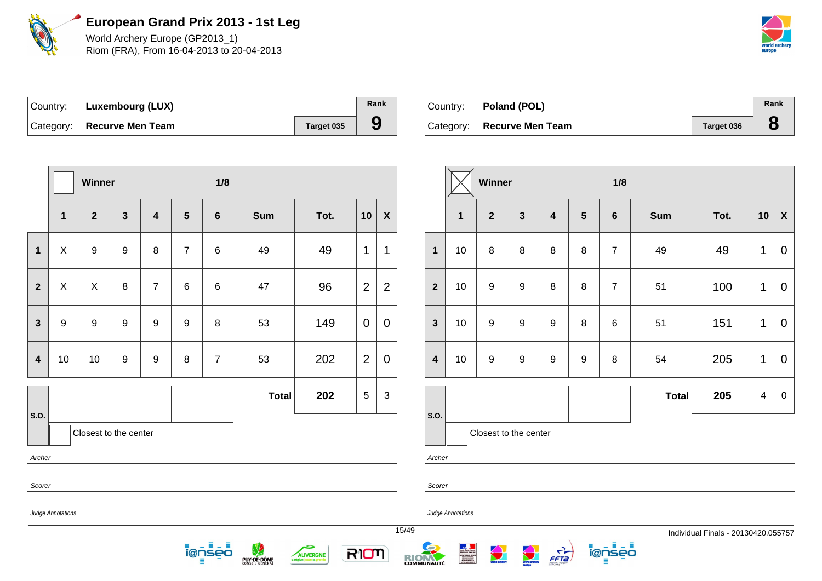

World Archery Europe (GP2013\_1) Riom (FRA), From 16-04-2013 to 20-04-2013



| Country: | Luxembourg (LUX)           |            | Rank |
|----------|----------------------------|------------|------|
|          | Category: Recurve Men Team | Target 035 |      |

| Country: Poland (POL)      |            | Rank |
|----------------------------|------------|------|
| Category: Recurve Men Team | Target 036 |      |

|                         | Winner            |                       |                         |                         |                |                    | 1/8          |                 |                |                           |       |                         | Winner                                                                                                                                   |                  |                    |  |
|-------------------------|-------------------|-----------------------|-------------------------|-------------------------|----------------|--------------------|--------------|-----------------|----------------|---------------------------|-------|-------------------------|------------------------------------------------------------------------------------------------------------------------------------------|------------------|--------------------|--|
|                         | 1                 | $\overline{2}$        | $\overline{\mathbf{3}}$ | $\overline{\mathbf{4}}$ | $5\phantom{1}$ | $6\phantom{1}$     | <b>Sum</b>   | Tot.            | 10             | $\boldsymbol{\mathsf{X}}$ |       |                         | 1                                                                                                                                        | $\boldsymbol{2}$ | $\mathbf{3}$       |  |
| 1                       | X                 | $\boldsymbol{9}$      | 9                       | 8                       | $\overline{7}$ | 6                  | 49           | 49              | 1              | 1                         |       | $\mathbf{1}$            | 10                                                                                                                                       | $\, 8$           | $\, 8$             |  |
| $\overline{2}$          | $\mathsf{X}$      | $\mathsf{X}$          | 8                       | $\overline{7}$          | 6              | 6                  | 47           | 96              | $\overline{2}$ | $\overline{2}$            |       | $\overline{2}$          | 10                                                                                                                                       | $\boldsymbol{9}$ | $\boldsymbol{9}$   |  |
| $\mathbf{3}$            | 9                 | $\boldsymbol{9}$      | $\boldsymbol{9}$        | $\boldsymbol{9}$        | 9              | 8                  | 53           | 149             | $\mathbf 0$    | $\mathbf 0$               |       | $\mathbf{3}$            | 10                                                                                                                                       | $\boldsymbol{9}$ | $\boldsymbol{9}$   |  |
| $\overline{\mathbf{4}}$ | 10                | 10                    | 9                       | $\boldsymbol{9}$        | 8              | $\overline{7}$     | 53           | 202             | $\overline{2}$ | $\mathbf 0$               |       | $\overline{\mathbf{4}}$ | 10                                                                                                                                       | $\boldsymbol{9}$ | $\boldsymbol{9}$   |  |
| S.O.                    |                   |                       |                         |                         |                |                    | <b>Total</b> | 202             | $\sqrt{5}$     | $\sqrt{3}$                |       | S.O.                    |                                                                                                                                          |                  |                    |  |
| Archer                  |                   | Closest to the center |                         |                         |                |                    |              |                 |                |                           |       | Archer                  |                                                                                                                                          |                  | Closest to the cen |  |
| Scorer                  |                   |                       |                         |                         |                |                    |              |                 |                |                           |       | Scorer                  |                                                                                                                                          |                  |                    |  |
|                         | Judge Annotations |                       |                         |                         |                |                    |              |                 |                |                           | 15/49 |                         | Judge Annotations                                                                                                                        |                  |                    |  |
|                         |                   |                       |                         |                         | Ξ              | 目山目<br>i@nseo<br>Ξ | PUY-DE-DÔME  | <b>AUVERGNE</b> | RION           |                           |       | <b>RICHARDITÉ</b>       | <b>Show - Spilet - Francisk<br/>Ribonuzger Phonester<br/>ARNISTERE DES SPORTS<br/>GELLAURENTER</b><br>PERSLAURENTER<br>LA VILABROCLAUTER |                  | <b>Contractor</b>  |  |

|                         |              | Winner                |              |                         |                | 1/8            |              |      |    |                           |
|-------------------------|--------------|-----------------------|--------------|-------------------------|----------------|----------------|--------------|------|----|---------------------------|
|                         | $\mathbf{1}$ | $\overline{2}$        | $\mathbf{3}$ | $\overline{\mathbf{4}}$ | $5\phantom{1}$ | $6\phantom{1}$ | <b>Sum</b>   | Tot. | 10 | $\boldsymbol{\mathsf{X}}$ |
| $\overline{\mathbf{1}}$ | 10           | 8                     | $\bf 8$      | 8                       | 8              | $\overline{7}$ | 49           | 49   | 1  | $\mathbf 0$               |
| $\overline{2}$          | 10           | 9                     | 9            | 8                       | 8              | $\overline{7}$ | 51           | 100  | 1  | $\mathbf 0$               |
| 3                       | 10           | 9                     | 9            | $\boldsymbol{9}$        | 8              | 6              | 51           | 151  | 1  | 0                         |
| 4                       | 10           | 9                     | 9            | $\boldsymbol{9}$        | 9              | 8              | 54           | 205  | 1  | 0                         |
|                         |              |                       |              |                         |                |                | <b>Total</b> | 205  | 4  | $\pmb{0}$                 |
| .O.                     |              | Closest to the center |              |                         |                |                |              |      |    |                           |

ienseo

FFTa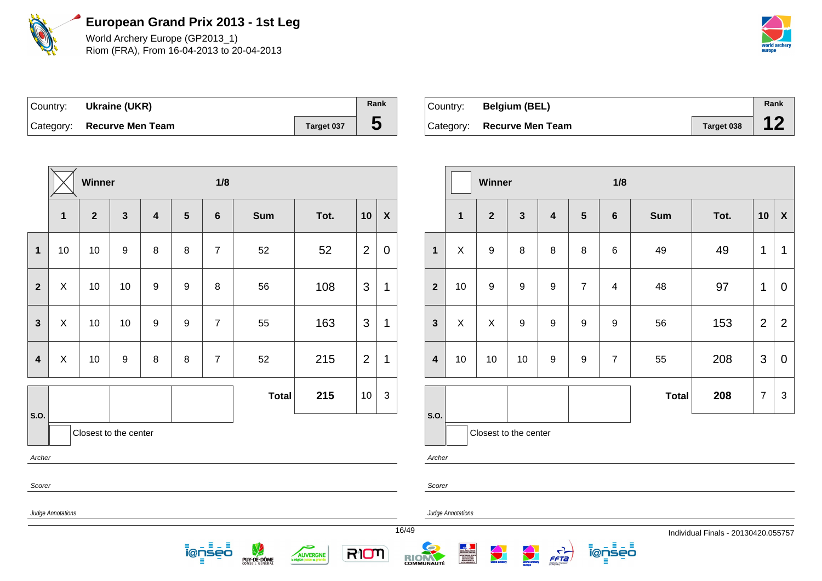

World Archery Europe (GP2013\_1) Riom (FRA), From 16-04-2013 to 20-04-2013



| Country: Ukraine (UKR)     |            | Rank |
|----------------------------|------------|------|
| Category: Recurve Men Team | Target 037 | C    |

| Country: | <b>Belgium (BEL)</b>       |                   | Rank |
|----------|----------------------------|-------------------|------|
|          | Category: Recurve Men Team | <b>Target 038</b> |      |

|                            |                | Winner         |                       |                         |                  | 1/8                    |              |                                         |                          |             |  |                         | Winner                                                     |                  |                  |
|----------------------------|----------------|----------------|-----------------------|-------------------------|------------------|------------------------|--------------|-----------------------------------------|--------------------------|-------------|--|-------------------------|------------------------------------------------------------|------------------|------------------|
|                            | $\mathbf{1}$   | $\overline{2}$ | $\mathbf{3}$          | $\overline{\mathbf{4}}$ | $5\phantom{1}$   | $6\phantom{1}$         | <b>Sum</b>   | Tot.                                    | 10<br>$\pmb{\mathsf{X}}$ |             |  |                         | 1                                                          | $\overline{2}$   | $\mathbf{3}$     |
| 1                          | 10             | 10             | $\boldsymbol{9}$      | 8                       | 8                | $\overline{7}$         | 52           | 52                                      | $\overline{2}$           | $\mathbf 0$ |  | $\mathbf{1}$            | $\pmb{\times}$                                             | 9                | 8                |
| $\overline{2}$             | X              | 10             | 10                    | $9\,$                   | $\boldsymbol{9}$ | 8                      | 56           | 108                                     | 3                        | 1           |  | $\overline{\mathbf{2}}$ | 10                                                         | 9                | $\boldsymbol{9}$ |
| $\mathbf{3}$               | X              | 10             | 10                    | $\boldsymbol{9}$        | $\boldsymbol{9}$ | $\overline{7}$         | 55           | 163                                     | 3                        | 1           |  | $\mathbf{3}$            | X                                                          | X                | $\boldsymbol{9}$ |
| $\overline{\mathbf{4}}$    | $\pmb{\times}$ | 10             | $\boldsymbol{9}$      | $\, 8$                  | $\,8\,$          | $\overline{7}$         | 52           | 215                                     | $\overline{2}$           | 1           |  | $\overline{\mathbf{4}}$ | 10                                                         | 10               | 10               |
| S.O.                       |                |                | Closest to the center |                         |                  |                        | <b>Total</b> | 215                                     | 10                       | $\sqrt{3}$  |  | S.O.                    |                                                            | Closest to the c |                  |
| Archer                     |                |                |                       |                         |                  |                        |              |                                         |                          |             |  | Archer                  |                                                            |                  |                  |
| Scorer                     |                |                |                       |                         |                  |                        |              |                                         |                          |             |  | Scorer                  |                                                            |                  |                  |
| Judge Annotations<br>16/49 |                |                |                       |                         |                  |                        |              |                                         |                          |             |  |                         | Judge Annotations                                          |                  |                  |
|                            |                |                |                       |                         |                  | Ξ<br>山目<br>i@nseo<br>Ξ | PUY-DE-DÔME  | <b>AUVERGNE</b><br>la région juste et g | RION                     |             |  | <b>RIONAUTÉ</b>         | <b>ENSITÉE DES SPORTS<br/>GELALUMENTS<br/>PEPULARIATES</b> |                  |                  |

|                         |             | Winner                |                  |                         |                | 1/8             |              |      |                |                |
|-------------------------|-------------|-----------------------|------------------|-------------------------|----------------|-----------------|--------------|------|----------------|----------------|
|                         | $\mathbf 1$ | $\overline{2}$        | $\mathbf{3}$     | $\overline{\mathbf{4}}$ | $5\phantom{1}$ | $6\phantom{1}6$ | <b>Sum</b>   | Tot. | 10             | $\mathsf{X}$   |
| $\mathbf{1}$            | X           | $\boldsymbol{9}$      | 8                | 8                       | 8              | $6\phantom{1}$  | 49           | 49   | 1              | 1              |
| $\overline{2}$          | 10          | $\boldsymbol{9}$      | $\boldsymbol{9}$ | $\boldsymbol{9}$        | $\overline{7}$ | 4               | 48           | 97   | $\mathbf 1$    | 0              |
| $\mathbf{3}$            | X           | X                     | $\boldsymbol{9}$ | $\boldsymbol{9}$        | 9              | 9               | 56           | 153  | $\overline{2}$ | $\overline{2}$ |
| $\overline{\mathbf{4}}$ | 10          | 10                    | 10               | 9                       | 9              | $\overline{7}$  | 55           | 208  | 3              | 0              |
|                         |             |                       |                  |                         |                |                 | <b>Total</b> | 208  | $\overline{7}$ | 3              |
| S.O.                    |             |                       |                  |                         |                |                 |              |      |                |                |
|                         |             | Closest to the center |                  |                         |                |                 |              |      |                |                |

ienseo

FFTa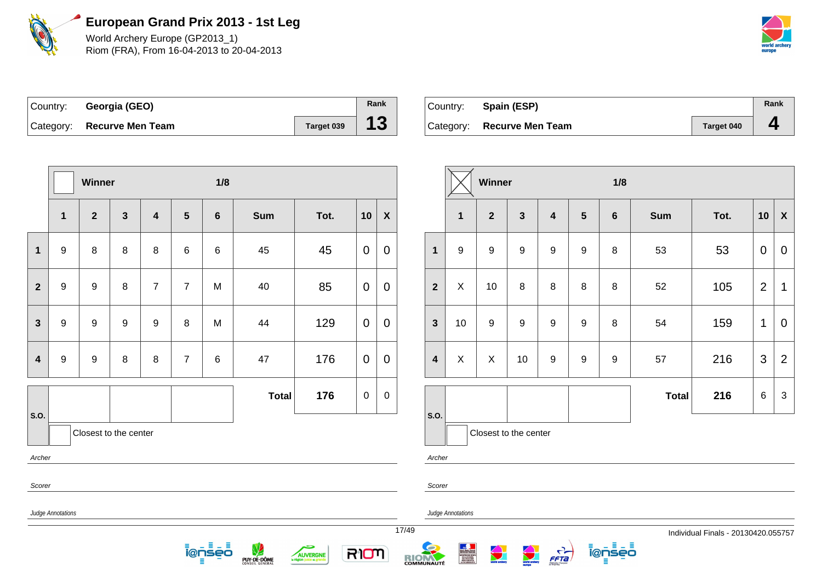

World Archery Europe (GP2013\_1) Riom (FRA), From 16-04-2013 to 20-04-2013



| Country: Georgia (GEO)     |            | Rank |
|----------------------------|------------|------|
| Category: Recurve Men Team | Target 039 | 13   |

| ∣Country: | Spain (ESP)                |            | Rank |
|-----------|----------------------------|------------|------|
|           | Category: Recurve Men Team | Target 040 |      |

**Winner 1/8**

**1 2 6 6 C Sum Tot. 10 X** 

|                | Winner            |                  |                       |                         |                | 1/8                              |              |                                          |                |                           |       |                         |                   | Winner                   |                       |                                  |  |
|----------------|-------------------|------------------|-----------------------|-------------------------|----------------|----------------------------------|--------------|------------------------------------------|----------------|---------------------------|-------|-------------------------|-------------------|--------------------------|-----------------------|----------------------------------|--|
|                | $\mathbf 1$       | $\overline{2}$   | $\mathbf{3}$          | $\overline{\mathbf{4}}$ | $5\phantom{1}$ | $\boldsymbol{6}$                 | <b>Sum</b>   | Tot.                                     | 10             | $\boldsymbol{\mathsf{X}}$ |       |                         | 1                 | $\overline{2}$           | $\mathbf{3}$          | $\boldsymbol{4}$                 |  |
| $\mathbf{1}$   | $\boldsymbol{9}$  | $\, 8$           | $\, 8$                | $\, 8$                  | $\,6\,$        | $\,6$                            | 45           | 45                                       | $\overline{0}$ | $\mathbf 0$               |       | $\mathbf 1$             | $\boldsymbol{9}$  | $\boldsymbol{9}$         | $\boldsymbol{9}$      | $\boldsymbol{9}$                 |  |
| $\overline{2}$ | $\boldsymbol{9}$  | $\boldsymbol{9}$ | $\, 8$                | $\overline{7}$          | $\overline{7}$ | M                                | 40           | 85                                       | $\mathbf 0$    | $\mathbf 0$               |       | $\overline{2}$          | X                 | 10                       | $\,8\,$               | 8                                |  |
| $\mathbf{3}$   | 9                 | $\boldsymbol{9}$ | $\boldsymbol{9}$      | $\boldsymbol{9}$        | $\, 8$         | M                                | 44           | 129                                      | $\overline{0}$ | $\mathbf 0$               |       | $\mathbf{3}$            | 10                | $\boldsymbol{9}$         | $\boldsymbol{9}$      | $\boldsymbol{9}$                 |  |
| $\overline{4}$ | $\boldsymbol{9}$  | $\boldsymbol{9}$ | $\, 8$                | $\, 8$                  | $\overline{7}$ | $\,6$                            | 47           | 176                                      | $\mathbf 0$    | $\mathbf 0$               |       | $\overline{\mathbf{4}}$ | X                 | X                        | 10                    | $\boldsymbol{9}$                 |  |
| S.O.           |                   |                  |                       |                         |                |                                  | <b>Total</b> | 176                                      | $\pmb{0}$      | $\mathbf 0$               |       | S.O.                    |                   |                          |                       |                                  |  |
| Archer         |                   |                  | Closest to the center |                         |                |                                  |              |                                          |                |                           |       | Archer                  |                   |                          | Closest to the center |                                  |  |
| Scorer         |                   |                  |                       |                         |                |                                  |              |                                          |                |                           |       | Scorer                  |                   |                          |                       |                                  |  |
|                | Judge Annotations |                  |                       |                         |                |                                  |              |                                          |                |                           | 17/49 |                         | Judge Annotations |                          |                       |                                  |  |
|                |                   |                  |                       |                         | ≡              | $\equiv$ $-$<br>Ξ<br>i@nseo<br>Ξ | PUY-DE-DÔME  | <b>AUVERGNE</b><br>la région juste et gl | RIOM           |                           |       | RIONAUTÉ                |                   | <b>Contract Services</b> | <b>View Charles</b>   | $\frac{1}{\sqrt{1-\frac{1}{2}}}$ |  |

| 1              | 9           | $\boldsymbol{9}$ | 9                     | 9                | 9 | 8 | 53           | 53  | $\mathbf 0$    | $\mathbf 0$    |
|----------------|-------------|------------------|-----------------------|------------------|---|---|--------------|-----|----------------|----------------|
| $\overline{2}$ | $\mathsf X$ | 10               | 8                     | 8                | 8 | 8 | 52           | 105 | $\overline{2}$ | 1              |
| 3              | 10          | 9                | 9                     | $\boldsymbol{9}$ | 9 | 8 | 54           | 159 | 1              | 0              |
| 4              | X           | X                | 10                    | 9                | 9 | 9 | 57           | 216 | 3              | $\overline{2}$ |
|                |             |                  |                       |                  |   |   | <b>Total</b> | 216 | 6              | 3              |
| .0.            |             |                  | Closset to the conter |                  |   |   |              |     |                |                |

ienseo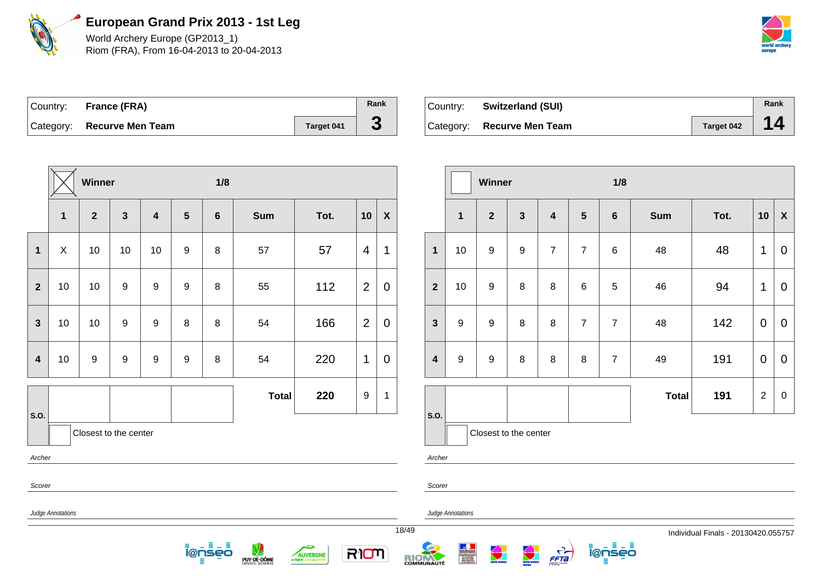

World Archery Europe (GP2013\_1) Riom (FRA), From 16-04-2013 to 20-04-2013



| Country: France (FRA)      |                   | Rank |
|----------------------------|-------------------|------|
| Category: Recurve Men Team | <b>Target 041</b> | J    |

| Country: | <b>Switzerland (SUI)</b>   |                   | Rank |
|----------|----------------------------|-------------------|------|
|          | Category: Recurve Men Team | <b>Target 042</b> |      |

|                  | 1/8<br>Winner     |                       |              |                         |   |                   |                  |          |      |                           |                         |                   | Winner                |                          |                |                 | 1/8            |              |                                     |                |                |
|------------------|-------------------|-----------------------|--------------|-------------------------|---|-------------------|------------------|----------|------|---------------------------|-------------------------|-------------------|-----------------------|--------------------------|----------------|-----------------|----------------|--------------|-------------------------------------|----------------|----------------|
|                  | $\mathbf{1}$      | $\mathbf{2}$          | $\mathbf{3}$ | $\overline{\mathbf{4}}$ | 5 | $\boldsymbol{6}$  | <b>Sum</b>       | Tot.     | 10   | $\boldsymbol{\mathsf{X}}$ |                         | $\mathbf{1}$      | $\mathbf{2}$          | $\mathbf{3}$             | 4              | $5\phantom{.0}$ | 6              | <b>Sum</b>   | Tot.                                | 10             | $\mathsf{X}$   |
| $\mathbf 1$      | X                 | 10                    | 10           | 10                      | 9 | 8                 | 57               | 57       | 4    | 1                         | $\mathbf{1}$            | 10                | 9                     | 9                        | $\overline{7}$ | $\overline{7}$  | 6              | 48           | 48                                  | 1              | $\overline{0}$ |
| $\mathbf{2}$     | 10                | 10                    | 9            | 9                       | 9 | 8                 | 55               | 112      | 2    | $\mathbf 0$               | $\overline{2}$          | 10                | 9                     | 8                        | 8              | $\,6\,$         | 5              | 46           | 94                                  | $\mathbf{1}$   | $\mathbf 0$    |
| $\mathbf{3}$     | 10                | 10                    | 9            | 9                       | 8 | 8                 | 54               | 166      | 2    | $\mathbf 0$               | $\mathbf{3}$            | 9                 | 9                     | 8                        | 8              | $\overline{7}$  | $\overline{7}$ | 48           | 142                                 | $\mathbf 0$    | $\overline{0}$ |
| $\boldsymbol{4}$ | 10                | 9                     | 9            | 9                       | 9 | 8                 | 54               | 220      | 1    | $\overline{0}$            | $\overline{\mathbf{4}}$ | 9                 | 9                     | 8                        | 8              | 8               | $\overline{7}$ | 49           | 191                                 | $\mathbf 0$    | $\overline{0}$ |
|                  |                   |                       |              |                         |   |                   | <b>Total</b>     | 220      | 9    | $\mathbf{1}$              |                         |                   |                       |                          |                |                 |                | <b>Total</b> | 191                                 | $\overline{2}$ | $\mathbf 0$    |
| S.O.             |                   | Closest to the center |              |                         |   |                   |                  |          |      |                           | s.o.                    |                   | Closest to the center |                          |                |                 |                |              |                                     |                |                |
| Archer           |                   |                       |              |                         |   |                   |                  |          |      |                           | Archer                  |                   |                       |                          |                |                 |                |              |                                     |                |                |
| Scorer           |                   |                       |              |                         |   |                   |                  |          |      |                           | Scorer                  |                   |                       |                          |                |                 |                |              |                                     |                |                |
|                  | Judge Annotations |                       |              |                         |   |                   |                  |          |      |                           |                         | Judge Annotations |                       |                          |                |                 |                |              |                                     |                |                |
|                  |                   |                       |              |                         |   | <b>i</b><br>enseo | V<br>PUY-DE-DÔME | AUVERGNE | RION |                           | 18/49<br><b>RIOM</b>    |                   | $\bigodot$            | <b>Contract Contract</b> | $\vec{f}$      |                 | ienseo         |              | Individual Finals - 20130420.055757 |                |                |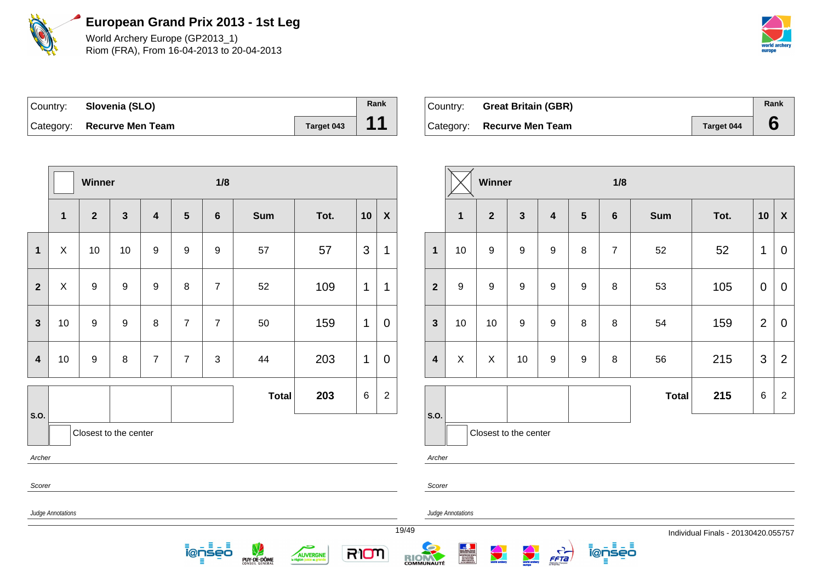

World Archery Europe (GP2013\_1) Riom (FRA), From 16-04-2013 to 20-04-2013



| Country: Slovenia (SLO)    |            | Rank |
|----------------------------|------------|------|
| Category: Recurve Men Team | Target 043 | 11   |

| ⊺Country: | <b>Great Britain (GBR)</b> |                   | Rank |
|-----------|----------------------------|-------------------|------|
|           | Category: Recurve Men Team | <b>Target 044</b> |      |

|                  |                   | Winner           |                       |                |                 | 1/8                  |              |          |                | Winner           |                         |                          |                       |                  |                         |                  | 1/8            |              |                                     |                |                |  |
|------------------|-------------------|------------------|-----------------------|----------------|-----------------|----------------------|--------------|----------|----------------|------------------|-------------------------|--------------------------|-----------------------|------------------|-------------------------|------------------|----------------|--------------|-------------------------------------|----------------|----------------|--|
|                  | $\mathbf{1}$      | $\overline{2}$   | $\mathbf{3}$          | 4              | $5\phantom{.0}$ | 6                    | <b>Sum</b>   | Tot.     | 10             | $\boldsymbol{X}$ |                         | $\mathbf{1}$             | $\overline{2}$        | $\mathbf{3}$     | $\overline{\mathbf{4}}$ | $5\phantom{.0}$  | $6\phantom{1}$ | Sum          | Tot.                                | 10             | $\mathbf{x}$   |  |
| $\mathbf 1$      | $\boldsymbol{X}$  | 10               | 10                    | 9              | 9               | 9                    | 57           | 57       | 3              | $\mathbf{1}$     | $\mathbf{1}$            | 10                       | 9                     | $\boldsymbol{9}$ | $9\,$                   | $\bf 8$          | $\overline{7}$ | 52           | 52                                  | $\mathbf{1}$   | $\overline{0}$ |  |
| $\overline{2}$   | $\pmb{\times}$    | $\boldsymbol{9}$ | 9                     | 9              | 8               | $\overline{7}$       | 52           | 109      | $\mathbf{1}$   | $\mathbf{1}$     | $\overline{2}$          | 9                        | 9                     | $\boldsymbol{9}$ | 9                       | $\mathsf g$      | 8              | 53           | 105                                 | $\mathbf 0$    | $\overline{0}$ |  |
| $\mathbf{3}$     | 10                | 9                | 9                     | $\bf 8$        | $\overline{7}$  | $\overline{7}$       | 50           | 159      | $\mathbf{1}$   | $\mathbf 0$      | $\mathbf{3}$            | 10                       | 10                    | $\boldsymbol{9}$ | 9                       | 8                | 8              | 54           | 159                                 | $\overline{2}$ | $\overline{0}$ |  |
| $\boldsymbol{4}$ | 10                | 9                | 8                     | $\overline{7}$ | $\overline{7}$  | $\mathfrak{S}$       | 44           | 203      | $\overline{1}$ | $\mathbf 0$      | $\overline{\mathbf{4}}$ | $\mathsf X$              | X                     | 10               | 9                       | $\boldsymbol{9}$ | 8              | 56           | 215                                 | $\mathbf{3}$   | 2              |  |
|                  |                   |                  |                       |                |                 |                      | <b>Total</b> | 203      | $\,6\,$        | $\overline{2}$   |                         |                          |                       |                  |                         |                  |                | <b>Total</b> | 215                                 | 6              | $\overline{2}$ |  |
| <b>S.O.</b>      |                   |                  | Closest to the center |                |                 |                      |              |          |                |                  | S.O.                    |                          | Closest to the center |                  |                         |                  |                |              |                                     |                |                |  |
| Archer           |                   |                  |                       |                |                 |                      |              |          |                |                  | Archer                  |                          |                       |                  |                         |                  |                |              |                                     |                |                |  |
| Scorer           |                   |                  |                       |                |                 |                      |              |          |                |                  | Scorer                  |                          |                       |                  |                         |                  |                |              |                                     |                |                |  |
|                  | Judge Annotations |                  |                       |                |                 |                      |              |          |                |                  |                         | <b>Judge Annotations</b> |                       |                  |                         |                  |                |              |                                     |                |                |  |
|                  |                   |                  |                       |                |                 | – ≣<br>그 토<br>ionseo |              | حكہ      |                |                  | 19/49                   |                          |                       |                  |                         |                  | <u> ĩ@ņsēō</u> |              | Individual Finals - 20130420.055757 |                |                |  |
|                  |                   |                  |                       |                |                 | Ξ                    | PUY-DE-DÔME  | AUVERGNE | RIOM           |                  | RIOM                    |                          |                       |                  | $\frac{1}{1}$           |                  | Ξ              |              |                                     |                |                |  |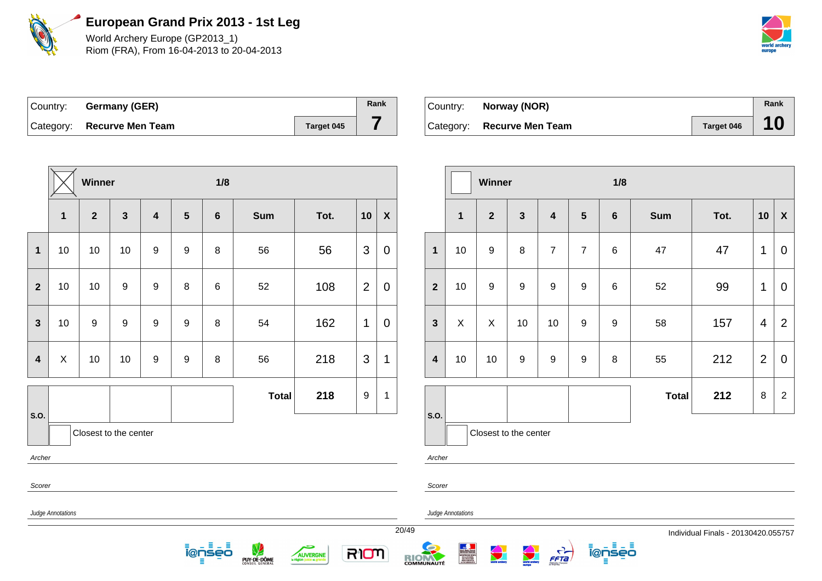

World Archery Europe (GP2013\_1) Riom (FRA), From 16-04-2013 to 20-04-2013



20/49 Individual Finals - 20130420.055757

| Country: Germany (GER)     |            | Rank |
|----------------------------|------------|------|
| Category: Recurve Men Team | Target 045 |      |

| Country: | Norway (NOR)               |            | Rank |
|----------|----------------------------|------------|------|
|          | Category: Recurve Men Team | Target 046 | 10   |

|                         |                   | Winner         |                       |                  |   | 1/8                |              |                             |                |                           |       |                         |                                                                                                                                           | Winner                |                    |                         |
|-------------------------|-------------------|----------------|-----------------------|------------------|---|--------------------|--------------|-----------------------------|----------------|---------------------------|-------|-------------------------|-------------------------------------------------------------------------------------------------------------------------------------------|-----------------------|--------------------|-------------------------|
|                         | 1                 | $\overline{2}$ | $\mathbf{3}$          | 4                | 5 | $6\phantom{1}$     | <b>Sum</b>   | Tot.                        | 10             | $\boldsymbol{\mathsf{X}}$ |       |                         | 1                                                                                                                                         | $\overline{2}$        | $\mathbf{3}$       | $\overline{\mathbf{4}}$ |
| $\mathbf{1}$            | 10                | 10             | 10                    | $\boldsymbol{9}$ | 9 | $\, 8$             | 56           | 56                          | 3              | $\mathbf 0$               |       | $\mathbf{1}$            | 10                                                                                                                                        | $\boldsymbol{9}$      | $\bf 8$            | $\overline{7}$          |
| $\overline{2}$          | 10                | 10             | $\boldsymbol{9}$      | $\boldsymbol{9}$ | 8 | $\,6\,$            | 52           | 108                         | $\overline{2}$ | $\overline{0}$            |       | $\overline{2}$          | 10                                                                                                                                        | $\boldsymbol{9}$      | $\boldsymbol{9}$   | $\boldsymbol{9}$        |
| $\mathbf{3}$            | 10                | 9              | $\boldsymbol{9}$      | $\boldsymbol{9}$ | 9 | 8                  | 54           | 162                         | $\mathbf{1}$   | $\mathbf 0$               |       | $\mathbf{3}$            | $\mathsf{X}$                                                                                                                              | $\pmb{\times}$        | 10                 | 10                      |
| $\overline{\mathbf{4}}$ | $\mathsf X$       | 10             | 10                    | $\boldsymbol{9}$ | 9 | 8                  | 56           | 218                         | 3              | $\mathbf{1}$              |       | $\overline{\mathbf{4}}$ | 10                                                                                                                                        | 10                    | $\boldsymbol{9}$   | $\mathsf g$             |
| S.O.                    |                   |                |                       |                  |   |                    | <b>Total</b> | 218                         | 9              | 1                         |       | S.O.                    |                                                                                                                                           |                       |                    |                         |
|                         |                   |                | Closest to the center |                  |   |                    |              |                             |                |                           |       |                         |                                                                                                                                           | Closest to the center |                    |                         |
| Archer                  |                   |                |                       |                  |   |                    |              |                             |                |                           |       | Archer                  |                                                                                                                                           |                       |                    |                         |
| Scorer                  |                   |                |                       |                  |   |                    |              |                             |                |                           |       | Scorer                  |                                                                                                                                           |                       |                    |                         |
|                         | Judge Annotations |                |                       |                  |   |                    |              |                             |                |                           |       |                         | Judge Annotations                                                                                                                         |                       |                    |                         |
|                         |                   |                |                       |                  |   | 日山目<br>ienseo<br>Ξ | PUY-DE-DÔME  | <b>AUVERGNE</b><br>ste et p | RIOM           |                           | 20/49 | RIONAUTÉ                | Show - Spite - Francis<br>Riccourt Photographs<br>Michael Das Shows<br>Michael Das Shows<br>- Michael Das<br>Photographs<br>- Michael Das | <b>Service</b>        | <b>All Charles</b> | $\frac{C}{FFA}$         |

|                         |         | Winner                |                  |                         |                  | 1/8             |              |      |                |                  |
|-------------------------|---------|-----------------------|------------------|-------------------------|------------------|-----------------|--------------|------|----------------|------------------|
|                         | 1       | $\mathbf{2}$          | $\mathbf{3}$     | $\overline{\mathbf{4}}$ | $5\phantom{.0}$  | $6\phantom{1}6$ | <b>Sum</b>   | Tot. | 10             | $\boldsymbol{X}$ |
| $\overline{\mathbf{1}}$ | 10      | 9                     | 8                | $\overline{7}$          | $\overline{7}$   | $6\phantom{1}6$ | 47           | 47   | 1              | 0                |
| $\overline{2}$          | 10      | 9                     | $\boldsymbol{9}$ | $\boldsymbol{9}$        | $\boldsymbol{9}$ | $6\phantom{1}6$ | 52           | 99   | 1              | $\overline{0}$   |
| 3                       | $\sf X$ | X                     | 10               | 10                      | $\boldsymbol{9}$ | 9               | 58           | 157  | 4              | $\overline{2}$   |
| 4                       | 10      | 10                    | $\boldsymbol{9}$ | $\boldsymbol{9}$        | $\boldsymbol{9}$ | 8               | 55           | 212  | $\overline{2}$ | $\mathbf 0$      |
|                         |         |                       |                  |                         |                  |                 | <b>Total</b> | 212  | 8              | $\overline{2}$   |
| .O.                     |         | Closest to the center |                  |                         |                  |                 |              |      |                |                  |

ienseo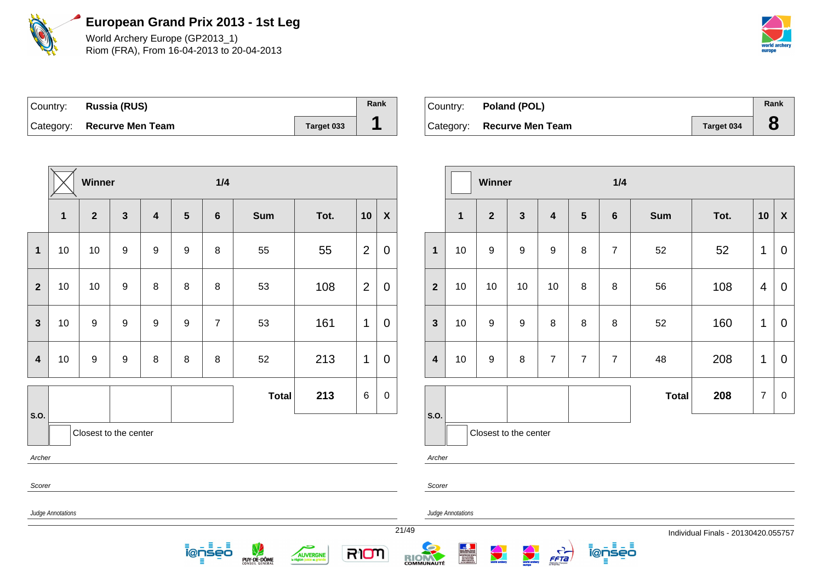

World Archery Europe (GP2013\_1) Riom (FRA), From 16-04-2013 to 20-04-2013



21/49 Individual Finals - 20130420.055757

| Country: | Russia (RUS)               |            | Rank |
|----------|----------------------------|------------|------|
|          | Category: Recurve Men Team | Target 033 |      |

| Country: | Poland (POL)               |                   | Rank |
|----------|----------------------------|-------------------|------|
|          | Category: Recurve Men Team | <b>Target 034</b> |      |

|                         |                   | Winner           |                         |                         |                  | 1/4                |              |                                   |                |                    |                   |                         |                          | Winner                            |                         |                  |  |
|-------------------------|-------------------|------------------|-------------------------|-------------------------|------------------|--------------------|--------------|-----------------------------------|----------------|--------------------|-------------------|-------------------------|--------------------------|-----------------------------------|-------------------------|------------------|--|
|                         | 1                 | $\overline{2}$   | $\overline{\mathbf{3}}$ | $\overline{\mathbf{4}}$ | 5                | $\boldsymbol{6}$   | <b>Sum</b>   | Tot.                              | 10             | $\pmb{\mathsf{X}}$ |                   |                         | $\mathbf{1}$             | $\overline{2}$                    | 3                       | 4                |  |
| $\mathbf{1}$            | 10                | 10               | 9                       | 9                       | $\boldsymbol{9}$ | 8                  | 55           | 55                                | $\overline{2}$ | $\mathbf 0$        |                   | $\mathbf 1$             | 10                       | $\boldsymbol{9}$                  | $\boldsymbol{9}$        | $\boldsymbol{9}$ |  |
| $\overline{2}$          | 10                | 10               | $\boldsymbol{9}$        | 8                       | 8                | $\, 8$             | 53           | 108                               | $\overline{2}$ | $\overline{0}$     |                   | $\mathbf{2}$            | 10                       | 10                                | 10                      | 10               |  |
| $\mathbf{3}$            | 10                | $9\,$            | $\boldsymbol{9}$        | $9\,$                   | $\boldsymbol{9}$ | $\overline{7}$     | 53           | 161                               | 1              | $\mathbf 0$        |                   | $\mathbf{3}$            | 10                       | $9\,$                             | 9                       | 8                |  |
| $\overline{\mathbf{4}}$ | 10                | $\boldsymbol{9}$ | 9                       | 8                       | 8                | 8                  | 52           | 213                               | 1              | $\mathbf 0$        |                   | $\overline{\mathbf{4}}$ | 10                       | 9                                 | 8                       | $\overline{7}$   |  |
| S.O.                    |                   |                  |                         |                         |                  |                    | <b>Total</b> | 213                               | $\,6\,$        | 0                  |                   | <b>S.O.</b>             |                          |                                   |                         |                  |  |
|                         |                   |                  | Closest to the center   |                         |                  |                    |              |                                   |                |                    |                   |                         |                          |                                   | Closest to the center   |                  |  |
| Archer                  |                   |                  |                         |                         |                  |                    |              |                                   |                |                    |                   | Archer                  |                          |                                   |                         |                  |  |
| Scorer                  |                   |                  |                         |                         |                  |                    |              |                                   |                |                    |                   | Scorer                  |                          |                                   |                         |                  |  |
|                         | Judge Annotations |                  |                         |                         |                  |                    |              |                                   |                |                    |                   |                         | <b>Judge Annotations</b> |                                   |                         |                  |  |
|                         |                   |                  |                         |                         |                  | 日出目<br>ionseo<br>Ξ | PUY-DE-DÔME  | AUVERGNE<br>la région juste et gl | RION           |                    | 21/49<br>RIOMAUTÉ |                         |                          | <b>Contract Contract Contract</b> | $\sum_{\text{reflex} }$ | <b>FFTa</b>      |  |

|                         |                | Winner                |              |                         |                | 1/4             |              |      |                |                    |
|-------------------------|----------------|-----------------------|--------------|-------------------------|----------------|-----------------|--------------|------|----------------|--------------------|
|                         | $\overline{1}$ | $\mathbf{2}$          | $\mathbf{3}$ | $\overline{\mathbf{4}}$ | $5\phantom{1}$ | $6\phantom{1}6$ | <b>Sum</b>   | Tot. | 10             | $\pmb{\mathsf{X}}$ |
| $\overline{\mathbf{1}}$ | 10             | $\boldsymbol{9}$      | 9            | $\boldsymbol{9}$        | 8              | $\overline{7}$  | 52           | 52   | 1              | 0                  |
| $\overline{2}$          | 10             | 10                    | 10           | 10                      | 8              | 8               | 56           | 108  | 4              | 0                  |
| 3                       | 10             | 9                     | 9            | 8                       | 8              | 8               | 52           | 160  | 1              | 0                  |
| 4                       | 10             | 9                     | 8            | $\overline{7}$          | $\overline{7}$ | $\overline{7}$  | 48           | 208  | 1              | $\overline{0}$     |
|                         |                |                       |              |                         |                |                 | <b>Total</b> | 208  | $\overline{7}$ | $\mathbf 0$        |
| .O.                     |                | Closest to the center |              |                         |                |                 |              |      |                |                    |

ienseo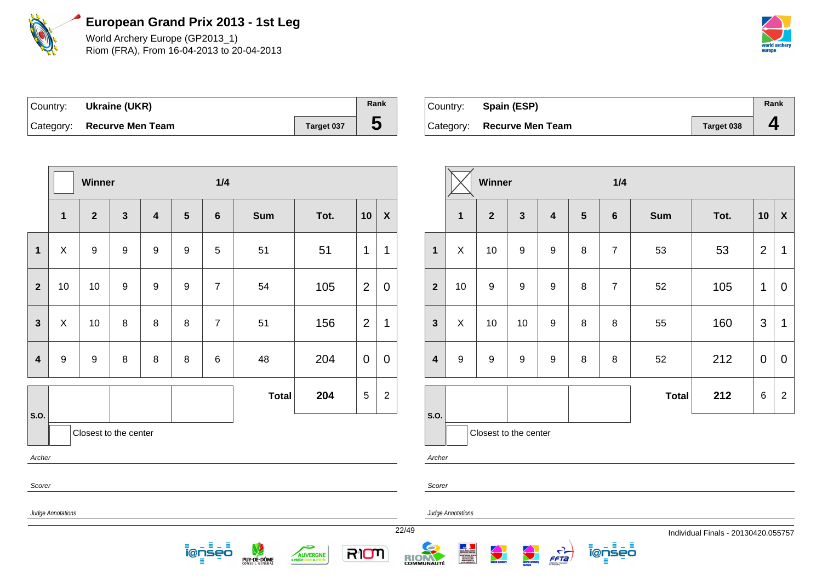

World Archery Europe (GP2013\_1) Riom (FRA), From 16-04-2013 to 20-04-2013



| ∣Country: | Ukraine (UKR)              |            | Rank |
|-----------|----------------------------|------------|------|
|           | Category: Recurve Men Team | Target 037 | C    |

| Country: | Spain (ESP)                |                   | Rank |
|----------|----------------------------|-------------------|------|
|          | Category: Recurve Men Team | <b>Target 038</b> |      |

|                         |                            | Winner                |              |                  |                 | 1/4            |                  |          |                 |                  |                         |                   |                           | Winner               |                       |                                  |                 | 1/4            |              |                                   |                 |                           |
|-------------------------|----------------------------|-----------------------|--------------|------------------|-----------------|----------------|------------------|----------|-----------------|------------------|-------------------------|-------------------|---------------------------|----------------------|-----------------------|----------------------------------|-----------------|----------------|--------------|-----------------------------------|-----------------|---------------------------|
|                         | $\mathbf{1}$               | $\mathbf{2}$          | $\mathbf{3}$ | $\overline{4}$   | $5\phantom{.0}$ | 6              | <b>Sum</b>       | Tot.     | 10              | $\boldsymbol{X}$ |                         |                   | $\mathbf{1}$              | $\overline{2}$       | $\mathbf{3}$          | 4                                | $5\phantom{.0}$ | 6              | <b>Sum</b>   | Tot.                              | 10              | $\boldsymbol{\mathsf{X}}$ |
| $\mathbf 1$             | X                          | $9\,$                 | 9            | $\boldsymbol{9}$ | 9               | 5              | 51               | 51       | $\mathbf 1$     | $\mathbf 1$      | $\mathbf{1}$            |                   | X                         | 10                   | 9                     | 9                                | 8               | $\overline{7}$ | 53           | 53                                | 2               | $\overline{1}$            |
| $\mathbf{2}$            | 10                         | 10                    | 9            | 9                | 9               | $\overline{7}$ | 54               | 105      | $\overline{2}$  | $\mathbf 0$      | $\mathbf{2}$            |                   | 10                        | 9                    | 9                     | 9                                | 8               | $\overline{7}$ | 52           | 105                               | $\overline{1}$  | $\mathbf 0$               |
| $\mathbf{3}$            | X                          | 10                    | 8            | 8                | 8               | $\overline{7}$ | 51               | 156      | $\overline{2}$  | $\mathbf 1$      | $\mathbf{3}$            |                   | $\boldsymbol{\mathsf{X}}$ | 10                   | 10                    | 9                                | 8               | 8              | 55           | 160                               | $\mathbf{3}$    | $\overline{1}$            |
| $\overline{\mathbf{4}}$ | 9                          | 9                     | 8            | 8                | 8               | 6              | 48               | 204      | $\overline{0}$  | $\mathbf 0$      | $\overline{\mathbf{4}}$ |                   | 9                         | 9                    | 9                     | 9                                | 8               | 8              | 52           | 212                               | $\overline{0}$  | $\overline{0}$            |
|                         |                            |                       |              |                  |                 |                | <b>Total</b>     | 204      | $5\phantom{.0}$ | $\overline{2}$   |                         |                   |                           |                      |                       |                                  |                 |                | <b>Total</b> | 212                               | $6\overline{6}$ | $\overline{2}$            |
| <b>S.O.</b>             |                            | Closest to the center |              |                  |                 |                |                  |          |                 |                  | s.o.                    |                   |                           |                      | Closest to the center |                                  |                 |                |              |                                   |                 |                           |
| Scorer                  | Archer<br>Archer<br>Scorer |                       |              |                  |                 |                |                  |          |                 |                  |                         |                   |                           |                      |                       |                                  |                 |                |              |                                   |                 |                           |
|                         | Judge Annotations          |                       |              |                  |                 | н              |                  | c        |                 |                  | 22/49                   | Judge Annotations |                           |                      |                       |                                  |                 |                |              | Individual Finals - 20130420.0557 |                 |                           |
|                         |                            |                       |              |                  |                 | ionseo<br>Е    | V<br>PUY-DE-DÔME | AUVERGNE | RIOM            |                  | RIOM                    |                   |                           | <b>World archary</b> | <b>All Charles</b>    | $\frac{1}{\sqrt{1-\frac{1}{2}}}$ |                 | ionseo<br>目    |              |                                   |                 |                           |

22/49 Individual Finals - 20130420.055757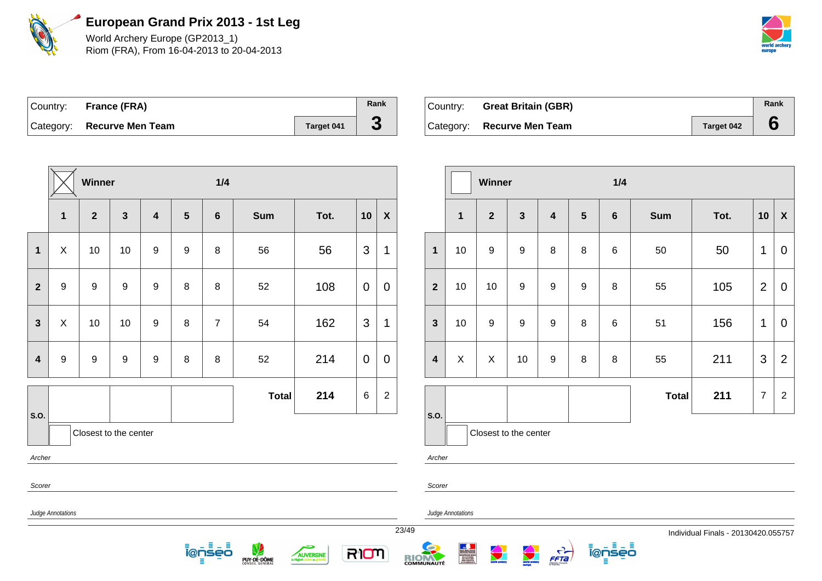

World Archery Europe (GP2013\_1) Riom (FRA), From 16-04-2013 to 20-04-2013



| Country: France (FRA)      |            | Rank |
|----------------------------|------------|------|
| Category: Recurve Men Team | Target 041 | C.   |

| Country: | <b>Great Britain (GBR)</b> |                   | Rank |
|----------|----------------------------|-------------------|------|
|          | Category: Recurve Men Team | <b>Target 042</b> |      |

|                         |                   | Winner                |              |                         |                 | 1/4                      |                  |                 |                |                  |                         |                   | Winner                |              |                                  |                 | 1/4         |              |                                   |                |                           |
|-------------------------|-------------------|-----------------------|--------------|-------------------------|-----------------|--------------------------|------------------|-----------------|----------------|------------------|-------------------------|-------------------|-----------------------|--------------|----------------------------------|-----------------|-------------|--------------|-----------------------------------|----------------|---------------------------|
|                         | $\mathbf{1}$      | $\overline{2}$        | $\mathbf{3}$ | $\overline{\mathbf{4}}$ | $5\phantom{.0}$ | 6                        | <b>Sum</b>       | Tot.            | 10             | $\boldsymbol{X}$ |                         | $\mathbf{1}$      | $\overline{2}$        | $\mathbf{3}$ | 4                                | $5\phantom{.0}$ | 6           | <b>Sum</b>   | Tot.                              | 10             | $\boldsymbol{\mathsf{X}}$ |
| $\mathbf 1$             | X                 | 10                    | 10           | 9                       | 9               | 8                        | 56               | 56              | 3              | $\mathbf 1$      | $\mathbf{1}$            | 10                | 9                     | 9            | 8                                | 8               | 6           | 50           | 50                                | $\overline{1}$ | $\mathbf 0$               |
| $\overline{2}$          | 9                 | 9                     | 9            | 9                       | 8               | 8                        | 52               | 108             | $\overline{0}$ | $\mathbf 0$      | $\mathbf{2}$            | 10                | 10                    | 9            | 9                                | 9               | 8           | 55           | 105                               | $\overline{2}$ | $\mathbf 0$               |
| $\mathbf{3}$            | X                 | 10                    | 10           | $\boldsymbol{9}$        | 8               | $\overline{7}$           | 54               | 162             | 3              | $\mathbf 1$      | $\mathbf{3}$            | 10                | 9                     | 9            | $\boldsymbol{9}$                 | 8               | 6           | 51           | 156                               | $\mathbf{1}$   | $\mathbf 0$               |
| $\overline{\mathbf{4}}$ | 9                 | 9                     | 9            | 9                       | 8               | 8                        | 52               | 214             | $\overline{0}$ | $\mathbf 0$      | $\overline{\mathbf{4}}$ | $\sf X$           | $\sf X$               | 10           | 9                                | 8               | 8           | 55           | 211                               | $\mathbf{3}$   | $\overline{2}$            |
|                         |                   |                       |              |                         |                 |                          | <b>Total</b>     | 214             | 6              | $\overline{2}$   |                         |                   |                       |              |                                  |                 |             | <b>Total</b> | 211                               | $\overline{7}$ | $\overline{2}$            |
| s.o.                    |                   | Closest to the center |              |                         |                 |                          |                  |                 |                |                  | s.o.                    |                   | Closest to the center |              |                                  |                 |             |              |                                   |                |                           |
| Archer                  |                   |                       |              |                         |                 |                          |                  |                 |                |                  | Archer                  |                   |                       |              |                                  |                 |             |              |                                   |                |                           |
| Scorer                  |                   |                       |              |                         |                 |                          |                  |                 |                |                  | Scorer                  |                   |                       |              |                                  |                 |             |              |                                   |                |                           |
|                         | Judge Annotations |                       |              |                         |                 |                          |                  |                 |                |                  |                         | Judge Annotations |                       |              |                                  |                 |             |              |                                   |                |                           |
|                         |                   |                       |              |                         |                 |                          |                  |                 |                |                  | 23/49                   |                   |                       |              |                                  |                 |             |              | Individual Finals - 20130420.0557 |                |                           |
|                         |                   |                       |              |                         |                 | Ξ.<br>- 5<br>ienseo<br>Ξ | V<br>PUY-DE-DÔME | حكم<br>AUVERGNE | RIOM           |                  | RIOM                    |                   | <b>World archary</b>  |              | $\frac{1}{\sqrt{1-\frac{1}{2}}}$ |                 | ionseo<br>目 |              |                                   |                |                           |

23/49 Individual Finals - 20130420.055757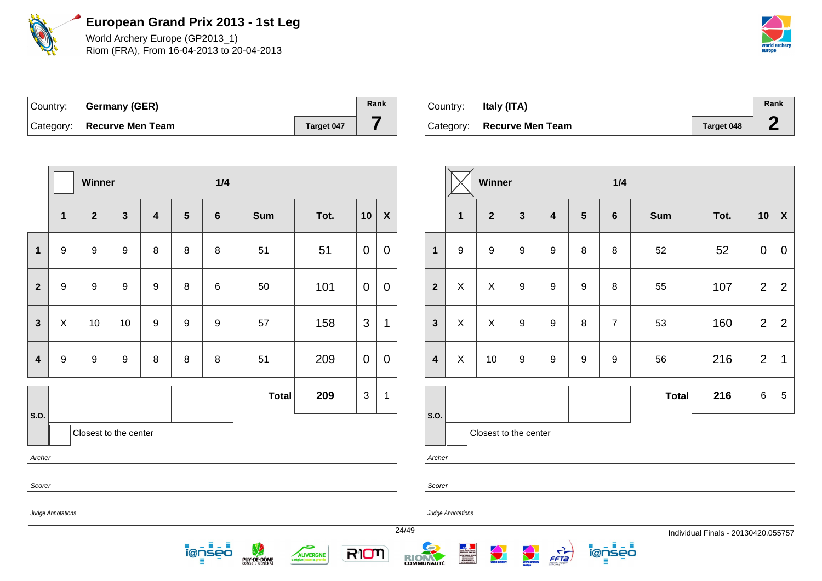

World Archery Europe (GP2013\_1) Riom (FRA), From 16-04-2013 to 20-04-2013



| Country: | Germany (GER)              |            | Rank |
|----------|----------------------------|------------|------|
|          | Category: Recurve Men Team | Target 047 |      |

| Country: | Italy (ITA)                |            | Rank       |
|----------|----------------------------|------------|------------|
|          | Category: Recurve Men Team | Target 048 | $\sqrt{2}$ |

|                         |                   | Winner                |                         |                         |                  | 1/4                     |              |                                         |                |                           |                   |                         |                   | Winner           |  |
|-------------------------|-------------------|-----------------------|-------------------------|-------------------------|------------------|-------------------------|--------------|-----------------------------------------|----------------|---------------------------|-------------------|-------------------------|-------------------|------------------|--|
|                         | $\mathbf 1$       | $\overline{2}$        | $\overline{\mathbf{3}}$ | $\overline{\mathbf{4}}$ | $5\phantom{1}$   | $6\phantom{1}$          | <b>Sum</b>   | Tot.                                    | 10             | $\boldsymbol{\mathsf{X}}$ |                   |                         | 1                 | $\overline{2}$   |  |
| $\overline{1}$          | $\boldsymbol{9}$  | 9                     | $\boldsymbol{9}$        | 8                       | 8                | 8                       | 51           | 51                                      | $\mathbf 0$    | $\mathbf 0$               |                   | $\mathbf{1}$            | $\boldsymbol{9}$  | $\boldsymbol{9}$ |  |
| $\overline{2}$          | 9                 | 9                     | 9                       | $\boldsymbol{9}$        | 8                | 6                       | 50           | 101                                     | $\mathbf 0$    | $\overline{0}$            |                   | $\overline{2}$          | $\mathsf{X}$      | $\pmb{\times}$   |  |
| $\mathbf{3}$            | $\mathsf X$       | 10                    | 10                      | $\boldsymbol{9}$        | $\boldsymbol{9}$ | 9                       | 57           | 158                                     | 3              | 1                         |                   | $\mathbf{3}$            | X                 | X                |  |
| $\overline{\mathbf{4}}$ | $\boldsymbol{9}$  | $\boldsymbol{9}$      | $\boldsymbol{9}$        | $\bf 8$                 | $\bf 8$          | 8                       | 51           | 209                                     | $\mathbf 0$    | $\mathbf 0$               |                   | $\overline{\mathbf{4}}$ | X                 | 10               |  |
| S.O.                    |                   | Closest to the center |                         |                         |                  |                         | <b>Total</b> | 209                                     | $\mathfrak{S}$ | $\mathbf 1$               |                   | S.O.                    |                   | Closest to the   |  |
| Archer                  |                   |                       |                         |                         |                  |                         |              |                                         |                |                           |                   | Archer                  |                   |                  |  |
|                         | Scorer<br>Scorer  |                       |                         |                         |                  |                         |              |                                         |                |                           |                   |                         |                   |                  |  |
|                         | Judge Annotations |                       |                         |                         |                  |                         |              |                                         |                |                           | 24/49             |                         | Judge Annotations |                  |  |
|                         |                   |                       |                         |                         |                  | 日山目<br><u> Ī̃@ņ̃Šēo</u> | PUY-DE-DÔME  | <b>AUVERGNE</b><br>la région juste et g | RION           |                           | <b>RICHARDITÉ</b> |                         |                   |                  |  |

|                         |                  | Winner                |                  |                         |                  | 1/4              |              |      |                |                    |
|-------------------------|------------------|-----------------------|------------------|-------------------------|------------------|------------------|--------------|------|----------------|--------------------|
|                         | 1                | $\mathbf{2}$          | $\mathbf{3}$     | $\overline{\mathbf{4}}$ | 5                | $\bf 6$          | <b>Sum</b>   | Tot. | 10             | $\pmb{\mathsf{X}}$ |
| $\mathbf{1}$            | $\boldsymbol{9}$ | $\boldsymbol{9}$      | 9                | $\boldsymbol{9}$        | 8                | 8                | 52           | 52   | 0              | $\overline{0}$     |
| $\overline{2}$          | X                | X                     | $\boldsymbol{9}$ | $\boldsymbol{9}$        | $\boldsymbol{9}$ | 8                | 55           | 107  | $\overline{2}$ | $\overline{2}$     |
| $\mathbf{3}$            | X                | X                     | 9                | $\boldsymbol{9}$        | 8                | $\overline{7}$   | 53           | 160  | $\overline{2}$ | $\overline{2}$     |
| $\overline{\mathbf{4}}$ | X                | 10                    | 9                | $\boldsymbol{9}$        | $\boldsymbol{9}$ | $\boldsymbol{9}$ | 56           | 216  | $\overline{2}$ | 1                  |
|                         |                  |                       |                  |                         |                  |                  | <b>Total</b> | 216  | 6              | 5                  |
| .0.5                    |                  |                       |                  |                         |                  |                  |              |      |                |                    |
|                         |                  | Closest to the center |                  |                         |                  |                  |              |      |                |                    |

i@nseo

FFTa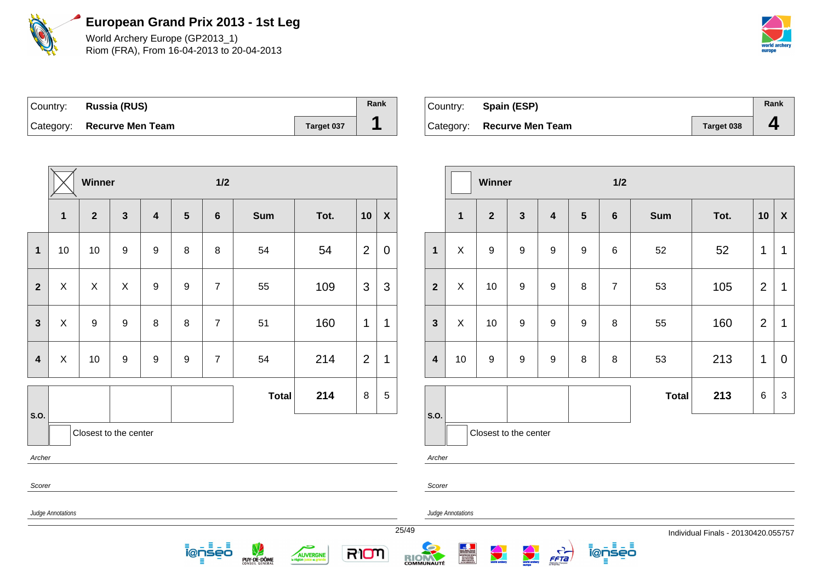

World Archery Europe (GP2013\_1) Riom (FRA), From 16-04-2013 to 20-04-2013



| Country: | Russia (RUS)               |            | Rank |
|----------|----------------------------|------------|------|
|          | Category: Recurve Men Team | Target 037 |      |

| Country: Spain (ESP)       |            | Rank           |
|----------------------------|------------|----------------|
| Category: Recurve Men Team | Target 038 | $\overline{a}$ |

|                         |                                                                                                                                                                                                         | Winner                |              |                         |                  | $1/2$          |              |      |                |                  |  |                         |                | Winner         |                       |                         |  |
|-------------------------|---------------------------------------------------------------------------------------------------------------------------------------------------------------------------------------------------------|-----------------------|--------------|-------------------------|------------------|----------------|--------------|------|----------------|------------------|--|-------------------------|----------------|----------------|-----------------------|-------------------------|--|
|                         | 1                                                                                                                                                                                                       | $\overline{2}$        | $\mathbf{3}$ | $\overline{\mathbf{4}}$ | $5\phantom{1}$   | $6\phantom{1}$ | <b>Sum</b>   | Tot. | 10             | $\boldsymbol{X}$ |  |                         | $\mathbf 1$    | $\overline{2}$ | 3                     | $\overline{\mathbf{4}}$ |  |
| $\mathbf{1}$            | 10                                                                                                                                                                                                      | 10                    | $9\,$        | 9                       | 8                | 8              | 54           | 54   | $\overline{2}$ | $\mathbf 0$      |  | $\mathbf{1}$            | X              | 9              | 9                     | $\boldsymbol{9}$        |  |
| $\mathbf{2}$            | $\boldsymbol{\mathsf{X}}$                                                                                                                                                                               | $\pmb{\times}$        | X            | $\boldsymbol{9}$        | 9                | $\overline{7}$ | 55           | 109  | 3              | 3                |  | $\overline{2}$          | $\pmb{\times}$ | 10             | 9                     | $\boldsymbol{9}$        |  |
| $\overline{\mathbf{3}}$ | $\boldsymbol{\mathsf{X}}$                                                                                                                                                                               | $\boldsymbol{9}$      | 9            | 8                       | 8                | $\overline{7}$ | 51           | 160  | $\mathbf{1}$   | $\mathbf 1$      |  | $\overline{\mathbf{3}}$ | $\pmb{\times}$ | 10             | $\boldsymbol{9}$      | $\boldsymbol{9}$        |  |
| 4                       | X                                                                                                                                                                                                       | 10                    | $9\,$        | $\boldsymbol{9}$        | $\boldsymbol{9}$ | $\overline{7}$ | 54           | 214  | $\overline{2}$ | $\mathbf 1$      |  | $\overline{\mathbf{4}}$ | 10             | 9              | 9                     | $\boldsymbol{9}$        |  |
| S.O.                    |                                                                                                                                                                                                         |                       |              |                         |                  |                | <b>Total</b> | 214  | 8              | $\sqrt{5}$       |  | S.O.                    |                |                |                       |                         |  |
|                         |                                                                                                                                                                                                         | Closest to the center |              |                         |                  |                |              |      |                |                  |  |                         |                |                | Closest to the center |                         |  |
| Archer                  |                                                                                                                                                                                                         |                       |              |                         |                  |                |              |      |                |                  |  | Archer                  |                |                |                       |                         |  |
| Scorer                  |                                                                                                                                                                                                         |                       |              |                         |                  |                |              |      |                |                  |  | Scorer                  |                |                |                       |                         |  |
|                         | Judge Annotations<br>Judge Annotations                                                                                                                                                                  |                       |              |                         |                  |                |              |      |                |                  |  |                         |                |                |                       |                         |  |
|                         | $\frac{25}{49}$<br>日口目<br>Ξ<br><b>Contract Contract Contract</b><br>world archery<br>i@nseo<br>RION<br>$\frac{C}{\sqrt{5}}$<br>AUVERGNE<br><b>RICHARDE</b><br>PUY-DE-DÔME<br>la région juste et gr<br>Ξ |                       |              |                         |                  |                |              |      |                |                  |  |                         |                |                |                       |                         |  |

|                         |              | <b>Winner</b>         |                  |                         |                  | 1/2            |              |      |    |              |  |  |  |
|-------------------------|--------------|-----------------------|------------------|-------------------------|------------------|----------------|--------------|------|----|--------------|--|--|--|
|                         | $\mathbf{1}$ | $\overline{2}$        | $\mathbf{3}$     | $\overline{\mathbf{4}}$ | $5\phantom{1}$   | $6\phantom{1}$ | <b>Sum</b>   | Tot. | 10 | $\pmb{\chi}$ |  |  |  |
| $\overline{\mathbf{1}}$ | X            | 9                     | $\boldsymbol{9}$ | 9                       | $\boldsymbol{9}$ | 6              | 52           | 52   | 1  | 1            |  |  |  |
| $\overline{\mathbf{2}}$ | X            | 10                    | $\boldsymbol{9}$ | 9                       | 8                | $\overline{7}$ | 53           | 105  | 2  | 1            |  |  |  |
| 3                       | X            | 10                    | $\boldsymbol{9}$ | 9                       | $\boldsymbol{9}$ | 8              | 55           | 160  | 2  | 1            |  |  |  |
| 4                       | 10           | 9                     | $\boldsymbol{9}$ | 9                       | 8                | 8              | 53           | 213  | 1  | 0            |  |  |  |
|                         |              |                       |                  |                         |                  |                | <b>Total</b> | 213  | 6  | 3            |  |  |  |
| .O.                     |              | Closest to the center |                  |                         |                  |                |              |      |    |              |  |  |  |

ienseo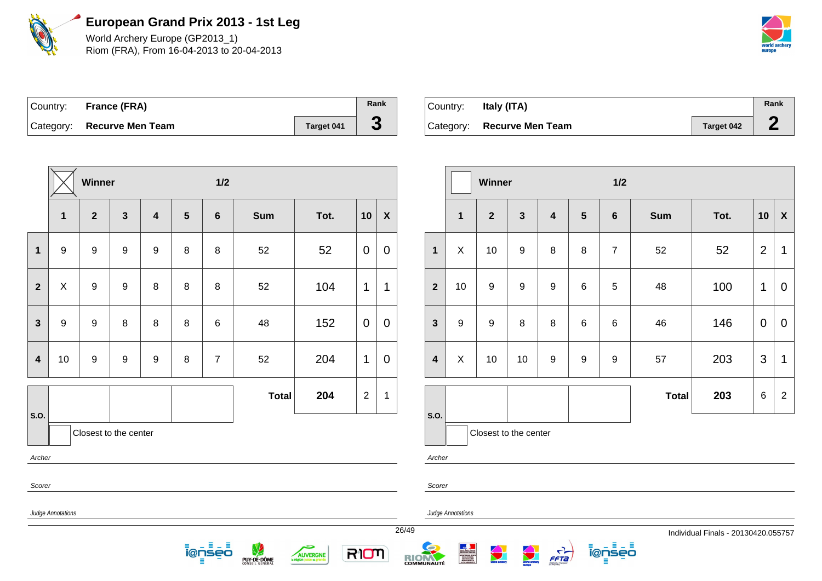

World Archery Europe (GP2013\_1) Riom (FRA), From 16-04-2013 to 20-04-2013



| Country: France (FRA)      |            | Rank |
|----------------------------|------------|------|
| Category: Recurve Men Team | Target 041 | C.   |

| Country:  | Italy (ITA)             |                   | Rank |
|-----------|-------------------------|-------------------|------|
| Category: | <b>Recurve Men Team</b> | <b>Target 042</b> |      |

|                         | $1/2$<br>Winner                                                                                                                                                                                                                                                                                                                                                                                                                      |              |                       |                         |                 |                |              |      |                |                           |  |                         | $1/2$<br>Winner          |                       |                  |   |                |                |              |      |                |                |
|-------------------------|--------------------------------------------------------------------------------------------------------------------------------------------------------------------------------------------------------------------------------------------------------------------------------------------------------------------------------------------------------------------------------------------------------------------------------------|--------------|-----------------------|-------------------------|-----------------|----------------|--------------|------|----------------|---------------------------|--|-------------------------|--------------------------|-----------------------|------------------|---|----------------|----------------|--------------|------|----------------|----------------|
|                         | 1                                                                                                                                                                                                                                                                                                                                                                                                                                    | $\mathbf{2}$ | $\mathbf{3}$          | $\overline{\mathbf{4}}$ | $5\phantom{.0}$ | $6\phantom{1}$ | Sum          | Tot. | 10             | $\boldsymbol{\mathsf{X}}$ |  |                         | $\mathbf{1}$             | $\mathbf{2}$          | 3                | 4 | $5\phantom{1}$ | $6\phantom{1}$ | Sum          | Tot. | 10             | $\mathbf{X}$   |
| $\mathbf 1$             | 9                                                                                                                                                                                                                                                                                                                                                                                                                                    | 9            | 9                     | 9                       | 8               | 8              | 52           | 52   | $\overline{0}$ | $\mathbf 0$               |  | $\mathbf{1}$            | X                        | 10                    | $\boldsymbol{9}$ | 8 | 8              | $\overline{7}$ | 52           | 52   | $\overline{2}$ | $\mathbf 1$    |
| $\overline{2}$          | X                                                                                                                                                                                                                                                                                                                                                                                                                                    | 9            | 9                     | 8                       | 8               | $\,8\,$        | 52           | 104  | $\mathbf{1}$   | 1                         |  | $\overline{2}$          | 10                       | 9                     | 9                | 9 | $\,6$          | 5              | 48           | 100  | 1              | $\overline{0}$ |
| $\mathbf{3}$            | 9                                                                                                                                                                                                                                                                                                                                                                                                                                    | 9            | 8                     | 8                       | 8               | 6              | 48           | 152  | $\mathbf 0$    | $\mathbf 0$               |  | $\mathbf{3}$            | 9                        | 9                     | 8                | 8 | 6              | 6              | 46           | 146  | $\mathbf 0$    | $\overline{0}$ |
| $\overline{\mathbf{4}}$ | 10                                                                                                                                                                                                                                                                                                                                                                                                                                   | 9            | 9                     | 9                       | 8               | $\overline{7}$ | 52           | 204  | $\mathbf{1}$   | $\mathbf 0$               |  | $\overline{\mathbf{4}}$ | X                        | 10                    | 10               | 9 | 9              | 9              | 57           | 203  | $\mathfrak{S}$ | $\mathbf 1$    |
| S.O.                    |                                                                                                                                                                                                                                                                                                                                                                                                                                      |              |                       |                         |                 |                | <b>Total</b> | 204  | $\overline{2}$ | $\mathbf 1$               |  | <b>S.O.</b>             |                          |                       |                  |   |                |                | <b>Total</b> | 203  | 6              | $\overline{2}$ |
|                         |                                                                                                                                                                                                                                                                                                                                                                                                                                      |              | Closest to the center |                         |                 |                |              |      |                |                           |  |                         |                          | Closest to the center |                  |   |                |                |              |      |                |                |
| Archer                  |                                                                                                                                                                                                                                                                                                                                                                                                                                      |              |                       |                         |                 |                |              |      |                |                           |  | Archer                  |                          |                       |                  |   |                |                |              |      |                |                |
| Scorer                  |                                                                                                                                                                                                                                                                                                                                                                                                                                      |              |                       |                         |                 |                |              |      |                |                           |  | Scorer                  |                          |                       |                  |   |                |                |              |      |                |                |
|                         | Judge Annotations                                                                                                                                                                                                                                                                                                                                                                                                                    |              |                       |                         |                 |                |              |      |                |                           |  |                         | <b>Judge Annotations</b> |                       |                  |   |                |                |              |      |                |                |
|                         | 26/49<br>Individual Finals - 20130420.055757<br>ionseo<br>目出目<br><u> ĩ@ņsēō</u><br>PUY-DE-DÔME<br><b>Contract Contract Contract Contract Contract Contract Contract Contract Contract Contract Contract Contract Contract Contract Contract Contract Contract Contract Contract Contract Contract Contract Contract Contract Contr</b><br>$\bigodot$<br>$\frac{5}{5572}$<br>RIOM<br>AUVERGNE<br><b>RIOM</b><br>la région juste et gr |              |                       |                         |                 |                |              |      |                |                           |  |                         |                          |                       |                  |   |                |                |              |      |                |                |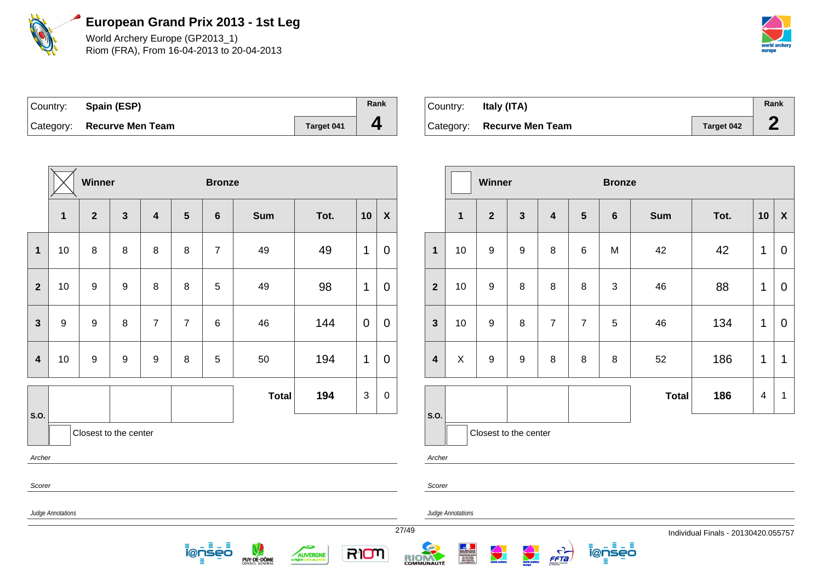

World Archery Europe (GP2013\_1) Riom (FRA), From 16-04-2013 to 20-04-2013



| Country: Spain (ESP)       |            | Rank |
|----------------------------|------------|------|
| Category: Recurve Men Team | Target 041 |      |

| Country:  | Italy (ITA)             |                   | Rank |
|-----------|-------------------------|-------------------|------|
| Category: | <b>Recurve Men Team</b> | <b>Target 042</b> |      |

|                         |                                        | <b>Winner</b>         |                  |                         |                | <b>Bronze</b>  |              |                              |                           |                  |           |                         |              | W    |
|-------------------------|----------------------------------------|-----------------------|------------------|-------------------------|----------------|----------------|--------------|------------------------------|---------------------------|------------------|-----------|-------------------------|--------------|------|
|                         | $\mathbf{1}$                           | $\overline{2}$        | $\mathbf{3}$     | $\overline{\mathbf{4}}$ | $5\phantom{1}$ | $6\phantom{1}$ | <b>Sum</b>   | Tot.                         | 10                        | $\boldsymbol{X}$ |           |                         | $\mathbf{1}$ |      |
| $\mathbf{1}$            | 10                                     | 8                     | 8                | $\,8\,$                 | 8              | $\overline{7}$ | 49           | 49                           | 1                         | $\mathbf 0$      |           | 1                       | 10           |      |
| $\overline{2}$          | 10                                     | $\boldsymbol{9}$      | $\boldsymbol{9}$ | 8                       | $\bf 8$        | 5              | 49           | 98                           | 1                         | $\mathbf 0$      |           | $\overline{2}$          | 10           |      |
| $\mathbf{3}$            | 9                                      | $\boldsymbol{9}$      | 8                | $\overline{7}$          | $\overline{7}$ | 6              | 46           | 144                          | $\overline{0}$            | $\mathbf 0$      |           | $\mathbf{3}$            | 10           |      |
| $\overline{\mathbf{4}}$ | 10                                     | $\boldsymbol{9}$      | $\boldsymbol{9}$ | $\boldsymbol{9}$        | 8              | 5              | 50           | 194                          | 1                         | $\mathbf 0$      |           | $\overline{\mathbf{4}}$ | $\mathsf{X}$ |      |
|                         |                                        |                       |                  |                         |                |                | <b>Total</b> | 194                          | $\ensuremath{\mathsf{3}}$ | 0                |           |                         |              |      |
| S.O.                    |                                        | Closest to the center |                  |                         |                |                |              |                              |                           |                  |           | <b>S.O.</b>             |              | Clos |
| Archer                  |                                        |                       |                  |                         |                |                |              |                              |                           |                  |           | Archer                  |              |      |
| Scorer                  |                                        |                       |                  |                         |                |                |              |                              |                           |                  |           | Scorer                  |              |      |
|                         | Judge Annotations<br>Judge Annotations |                       |                  |                         |                |                |              |                              |                           |                  |           |                         |              |      |
| 27/49                   |                                        |                       |                  |                         |                |                |              |                              |                           |                  |           |                         |              |      |
|                         |                                        |                       |                  |                         |                | ienses         | PUY-DE-DÔME  | <b>AUVERGNE</b><br>la répion | mora                      |                  | R<br>COMM |                         |              |      |

RIOM

|                         |             | Winner                |                  |                         |                | <b>Bronze</b> |              |      |             |             |
|-------------------------|-------------|-----------------------|------------------|-------------------------|----------------|---------------|--------------|------|-------------|-------------|
|                         | $\mathbf 1$ | $\mathbf{2}$          | $\mathbf{3}$     | $\overline{\mathbf{4}}$ | $5\phantom{1}$ | 6             | <b>Sum</b>   | Tot. | 10          | $\mathbf x$ |
| $\mathbf{1}$            | 10          | $\boldsymbol{9}$      | $\boldsymbol{9}$ | 8                       | 6              | M             | 42           | 42   | 1           | $\mathbf 0$ |
| $\overline{2}$          | 10          | $\boldsymbol{9}$      | 8                | 8                       | 8              | $\mathbf{3}$  | 46           | 88   | 1           | 0           |
| $\mathbf{3}$            | 10          | $\boldsymbol{9}$      | 8                | $\overline{7}$          | $\overline{7}$ | 5             | 46           | 134  | $\mathbf 1$ | $\mathbf 0$ |
| $\overline{\mathbf{4}}$ | X           | $\boldsymbol{9}$<br>9 |                  | 8                       | 8              | 8             | 52           | 186  | 1           | 1           |
|                         |             |                       |                  |                         |                |               | <b>Total</b> | 186  | 4           | 1           |
| S.O.                    |             | Closest to the center |                  |                         |                |               |              |      |             |             |

ienseo

 $\frac{1}{\sqrt{1-\frac{1}{2}}}$ 

world archery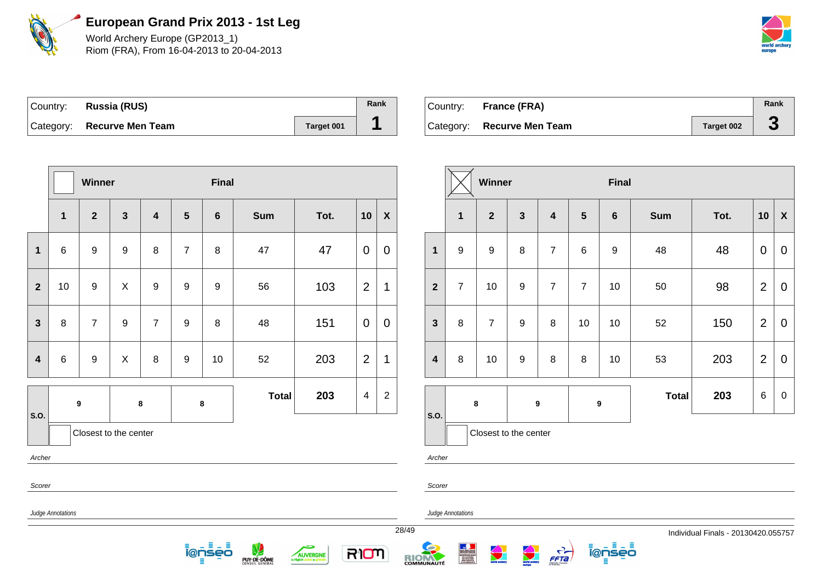

World Archery Europe (GP2013\_1) Riom (FRA), From 16-04-2013 to 20-04-2013



| Country: Russia (RUS)      |            | Rank |
|----------------------------|------------|------|
| Category: Recurve Men Team | Target 001 |      |

| Country: | France (FRA)               |                   | Rank |
|----------|----------------------------|-------------------|------|
|          | Category: Recurve Men Team | <b>Target 002</b> |      |

|                         |              | Winner           |                       |                         |                  | <b>Final</b>                                                                |            |      |                |                |       |                         |                   |  |
|-------------------------|--------------|------------------|-----------------------|-------------------------|------------------|-----------------------------------------------------------------------------|------------|------|----------------|----------------|-------|-------------------------|-------------------|--|
|                         | $\mathbf{1}$ | $\overline{2}$   | $\mathbf{3}$          | $\overline{\mathbf{4}}$ | $5\phantom{1}$   | $6\phantom{1}$                                                              | <b>Sum</b> | Tot. | 10             | $\pmb{\chi}$   |       |                         | 1                 |  |
| $\mathbf{1}$            | 6            | $\boldsymbol{9}$ | $\boldsymbol{9}$      | 8                       | $\overline{7}$   | 8                                                                           | 47         | 47   | $\overline{0}$ | $\overline{0}$ |       | 1                       | 9                 |  |
| $\mathbf{2}$            | 10           | $\boldsymbol{9}$ | X                     | $\boldsymbol{9}$        | $\boldsymbol{9}$ | 9                                                                           | 56         | 103  | $\overline{2}$ | 1              |       | $\overline{2}$          | $\overline{7}$    |  |
| $\mathbf{3}$            | 8            | $\overline{7}$   | $\boldsymbol{9}$      | $\overline{7}$          | $\boldsymbol{9}$ | 8                                                                           | 48         | 151  | 0              | $\mathbf 0$    |       | $\mathbf{3}$            | 8                 |  |
| $\overline{\mathbf{4}}$ | $\,6$        | $\boldsymbol{9}$ | $\mathsf{X}$          | 8                       | $\boldsymbol{9}$ | 10                                                                          | 52         | 203  | $\overline{2}$ | 1              |       | $\overline{\mathbf{4}}$ | 8                 |  |
| S.O.                    |              | $\boldsymbol{9}$ |                       | $\bf 8$                 |                  | 203<br>$\overline{2}$<br><b>Total</b><br>$\overline{\mathcal{A}}$<br>$\bf8$ |            |      |                |                |       | S.O.                    | $\bf8$            |  |
|                         |              |                  | Closest to the center |                         |                  |                                                                             |            |      |                |                |       |                         | Ck                |  |
| Archer                  |              |                  |                       |                         |                  |                                                                             |            |      |                |                |       | Archer                  |                   |  |
| Scorer                  |              |                  |                       |                         |                  |                                                                             |            |      |                |                |       | Scorer                  |                   |  |
| Judge Annotations       |              |                  |                       |                         |                  |                                                                             |            |      |                |                |       |                         | Judge Annotations |  |
|                         |              |                  |                       |                         |                  |                                                                             |            |      |                |                | 28/49 |                         |                   |  |

PUY-DE-DÔME

5

AUVERGNE

RIOM

<u> ĩ@ņsēō</u> 目

|                         |                         | Winner                |              |                         |                 | <b>Final</b>     |              |      |                |                           |
|-------------------------|-------------------------|-----------------------|--------------|-------------------------|-----------------|------------------|--------------|------|----------------|---------------------------|
|                         | $\overline{\mathbf{1}}$ | $\overline{2}$        | $\mathbf{3}$ | $\overline{\mathbf{4}}$ | $5\phantom{.0}$ | $6\phantom{1}6$  | <b>Sum</b>   | Tot. | 10             | $\boldsymbol{\mathsf{X}}$ |
| $\overline{\mathbf{1}}$ | $\boldsymbol{9}$        | $\boldsymbol{9}$      | 8            | $\overline{7}$          | 6               | $\boldsymbol{9}$ | 48           | 48   | $\mathbf 0$    | 0                         |
| $\overline{2}$          | $\overline{7}$          | 10                    | 9            | $\overline{7}$          | $\overline{7}$  | 10               | 50           | 98   | $\overline{2}$ | 0                         |
| 3                       | 8                       | $\overline{7}$        | 9            |                         | 10              | 10               | 52           | 150  | $\overline{2}$ | $\mathbf 0$               |
| 4                       | 8                       | 10                    | 9<br>8       |                         | 8<br>10         |                  | 53           | 203  | $\overline{2}$ | $\mathbf 0$               |
| .O.                     | $\bf8$                  |                       |              | $\boldsymbol{9}$        |                 | $\boldsymbol{9}$ | <b>Total</b> | 203  | 6              | 0                         |
|                         |                         | Closest to the center |              |                         |                 |                  |              |      |                |                           |

ienseo

 $\frac{C}{FFA}$ 

RIOM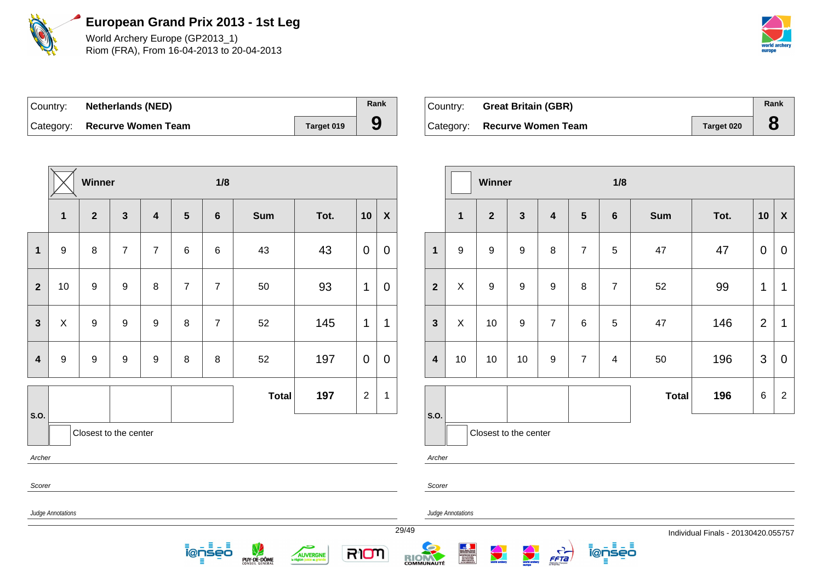

World Archery Europe (GP2013\_1) Riom (FRA), From 16-04-2013 to 20-04-2013



| Country: Netherlands (NED)   |            | Rank |
|------------------------------|------------|------|
| Category: Recurve Women Team | Target 019 |      |

| Country: Great Britain (GBR) |            | Rank |
|------------------------------|------------|------|
| Category: Recurve Women Team | Target 020 |      |

|                                                                                                                         |                                                                                                                                                                                                                                    | Winner           |                       |                         |                | 1/8              |              |      |                |                           |  |                         |                  | Winner           |                    |
|-------------------------------------------------------------------------------------------------------------------------|------------------------------------------------------------------------------------------------------------------------------------------------------------------------------------------------------------------------------------|------------------|-----------------------|-------------------------|----------------|------------------|--------------|------|----------------|---------------------------|--|-------------------------|------------------|------------------|--------------------|
|                                                                                                                         | $\mathbf{1}$                                                                                                                                                                                                                       | $\overline{2}$   | $\mathbf{3}$          | $\overline{\mathbf{4}}$ | $5\phantom{1}$ | $\boldsymbol{6}$ | <b>Sum</b>   | Tot. | 10             | $\boldsymbol{\mathsf{X}}$ |  |                         | $\mathbf{1}$     | $\overline{2}$   | $\mathbf{3}$       |
| $\mathbf{1}$                                                                                                            | $\boldsymbol{9}$                                                                                                                                                                                                                   | $\,8\,$          | $\overline{7}$        | $\overline{7}$          | $\,6\,$        | $\,6$            | 43           | 43   | $\mathbf 0$    | $\mathbf 0$               |  | $\mathbf{1}$            | $\boldsymbol{9}$ | $\boldsymbol{9}$ | $\boldsymbol{9}$   |
| $\overline{2}$                                                                                                          | 10                                                                                                                                                                                                                                 | $\boldsymbol{9}$ | $\boldsymbol{9}$      | $\,8\,$                 | $\overline{7}$ | $\overline{7}$   | 50           | 93   | 1              | $\mathbf 0$               |  | $\overline{2}$          | $\pmb{\times}$   | $\boldsymbol{9}$ | $\boldsymbol{9}$   |
| $\pmb{\times}$<br>$\boldsymbol{9}$<br>$\boldsymbol{9}$<br>$\boldsymbol{9}$<br>$\,8\,$<br>$\mathbf{3}$<br>$\overline{7}$ |                                                                                                                                                                                                                                    |                  |                       |                         |                |                  | 52           | 145  | $\mathbf{1}$   | 1                         |  | $\overline{\mathbf{3}}$ | $\pmb{\times}$   | 10               | $\mathsf g$        |
| $\overline{\mathbf{4}}$                                                                                                 | $\boldsymbol{9}$                                                                                                                                                                                                                   | $\boldsymbol{9}$ | $\boldsymbol{9}$      | $\boldsymbol{9}$        | $\,8\,$        | $\, 8$           | 52           | 197  | $\overline{0}$ | $\overline{0}$            |  | $\overline{\mathbf{4}}$ | 10               | 10               | 10                 |
| S.O.                                                                                                                    |                                                                                                                                                                                                                                    |                  |                       |                         |                |                  | <b>Total</b> | 197  | $\overline{2}$ | 1                         |  | S.O.                    |                  |                  |                    |
|                                                                                                                         |                                                                                                                                                                                                                                    |                  | Closest to the center |                         |                |                  |              |      |                |                           |  |                         |                  |                  | Closest to the cer |
| Archer                                                                                                                  |                                                                                                                                                                                                                                    |                  |                       |                         |                |                  |              |      |                |                           |  | Archer                  |                  |                  |                    |
| Scorer                                                                                                                  |                                                                                                                                                                                                                                    |                  |                       |                         |                |                  |              |      |                |                           |  | Scorer                  |                  |                  |                    |
|                                                                                                                         | Judge Annotations<br>Judge Annotations                                                                                                                                                                                             |                  |                       |                         |                |                  |              |      |                |                           |  |                         |                  |                  |                    |
|                                                                                                                         | 29/49<br>目出目<br><b>Contract Service</b><br>RION<br>i@nseo<br>Service Andre Francis<br>Bernston Process<br>Antiche des Sciences<br>Construction<br>Construction<br>LAVEABOOMEN<br><b>AUVERGNE</b><br>PUY-DE-DÔME<br>COMMUNAUTÉ<br>Ξ |                  |                       |                         |                |                  |              |      |                |                           |  |                         |                  |                  |                    |

|                         |              | Winner                |              |                         |                | 1/8            |              |      |                |                  |  |  |  |  |  |
|-------------------------|--------------|-----------------------|--------------|-------------------------|----------------|----------------|--------------|------|----------------|------------------|--|--|--|--|--|
|                         | $\mathbf{1}$ | $\overline{2}$        | $\mathbf{3}$ | $\overline{\mathbf{4}}$ | $5\phantom{1}$ | $6\phantom{1}$ | Sum          | Tot. | 10             | $\boldsymbol{X}$ |  |  |  |  |  |
| $\overline{\mathbf{1}}$ | 9            | 9                     | 9            | 8                       | $\overline{7}$ | 5              | 47           | 47   | 0              | 0                |  |  |  |  |  |
| $\overline{2}$          | X            | 9                     | 9            | 9                       | 8              | $\overline{7}$ | 52           | 99   | 1              | $\mathbf 1$      |  |  |  |  |  |
| 3                       | X            | 10                    | 9            | $\overline{7}$          | 6              | 5              | 47           | 146  | $\overline{2}$ | 1                |  |  |  |  |  |
| 4                       | $10$         | 10                    | 10           | 9                       | $\overline{7}$ | 4              | 50           | 196  | 3              | $\overline{0}$   |  |  |  |  |  |
|                         |              |                       |              |                         |                |                | <b>Total</b> | 196  | 6              | $\overline{2}$   |  |  |  |  |  |
| .O.                     |              | Closest to the center |              |                         |                |                |              |      |                |                  |  |  |  |  |  |

i@nseo

FFTa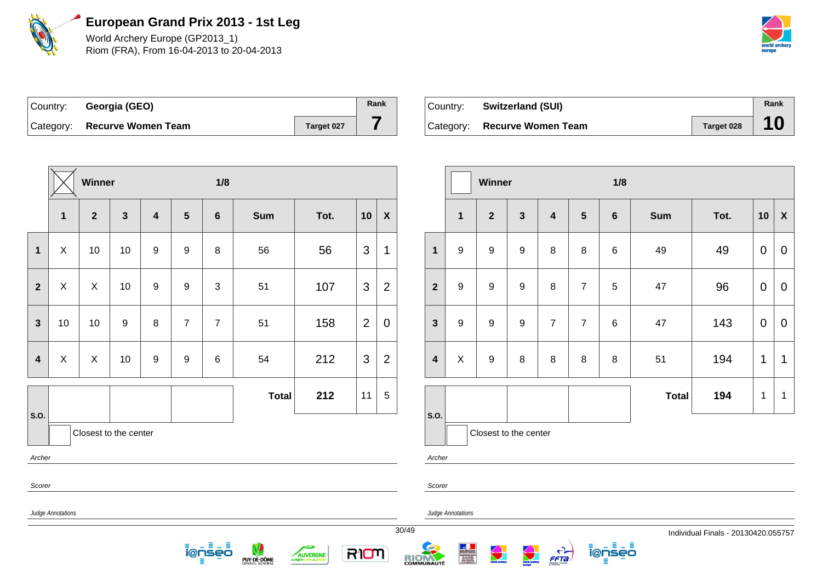

World Archery Europe (GP2013\_1) Riom (FRA), From 16-04-2013 to 20-04-2013



| Country: Georgia (GEO)       |            | Rank |
|------------------------------|------------|------|
| Category: Recurve Women Team | Target 027 |      |

| Country: | <b>Switzerland (SUI)</b>     |            | Rank |
|----------|------------------------------|------------|------|
|          | Category: Recurve Women Team | Target 028 |      |

|                         |              | Winner         |                       |                         |                  | 1/8            |              |      |                |                           |       |                         |                   |
|-------------------------|--------------|----------------|-----------------------|-------------------------|------------------|----------------|--------------|------|----------------|---------------------------|-------|-------------------------|-------------------|
|                         | 1            | $\overline{2}$ | $\mathbf{3}$          | $\overline{\mathbf{4}}$ | $5\phantom{1}$   | $\bf 6$        | <b>Sum</b>   | Tot. | 10             | $\boldsymbol{\mathsf{X}}$ |       |                         | $\mathbf{1}$      |
| $\mathbf 1$             | X            | 10             | 10                    | $\boldsymbol{9}$        | $\boldsymbol{9}$ | $\bf 8$        | 56           | 56   | 3              | 1                         |       | $\mathbf{1}$            | $\boldsymbol{9}$  |
| $\overline{2}$          | $\mathsf{X}$ | $\pmb{\times}$ | 10                    | $\boldsymbol{9}$        | $\boldsymbol{9}$ | $\mathfrak{S}$ | 51           | 107  | 3              | $\overline{2}$            |       | $\overline{2}$          | $\boldsymbol{9}$  |
| $\mathbf{3}$            | 10           | 10             | $\boldsymbol{9}$      | $\bf 8$                 | $\overline{7}$   | $\overline{7}$ | 51           | 158  | $\overline{2}$ | $\mathbf 0$               |       | 3                       | $\boldsymbol{9}$  |
| $\overline{\mathbf{4}}$ | $\mathsf X$  | $\pmb{\times}$ | 10                    | $\boldsymbol{9}$        | 9                | $\,6$          | 54           | 212  | 3              | $\overline{2}$            |       | $\overline{\mathbf{4}}$ | $\pmb{\times}$    |
|                         |              |                |                       |                         |                  |                | <b>Total</b> | 212  | 11             | 5                         |       |                         |                   |
| S.O.                    |              |                | Closest to the center |                         |                  |                |              |      |                |                           |       | S.O.                    | $\mathsf{C}$      |
| Archer                  |              |                |                       |                         |                  |                |              |      |                |                           |       | Archer                  |                   |
| Scorer                  |              |                |                       |                         |                  |                |              |      |                |                           |       | Scorer                  |                   |
| Judge Annotations       |              |                |                       |                         |                  |                |              |      |                |                           |       |                         | Judge Annotations |
|                         |              |                |                       |                         |                  |                |              |      |                |                           | 30/49 |                         |                   |

5

AUVERGNE

RION

<u> ĩ@ņsēō</u>

PUY-DE-DÔME

|                         |                  | Winner                |                  |                         |                | 1/8             |              |      |              |                           |  |  |  |  |  |
|-------------------------|------------------|-----------------------|------------------|-------------------------|----------------|-----------------|--------------|------|--------------|---------------------------|--|--|--|--|--|
|                         | $\mathbf{1}$     | $\mathbf{2}$          | $\mathbf{3}$     | $\overline{\mathbf{4}}$ | $5\phantom{1}$ | $6\phantom{1}6$ | Sum          | Tot. | 10           | $\boldsymbol{\mathsf{X}}$ |  |  |  |  |  |
| $\overline{\mathbf{1}}$ | 9                | 9                     | $\boldsymbol{9}$ | 8                       | 8              | $6\phantom{1}6$ | 49           | 49   | $\pmb{0}$    | $\boldsymbol{0}$          |  |  |  |  |  |
| $\overline{\mathbf{2}}$ | $\boldsymbol{9}$ | 9                     | 9                | 8                       | $\overline{7}$ | 5               | 47           | 96   | $\mathbf 0$  | $\mathbf 0$               |  |  |  |  |  |
| 3                       | $\boldsymbol{9}$ | 9                     | $\boldsymbol{9}$ | $\overline{7}$          | $\overline{7}$ | $6\phantom{1}6$ | 47           | 143  | $\pmb{0}$    | $\mathbf 0$               |  |  |  |  |  |
| 4                       | X                | 9                     | 8                | 8                       | $\, 8$         | 8               | 51           | 194  | 1            | $\mathbf{1}$              |  |  |  |  |  |
|                         |                  |                       |                  |                         |                |                 | <b>Total</b> | 194  | $\mathbf{1}$ | $\mathbf 1$               |  |  |  |  |  |
| .O.                     |                  | Closest to the center |                  |                         |                |                 |              |      |              |                           |  |  |  |  |  |
|                         |                  |                       |                  |                         |                |                 |              |      |              |                           |  |  |  |  |  |

ienseo

 $\frac{C}{FFA}$ 

 $\begin{array}{r|l} \hline \textbf{A} & \textbf{B} & \textbf{B} & \textbf{B} \\ \hline \textbf{B} & \textbf{B} & \textbf{B} & \textbf{B} & \textbf{B} \\ \hline \textbf{B} & \textbf{B} & \textbf{B} & \textbf{B} & \textbf{B} & \textbf{B} \\ \hline \textbf{B} & \textbf{B} & \textbf{B} & \textbf{B} & \textbf{B} & \textbf{B} \\ \hline \textbf{B} & \textbf{B} & \textbf{B} & \textbf{B} & \textbf{B} & \textbf{B} \\ \hline \textbf{$ 

RIOM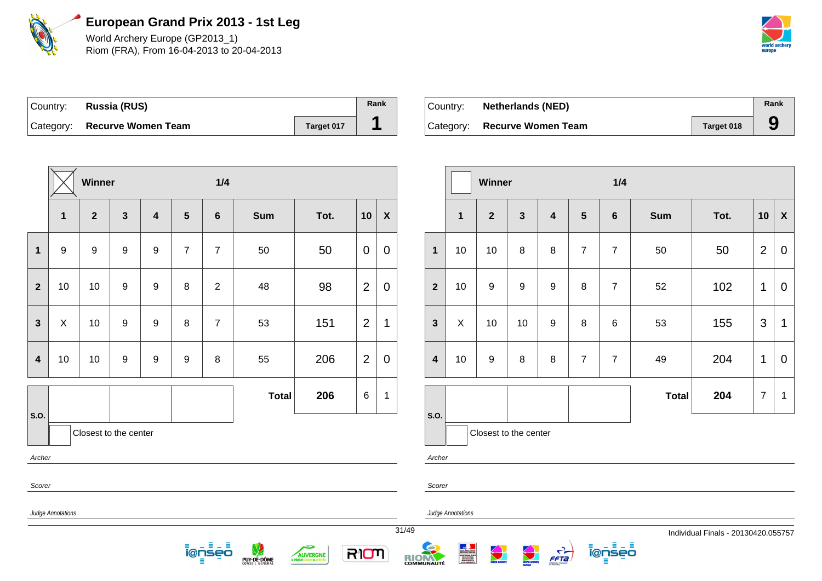

World Archery Europe (GP2013\_1) Riom (FRA), From 16-04-2013 to 20-04-2013



| Country: | Russia (RUS)                 |            | Rank |
|----------|------------------------------|------------|------|
|          | Category: Recurve Women Team | Target 017 |      |

| ⊺Countr∨: | <b>Netherlands (NED)</b>     |            | Rank |
|-----------|------------------------------|------------|------|
|           | Category: Recurve Women Team | Target 018 |      |

|                         | Winner<br>1/4                                 |                         |              |   |                |                         |                  |               |                |                  |                         |              | Winner                |                    |                                  |                | 1/4            |              |                                   |                |                           |
|-------------------------|-----------------------------------------------|-------------------------|--------------|---|----------------|-------------------------|------------------|---------------|----------------|------------------|-------------------------|--------------|-----------------------|--------------------|----------------------------------|----------------|----------------|--------------|-----------------------------------|----------------|---------------------------|
|                         | $\mathbf{1}$                                  | $\overline{\mathbf{2}}$ | $\mathbf{3}$ | 4 | $5\phantom{1}$ | 6                       | <b>Sum</b>       | Tot.          | 10             | $\boldsymbol{X}$ |                         | $\mathbf{1}$ | $\overline{2}$        | $\mathbf{3}$       | 4                                | $5\phantom{1}$ | 6              | Sum          | Tot.                              | 10             | $\boldsymbol{\mathsf{X}}$ |
| $\mathbf 1$             | 9                                             | 9                       | 9            | 9 | $\overline{7}$ | $\overline{7}$          | 50               | 50            | $\overline{0}$ | $\mathbf 0$      | $\mathbf{1}$            | 10           | 10                    | 8                  | 8                                | $\overline{7}$ | $\overline{7}$ | 50           | 50                                | $\overline{2}$ | $\mathbf 0$               |
| $\mathbf{2}$            | 10                                            | 10                      | 9            | 9 | 8              | $\overline{2}$          | 48               | 98            | $\overline{2}$ | $\mathbf 0$      | $\mathbf{2}$            | 10           | 9                     | 9                  | 9                                | 8              | $\overline{7}$ | 52           | 102                               | $\mathbf{1}$   | $\mathbf 0$               |
| $\mathbf{3}$            | X                                             | 10                      | 9            | 9 | 8              | $\overline{7}$          | 53               | 151           | $\overline{2}$ | $\mathbf 1$      | $\mathbf{3}$            | X            | 10                    | 10                 | 9                                | 8              | 6              | 53           | 155                               | 3              | $\overline{1}$            |
| $\overline{\mathbf{4}}$ | 10                                            | 10                      | 9            | 9 | 9              | 8                       | 55               | 206           | $\overline{2}$ | $\mathbf 0$      | $\overline{\mathbf{4}}$ | 10           | 9                     | 8                  | 8                                | $\overline{7}$ | $\overline{7}$ | 49           | 204                               | $\mathbf{1}$   | $\mathbf 0$               |
|                         |                                               |                         |              |   |                |                         | <b>Total</b>     | 206           | 6              | $\overline{1}$   |                         |              |                       |                    |                                  |                |                | <b>Total</b> | 204                               | $\overline{7}$ | $\overline{\mathbf{1}}$   |
| s.o.                    |                                               | Closest to the center   |              |   |                |                         |                  |               |                |                  | s.o.                    |              | Closest to the center |                    |                                  |                |                |              |                                   |                |                           |
| Archer                  |                                               |                         |              |   |                |                         |                  |               |                |                  | Archer                  |              |                       |                    |                                  |                |                |              |                                   |                |                           |
| Scorer                  |                                               |                         |              |   |                |                         |                  |               |                |                  | Scorer                  |              |                       |                    |                                  |                |                |              |                                   |                |                           |
|                         | Judge Annotations<br><b>Judge Annotations</b> |                         |              |   |                |                         |                  |               |                |                  |                         |              |                       |                    |                                  |                |                |              |                                   |                |                           |
|                         |                                               |                         |              |   |                |                         |                  |               |                |                  | 31/49                   |              |                       |                    |                                  |                |                |              | Individual Finals - 20130420.0557 |                |                           |
|                         |                                               |                         |              |   |                | н<br>- 5<br>ionseo<br>Е | V<br>PUY-DE-DÔME | c<br>AUVERGNE | RIOM           |                  | RIOM                    |              | <b>World archary</b>  | <b>All Charles</b> | $\frac{1}{\sqrt{1-\frac{1}{2}}}$ |                | ionseo<br>目    |              |                                   |                |                           |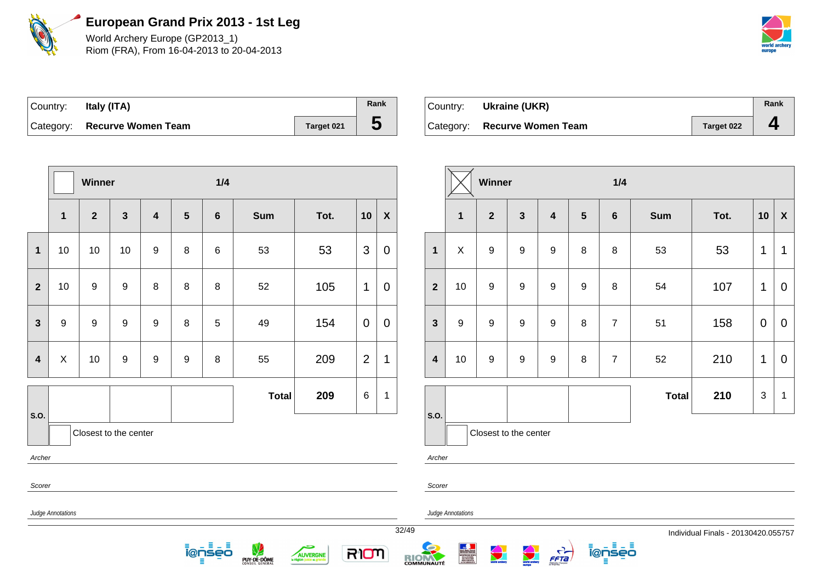

World Archery Europe (GP2013\_1) Riom (FRA), From 16-04-2013 to 20-04-2013



| Country: | Italy (ITA)                  |            | Rank |
|----------|------------------------------|------------|------|
|          | Category: Recurve Women Team | Target 021 |      |

| Country: | Ukraine (UKR)                |            | Rank |
|----------|------------------------------|------------|------|
|          | Category: Recurve Women Team | Target 022 | д    |

|                         |                                                                                                                                                                            | Winner                |              |                         |                | $1/4$           |              |      |                 |                  |                         |                           | Winner                |              |                  |                 | 1/4            |              |      |                |                |
|-------------------------|----------------------------------------------------------------------------------------------------------------------------------------------------------------------------|-----------------------|--------------|-------------------------|----------------|-----------------|--------------|------|-----------------|------------------|-------------------------|---------------------------|-----------------------|--------------|------------------|-----------------|----------------|--------------|------|----------------|----------------|
|                         | $\mathbf{1}$                                                                                                                                                               | $\mathbf{2}$          | $\mathbf{3}$ | $\overline{\mathbf{4}}$ | $5\phantom{1}$ | $6\phantom{1}6$ | <b>Sum</b>   | Tot. | 10              | $\boldsymbol{X}$ |                         | $\mathbf{1}$              | $\overline{2}$        | $\mathbf{3}$ | $\boldsymbol{4}$ | $5\phantom{.0}$ | $6\phantom{1}$ | <b>Sum</b>   | Tot. | 10             | $\mathbf{X}$   |
| $\overline{1}$          | 10                                                                                                                                                                         | 10                    | 10           | $\boldsymbol{9}$        | 8              | $\,6$           | 53           | 53   | $\mathbf{3}$    | $\mathbf 0$      | $\mathbf{1}$            | $\boldsymbol{\mathsf{X}}$ | $9\,$                 | 9            | 9                | 8               | 8              | 53           | 53   | $\mathbf 1$    | $\mathbf 1$    |
| $\overline{2}$          | 10                                                                                                                                                                         | 9                     | 9            | 8                       | 8              | 8               | 52           | 105  | $\mathbf{1}$    | $\mathbf 0$      | $\overline{2}$          | 10                        | 9                     | 9            | 9                | 9               | 8              | 54           | 107  | $\mathbf 1$    | $\overline{0}$ |
| $\mathbf{3}$            | 9                                                                                                                                                                          | 9                     | 9            | 9                       | 8              | 5               | 49           | 154  | $\overline{0}$  | $\mathbf 0$      | $\mathbf{3}$            | 9                         | 9                     | 9            | 9                | 8               | $\overline{7}$ | 51           | 158  | $\mathbf 0$    | $\overline{0}$ |
| $\overline{\mathbf{4}}$ | X                                                                                                                                                                          | 10                    | 9            | 9                       | 9              | 8               | 55           | 209  | 2               | 1                | $\overline{\mathbf{4}}$ | 10                        | 9                     | 9            | 9                | 8               | $\overline{7}$ | 52           | 210  | $\mathbf{1}$   | $\overline{0}$ |
|                         |                                                                                                                                                                            |                       |              |                         |                |                 | <b>Total</b> | 209  | $6\phantom{.}6$ | $\mathbf{1}$     |                         |                           |                       |              |                  |                 |                | <b>Total</b> | 210  | $\mathfrak{S}$ | $\mathbf 1$    |
| <b>S.O.</b><br>Archer   |                                                                                                                                                                            | Closest to the center |              |                         |                |                 |              |      |                 |                  | s.o.<br>Archer          |                           | Closest to the center |              |                  |                 |                |              |      |                |                |
| Scorer                  |                                                                                                                                                                            |                       |              |                         |                |                 |              |      |                 |                  | Scorer                  |                           |                       |              |                  |                 |                |              |      |                |                |
|                         | Judge Annotations<br><b>Judge Annotations</b>                                                                                                                              |                       |              |                         |                |                 |              |      |                 |                  |                         |                           |                       |              |                  |                 |                |              |      |                |                |
|                         | 32/49<br>Individual Finals - 20130420.055757<br>ionseo<br>日出目<br>V<br>حتہ<br>world archery<br>$\frac{1}{1}$<br>RIOM<br>i@nseo<br>AUVERGNE<br>RIOM<br>PUY-DE-DÔME<br>目<br>Ξ |                       |              |                         |                |                 |              |      |                 |                  |                         |                           |                       |              |                  |                 |                |              |      |                |                |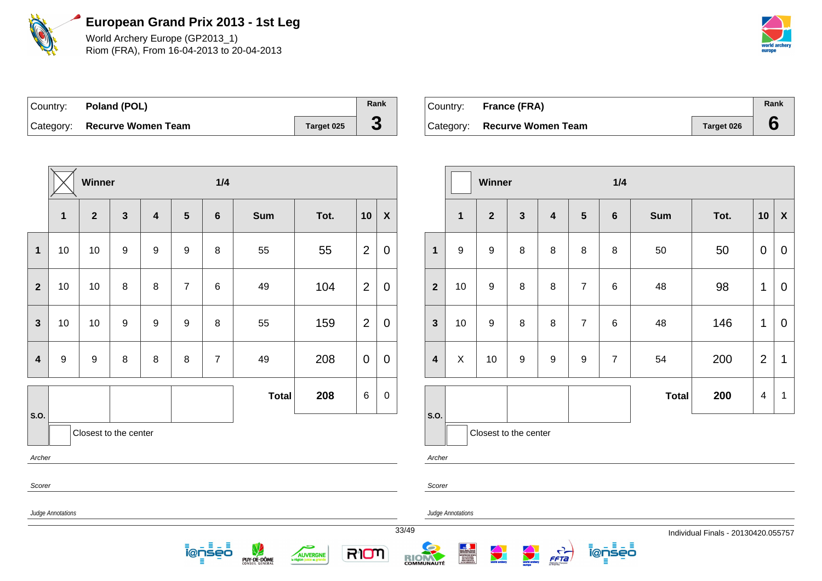

World Archery Europe (GP2013\_1) Riom (FRA), From 16-04-2013 to 20-04-2013



| Country: Poland (POL)        |            | Rank |
|------------------------------|------------|------|
| Category: Recurve Women Team | Target 025 | J.   |

| Country: France (FRA)        |            | Rank |
|------------------------------|------------|------|
| Category: Recurve Women Team | Target 026 |      |

|                         |                   | Winner                  |                  |                         |                  | 1/4                |              |                                       |                |                    |       |                         |                                                                          | Winner           |   |
|-------------------------|-------------------|-------------------------|------------------|-------------------------|------------------|--------------------|--------------|---------------------------------------|----------------|--------------------|-------|-------------------------|--------------------------------------------------------------------------|------------------|---|
|                         | $\mathbf{1}$      | $\overline{\mathbf{2}}$ | $\overline{3}$   | $\overline{\mathbf{4}}$ | 5                | $\bf 6$            | <b>Sum</b>   | Tot.                                  | 10             | $\pmb{\mathsf{X}}$ |       |                         | $\mathbf{1}$                                                             | $\mathbf{2}$     | 3 |
| $\mathbf{1}$            | 10                | 10                      | $\boldsymbol{9}$ | $9\,$                   | $\boldsymbol{9}$ | $\, 8$             | 55           | $\overline{2}$<br>55                  |                | $\mathbf 0$        |       | $\mathbf{1}$            | $\boldsymbol{9}$                                                         | $\boldsymbol{9}$ | 8 |
| $\overline{2}$          | 10                | 10                      | 8                | 8                       | $\overline{7}$   | $\,6$              | 49           | 104                                   | $\overline{2}$ | 0                  |       | $\overline{2}$          | 10                                                                       | $\boldsymbol{9}$ | 8 |
| $\mathbf{3}$            | 10                | 10                      | $\boldsymbol{9}$ | $\boldsymbol{9}$        | $\boldsymbol{9}$ | $\, 8$             | 55           | 159                                   | $\overline{2}$ | $\pmb{0}$          |       | $\mathbf{3}$            | 10                                                                       | $\boldsymbol{9}$ | 8 |
| $\overline{\mathbf{4}}$ | $\boldsymbol{9}$  | $\boldsymbol{9}$        | $\bf 8$          | $\,8\,$                 | $\bf 8$          | $\overline{7}$     | 49           | 208                                   | $\overline{0}$ | 0                  |       | $\overline{\mathbf{4}}$ | $\mathsf X$                                                              | 10               | 9 |
| S.O.                    |                   |                         |                  |                         |                  |                    | <b>Total</b> | 208                                   | $\,6$          | $\pmb{0}$          |       | S.O.                    |                                                                          |                  |   |
|                         |                   | Closest to the center   |                  |                         |                  |                    |              |                                       |                |                    |       |                         |                                                                          | Closest to the   |   |
| Archer                  |                   |                         |                  |                         |                  |                    |              |                                       |                |                    |       | Archer                  |                                                                          |                  |   |
| Scorer                  |                   |                         |                  |                         |                  |                    |              |                                       |                |                    |       | Scorer                  |                                                                          |                  |   |
|                         | Judge Annotations |                         |                  |                         |                  |                    |              |                                       |                |                    |       |                         | Judge Annotations                                                        |                  |   |
|                         |                   |                         |                  |                         | Ξ                | 日山目<br>i@nseo<br>Ξ | PUY-DE-DÔME  | <b>AUVERGNE</b><br>la région juste et | RIOM           |                    | 33/49 | <b>RICHARDITÉ</b>       | <b>ENGINEERS SPORT<br/>GELARUMENT,<br/>MINICARE PORT<br/>ANGLAMENTOS</b> |                  |   |

|                         |                  | Winner<br>1/4         |                  |                         |                  |                 |              |      |                |                    |
|-------------------------|------------------|-----------------------|------------------|-------------------------|------------------|-----------------|--------------|------|----------------|--------------------|
|                         | $\overline{1}$   | $\mathbf{2}$          | $\mathbf{3}$     | $\overline{\mathbf{4}}$ | 5                | $6\phantom{1}6$ | <b>Sum</b>   | Tot. | 10             | $\pmb{\mathsf{X}}$ |
| $\overline{\mathbf{1}}$ | $\boldsymbol{9}$ | 9                     | 8                | 8                       | 8                | 8               | 50           | 50   | $\mathbf 0$    | $\mathbf 0$        |
| $\overline{\mathbf{2}}$ | 10               | $\boldsymbol{9}$      | 8                | 8                       | $\overline{7}$   | $6\phantom{1}6$ | 48           | 98   | 1              | 0                  |
| 3                       | 10               | 9                     | 8                | 8                       | $\overline{7}$   | 6               | 48           | 146  | 1              | 0                  |
| 4                       | X                | 10                    | $\boldsymbol{9}$ | $\boldsymbol{9}$        | $\boldsymbol{9}$ | $\overline{7}$  | 54           | 200  | $\overline{2}$ | 1                  |
|                         |                  |                       |                  |                         |                  |                 | <b>Total</b> | 200  | 4              | 1                  |
| .O.                     |                  | Closest to the center |                  |                         |                  |                 |              |      |                |                    |

ienseo

FFTa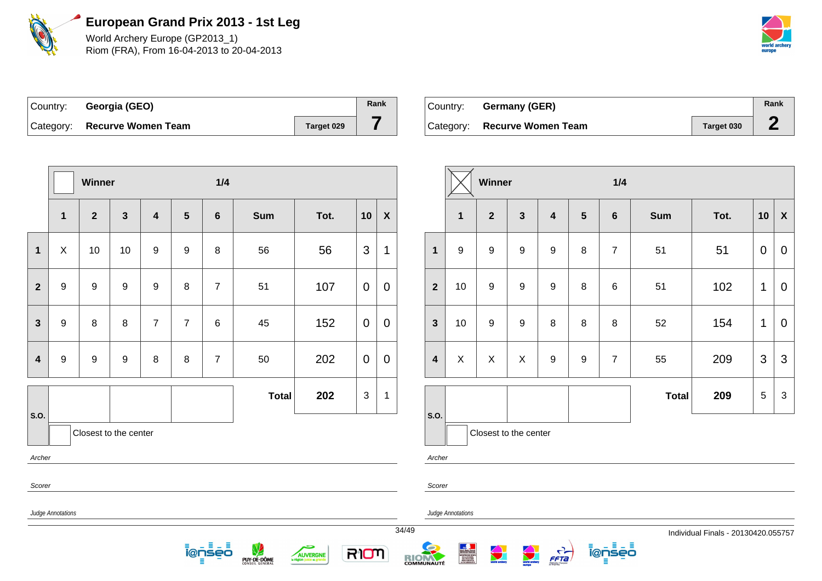

World Archery Europe (GP2013\_1) Riom (FRA), From 16-04-2013 to 20-04-2013



| Country: Georgia (GEO)       |            | Rank |
|------------------------------|------------|------|
| Category: Recurve Women Team | Target 029 |      |

| Country: | Germany (GER)                |            | Rank |
|----------|------------------------------|------------|------|
|          | Category: Recurve Women Team | Target 030 |      |

|                |                                                                                                                                                                                                                                                                                                                             | Winner                |                         |                         |                  | 1/4             |              |      |                |                           |                         |                  | Winner           |                       |                         |
|----------------|-----------------------------------------------------------------------------------------------------------------------------------------------------------------------------------------------------------------------------------------------------------------------------------------------------------------------------|-----------------------|-------------------------|-------------------------|------------------|-----------------|--------------|------|----------------|---------------------------|-------------------------|------------------|------------------|-----------------------|-------------------------|
|                | $\mathbf 1$                                                                                                                                                                                                                                                                                                                 | $\overline{2}$        | $\overline{\mathbf{3}}$ | $\overline{\mathbf{4}}$ | $5\phantom{.0}$  | $6\phantom{1}6$ | <b>Sum</b>   | Tot. | 10             | $\boldsymbol{\mathsf{X}}$ |                         | 1                | $\overline{2}$   | 3                     | $\overline{\mathbf{4}}$ |
| $\mathbf{1}$   | $\mathsf X$                                                                                                                                                                                                                                                                                                                 | 10                    | 10                      | 9                       | $\boldsymbol{9}$ | $\, 8$          | 56           | 56   | 3              | 1                         | $\mathbf{1}$            | $\boldsymbol{9}$ | $\boldsymbol{9}$ | $\boldsymbol{9}$      | $\boldsymbol{9}$        |
| $\overline{2}$ | $\boldsymbol{9}$                                                                                                                                                                                                                                                                                                            | 9                     | 9                       | $\boldsymbol{9}$        | 8                | $\overline{7}$  | 51           | 107  | $\overline{0}$ | $\overline{0}$            | $\overline{2}$          | 10               | $\boldsymbol{9}$ | $\boldsymbol{9}$      | $\boldsymbol{9}$        |
| $\mathbf{3}$   | 9                                                                                                                                                                                                                                                                                                                           | 8                     | $\,8\,$                 | $\overline{7}$          | $\overline{7}$   | $\,6$           | 45           | 152  | $\mathbf 0$    | $\mathbf 0$               | $\mathbf{3}$            | 10               | 9                | $\boldsymbol{9}$      | $\bf 8$                 |
| $\overline{4}$ | $\boldsymbol{9}$                                                                                                                                                                                                                                                                                                            | $\boldsymbol{9}$      | $\boldsymbol{9}$        | $\,8\,$                 | 8                | $\overline{7}$  | 50           | 202  | $\mathbf 0$    | $\overline{0}$            | $\overline{\mathbf{4}}$ | $\pmb{\times}$   | $\mathsf X$      | $\pmb{\times}$        | $\boldsymbol{9}$        |
| S.O.           |                                                                                                                                                                                                                                                                                                                             | Closest to the center |                         |                         |                  |                 | <b>Total</b> | 202  | $\mathfrak{S}$ | $\mathbf 1$               | S.O.                    |                  |                  | Closest to the center |                         |
| Archer         |                                                                                                                                                                                                                                                                                                                             |                       |                         |                         |                  |                 |              |      |                |                           | Archer                  |                  |                  |                       |                         |
| Scorer         |                                                                                                                                                                                                                                                                                                                             |                       |                         |                         |                  |                 |              |      |                |                           | Scorer                  |                  |                  |                       |                         |
|                | Judge Annotations<br>Judge Annotations<br>34/49<br>ienseo<br>$\frac{C}{FF7a}$<br>$\bigodot$<br>RION<br><b>Saur - Spiler - Francis<br/>RIPINASIE DES SPORTS<br/>MENTERE DES SPORTS<br/>MENTALISMENTS<br/>PIERTAARE ET DE<br/>LA VII ABROCIATIVE</b><br>AUVERGNE<br><b>All Charles</b><br><b>RIONAUTÉ</b><br>PUY-DE-DÔME<br>Ξ |                       |                         |                         |                  |                 |              |      |                |                           |                         |                  |                  |                       |                         |

|                         |              | Winner                |              |                         |                | 1/4            |              |      |                |                  |
|-------------------------|--------------|-----------------------|--------------|-------------------------|----------------|----------------|--------------|------|----------------|------------------|
|                         | $\mathbf{1}$ | $\overline{2}$        | $\mathbf{3}$ | $\overline{\mathbf{4}}$ | $5\phantom{1}$ | $6\phantom{1}$ | <b>Sum</b>   | Tot. | 10             | $\boldsymbol{X}$ |
| $\overline{\mathbf{1}}$ | 9            | 9                     | 9            | 9                       | 8              | $\overline{7}$ | 51           | 51   | $\overline{0}$ | 0                |
| $\overline{2}$          | 10           | 9                     | 9            | $\boldsymbol{9}$        | 8              | 6              | 51           | 102  | 1              | 0                |
| 3                       | 10           | 9                     | 9            | 8                       | 8              | 8              | 52           | 154  | 1              | $\overline{0}$   |
| 4                       | X            | X                     | X            | $\boldsymbol{9}$        | $\mathsf g$    | $\overline{7}$ | 55           | 209  | 3              | 3                |
|                         |              |                       |              |                         |                |                | <b>Total</b> | 209  | 5              | 3                |
| .0.                     |              | Closest to the center |              |                         |                |                |              |      |                |                  |

ienseo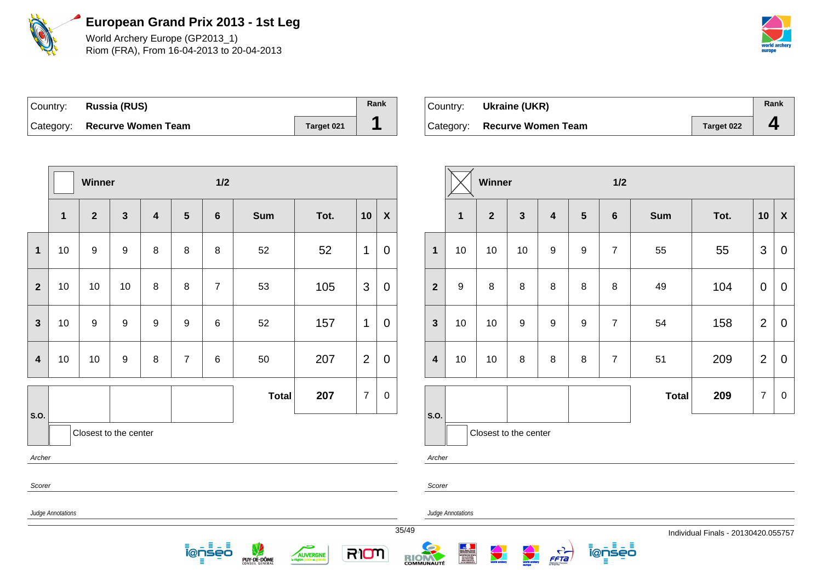

World Archery Europe (GP2013\_1) Riom (FRA), From 16-04-2013 to 20-04-2013



| Country: | <b>Russia (RUS)</b>          |            | Rank |
|----------|------------------------------|------------|------|
|          | Category: Recurve Women Team | Target 021 |      |

| ∣Country: | Ukraine (UKR)                |            | Rank           |
|-----------|------------------------------|------------|----------------|
|           | Category: Recurve Women Team | Target 022 | $\overline{ }$ |

|                         |                          | Winner                |              |                |                | $1/2$                |                  |                                           |                |                  |                         |                   |              | Winner                   |              | $1/2$         |                  |                |              |                                     |                |                |
|-------------------------|--------------------------|-----------------------|--------------|----------------|----------------|----------------------|------------------|-------------------------------------------|----------------|------------------|-------------------------|-------------------|--------------|--------------------------|--------------|---------------|------------------|----------------|--------------|-------------------------------------|----------------|----------------|
|                         | $\mathbf{1}$             | $\boldsymbol{2}$      | $\mathbf{3}$ | $\overline{4}$ | 5              | $6\phantom{1}$       | Sum              | Tot.                                      | 10             | $\boldsymbol{X}$ |                         |                   | $\mathbf{1}$ | $\overline{2}$           | $\mathbf{3}$ | 4             | $5\phantom{.0}$  | $6\phantom{1}$ | <b>Sum</b>   | Tot.                                |                | $10 \mid X$    |
| $\mathbf{1}$            | 10                       | 9                     | 9            | 8              | 8              | 8                    | 52               | 52                                        | $\mathbf{1}$   | $\mathbf 0$      | $\mathbf{1}$            | 10                |              | 10                       | 10           | 9             | $\boldsymbol{9}$ | $\overline{7}$ | 55           | 55                                  | 3              | $\overline{0}$ |
| $\mathbf{2}$            | 10                       | 10                    | 10           | 8              | 8              | $\overline{7}$       | 53               | 105                                       | 3              | 0                | $\overline{2}$          | 9                 |              | 8                        | 8            | 8             | 8                | 8              | 49           | 104                                 | $\overline{0}$ | $\overline{0}$ |
| $\mathbf{3}$            | 10                       | 9                     | 9            | 9              | 9              | 6                    | 52               | 157                                       | $\mathbf 1$    | $\mathbf 0$      | $\mathbf{3}$            | 10                |              | 10                       | 9            | 9             | $\boldsymbol{9}$ | $\overline{7}$ | 54           | 158                                 | $\overline{2}$ | $\overline{0}$ |
| $\overline{\mathbf{4}}$ | 10                       | 10                    | 9            | 8              | $\overline{7}$ | 6                    | 50               | 207                                       | $\overline{2}$ | $\pmb{0}$        | $\overline{\mathbf{4}}$ | 10                |              | 10                       | 8            | 8             | 8                | $\overline{7}$ | 51           | 209                                 | $\overline{2}$ | $\overline{0}$ |
|                         |                          |                       |              |                |                |                      | <b>Total</b>     | 207                                       | $\overline{7}$ | 0                |                         |                   |              |                          |              |               |                  |                | <b>Total</b> | 209                                 | $\overline{7}$ | $\overline{0}$ |
| <b>S.O.</b><br>Archer   |                          | Closest to the center |              |                |                |                      |                  |                                           |                |                  | S.O.                    | Archer            |              | Closest to the center    |              |               |                  |                |              |                                     |                |                |
| Scorer                  |                          |                       |              |                |                |                      |                  |                                           |                |                  |                         | Scorer            |              |                          |              |               |                  |                |              |                                     |                |                |
|                         | <b>Judge Annotations</b> |                       |              |                |                |                      |                  |                                           |                |                  |                         | Judge Annotations |              |                          |              |               |                  |                |              |                                     |                |                |
|                         |                          |                       |              |                |                | 8 L B<br>i@nseo<br>≡ | V<br>PUY-DE-DÔME | حكم<br>AUVERGNE<br>la région juste et gra | RIOM           |                  | 35/49<br><b>RIOM</b>    |                   |              | <b>Contract Contract</b> |              | $\frac{c}{1}$ |                  | ionseo<br>Ξ    |              | Individual Finals - 20130420.055757 |                |                |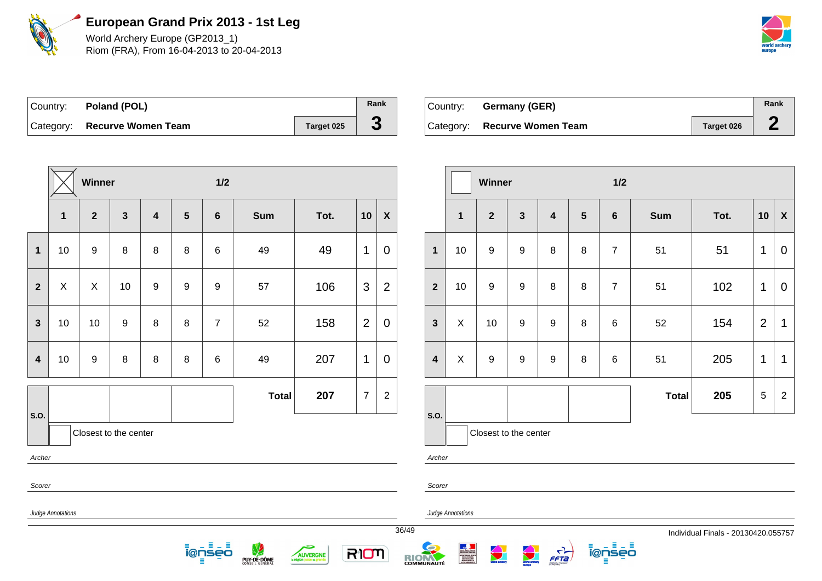

World Archery Europe (GP2013\_1) Riom (FRA), From 16-04-2013 to 20-04-2013



| Country: <b>Poland (POL)</b> |            | Rank |
|------------------------------|------------|------|
| Category: Recurve Women Team | Target 025 | C.   |

| Country: | Germany (GER)                |            | Rank |
|----------|------------------------------|------------|------|
|          | Category: Recurve Women Team | Target 026 |      |

**Winner 1/2**

|                         |                                                                                                                                                                                           | Winner                |                  |                         |                  | $1/2$            |              |      |                |                           |  |                |                       | Winner           |                  |                         |  |
|-------------------------|-------------------------------------------------------------------------------------------------------------------------------------------------------------------------------------------|-----------------------|------------------|-------------------------|------------------|------------------|--------------|------|----------------|---------------------------|--|----------------|-----------------------|------------------|------------------|-------------------------|--|
|                         | $\mathbf 1$                                                                                                                                                                               | $\overline{2}$        | $\mathbf{3}$     | $\overline{\mathbf{4}}$ | $5\phantom{1}$   | $6\phantom{1}$   | <b>Sum</b>   | Tot. | 10             | $\boldsymbol{\mathsf{X}}$ |  |                | $\mathbf{1}$          | $\mathbf{2}$     | 3                | $\overline{\mathbf{4}}$ |  |
| $\mathbf 1$             | 10                                                                                                                                                                                        | 9                     | 8                | 8                       | 8                | $\,6$            | 49           | 49   | $\mathbf 1$    | $\overline{0}$            |  | 1              | 10                    | $\boldsymbol{9}$ | $9\,$            | $\, 8$                  |  |
| $\boldsymbol{2}$        | X                                                                                                                                                                                         | X                     | 10               | 9                       | $\boldsymbol{9}$ | $\boldsymbol{9}$ | 57           | 106  | 3              | $\overline{2}$            |  | $\overline{2}$ | 10                    | $\boldsymbol{9}$ | $9\,$            | 8                       |  |
| $\mathbf{3}$            | 10                                                                                                                                                                                        | 10                    | $\boldsymbol{9}$ | 8                       | 8                | $\overline{7}$   | 52           | 158  | $\overline{2}$ | $\overline{0}$            |  | 3              | X                     | 10               | $\boldsymbol{9}$ | $\boldsymbol{9}$        |  |
| $\overline{\mathbf{4}}$ | 10                                                                                                                                                                                        | 9                     | $\, 8$           | 8                       | $\, 8$           | $\,6$            | 49           | 207  | $\mathbf{1}$   | $\overline{0}$            |  | 4              | $\pmb{\times}$        | $\boldsymbol{9}$ | $9\,$            | $\boldsymbol{9}$        |  |
| S.O.                    |                                                                                                                                                                                           |                       |                  |                         |                  |                  | <b>Total</b> | 207  | $\overline{7}$ | $\overline{c}$            |  | S.O.           |                       |                  |                  |                         |  |
|                         |                                                                                                                                                                                           | Closest to the center |                  |                         |                  |                  |              |      |                |                           |  |                | Closest to the center |                  |                  |                         |  |
| Archer                  |                                                                                                                                                                                           |                       |                  |                         |                  |                  |              |      |                |                           |  | Archer         |                       |                  |                  |                         |  |
|                         | Scorer<br>Scorer<br>Judge Annotations<br>Judge Annotations                                                                                                                                |                       |                  |                         |                  |                  |              |      |                |                           |  |                |                       |                  |                  |                         |  |
|                         | 36/49<br>Ξ<br>Ξ<br>Ξ<br><b>Contract Contract Contract</b><br>world archery<br>RION<br>i@nseo<br><b>AUVERGNE</b><br>FFTa<br><b>RICHMUNAUTÉ</b><br>PUY-DE-DÔME<br>la région juste et g<br>Ξ |                       |                  |                         |                  |                  |              |      |                |                           |  |                |                       |                  |                  |                         |  |

|                         | $\overline{\mathbf{1}}$ | $\overline{2}$        | $\mathbf{3}$     | $\overline{\mathbf{4}}$ | 5 | $6\phantom{1}6$ | <b>Sum</b>   | Tot. | 10             | $\boldsymbol{\mathsf{X}}$ |
|-------------------------|-------------------------|-----------------------|------------------|-------------------------|---|-----------------|--------------|------|----------------|---------------------------|
| $\overline{\mathbf{1}}$ | 10                      | 9                     | $\boldsymbol{9}$ | 8                       | 8 | $\overline{7}$  | 51           | 51   | 1              | $\overline{0}$            |
| $\overline{2}$          | 10                      | $\boldsymbol{9}$      | 9                | 8                       | 8 | $\overline{7}$  | 51           | 102  | 1              | $\mathbf 0$               |
| 3                       | X                       | 10                    | 9                | 9                       | 8 | $\,6$           | 52           | 154  | $\overline{2}$ | 1                         |
| 4                       | X                       | $\boldsymbol{9}$      | 9                | 9                       | 8 | $\,6$           | 51           | 205  | 1              | 1                         |
|                         |                         |                       |                  |                         |   |                 | <b>Total</b> | 205  | 5              | $\overline{2}$            |
| .O.                     |                         |                       |                  |                         |   |                 |              |      |                |                           |
|                         |                         | Closest to the center |                  |                         |   |                 |              |      |                |                           |

<u> ĩ@ņsēō</u>

36/49 Individual Finals - 20130420.055757

 $rac{\text{Sc}}{}$ 

 $\frac{Jud}{\phantom{0}}$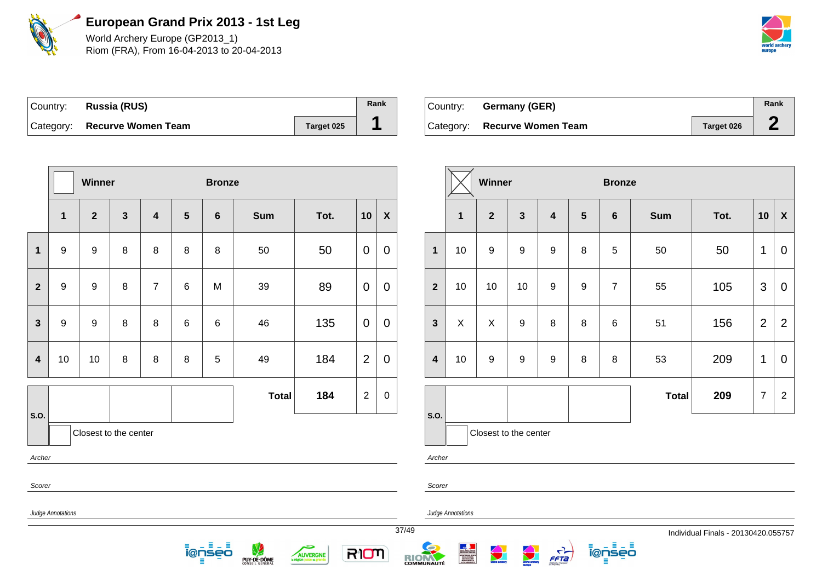

World Archery Europe (GP2013\_1) Riom (FRA), From 16-04-2013 to 20-04-2013

| world archery |
|---------------|

| Country: Russia (RUS)        |            | Rank |
|------------------------------|------------|------|
| Category: Recurve Women Team | Target 025 |      |

| ∣Country: ⊥ | Germany (GER)                |            | Rank |
|-------------|------------------------------|------------|------|
|             | Category: Recurve Women Team | Target 026 |      |

|                                        |                                                                                                                                                                                                                 | Winner                  |                |                         |                | <b>Bronze</b>  |              |      |                |                           |  |                         |                | Winner           |                |
|----------------------------------------|-----------------------------------------------------------------------------------------------------------------------------------------------------------------------------------------------------------------|-------------------------|----------------|-------------------------|----------------|----------------|--------------|------|----------------|---------------------------|--|-------------------------|----------------|------------------|----------------|
|                                        | 1                                                                                                                                                                                                               | $\overline{\mathbf{2}}$ | $\overline{3}$ | $\overline{\mathbf{4}}$ | $5\phantom{1}$ | $6\phantom{1}$ | <b>Sum</b>   | Tot. | 10             | $\boldsymbol{\mathsf{X}}$ |  |                         | $\mathbf{1}$   | $\overline{2}$   | $\ddot{\cdot}$ |
| $\mathbf{1}$                           | $\boldsymbol{9}$                                                                                                                                                                                                | $\boldsymbol{9}$        | 8              | $\,8\,$                 | 8              | $\, 8$         | 50           | 50   | $\mathbf 0$    | $\mathbf 0$               |  | $\mathbf{1}$            | 10             | $\boldsymbol{9}$ | Š              |
| $\overline{2}$                         | $\boldsymbol{9}$                                                                                                                                                                                                | $\boldsymbol{9}$        | 8              | $\overline{7}$          | 6              | M              | 39           | 89   | $\mathbf 0$    | $\mathbf 0$               |  | $\overline{2}$          | 10             | 10               | $\mathbf{1}$   |
| $\mathbf{3}$                           | 9                                                                                                                                                                                                               | $\boldsymbol{9}$        | 8              | $\,8\,$                 | $\,6\,$        | $\,6$          | 46           | 135  | $\mathbf 0$    | $\mathbf 0$               |  | $\mathbf{3}$            | $\pmb{\times}$ | X                | $\epsilon$     |
| $\overline{\mathbf{4}}$                | 10                                                                                                                                                                                                              | 10                      | 8              | $\,8\,$                 | $\bf 8$        | $\sqrt{5}$     | 49           | 184  | $\overline{2}$ | $\mathbf 0$               |  | $\overline{\mathbf{4}}$ | 10             | 9                | Š              |
| S.O.                                   |                                                                                                                                                                                                                 |                         |                |                         |                |                | <b>Total</b> | 184  | $\overline{2}$ | $\pmb{0}$                 |  | S.O.                    |                |                  |                |
|                                        |                                                                                                                                                                                                                 | Closest to the center   |                |                         |                |                |              |      |                |                           |  |                         |                | Closest to the   |                |
| Archer                                 |                                                                                                                                                                                                                 |                         |                |                         |                |                |              |      |                |                           |  | Archer                  |                |                  |                |
| Scorer                                 |                                                                                                                                                                                                                 |                         |                |                         |                |                |              |      |                |                           |  | Scorer                  |                |                  |                |
| Judge Annotations<br>Judge Annotations |                                                                                                                                                                                                                 |                         |                |                         |                |                |              |      |                |                           |  |                         |                |                  |                |
|                                        | 37/49<br>目出目<br>ienseo<br>RION<br><b>AUVERGNE</b><br><b>ENGINEERS SPORTS SPORTS SECTION CONTINUES.</b><br>THE LEGAL CARD POPULATION POPULATION FOR<br><b>RIONAUTÉ</b><br>PUY-DE-DÔME<br>la région juste et<br>Ξ |                         |                |                         |                |                |              |      |                |                           |  |                         |                |                  |                |

|                         |              | <b>Winner</b>         |                  |                         |                | <b>Bronze</b>   |              |      |                |                |  |  |
|-------------------------|--------------|-----------------------|------------------|-------------------------|----------------|-----------------|--------------|------|----------------|----------------|--|--|
|                         | $\mathbf{1}$ | $\overline{2}$        | $\mathbf{3}$     | $\overline{\mathbf{4}}$ | $5\phantom{1}$ | $6\phantom{1}6$ | <b>Sum</b>   | Tot. | 10             | X              |  |  |
| $\overline{\mathbf{1}}$ | 10           | 9                     | $\boldsymbol{9}$ | $\boldsymbol{9}$        | 8              | 5               | 50           | 50   | $\mathbf 1$    | 0              |  |  |
| $\overline{2}$          | 10           | 10                    | 10               | $\boldsymbol{9}$        | 9              | $\overline{7}$  | 55           | 105  | 3              | $\overline{0}$ |  |  |
| 3                       | X            | X                     | $\boldsymbol{9}$ | 8                       | 8              | $\,6$           | 51           | 156  | $\overline{2}$ | $\overline{2}$ |  |  |
| 4                       | 10           | 9                     | $\boldsymbol{9}$ | $\boldsymbol{9}$        | 8              | 8               | 53           | 209  | 1              | 0              |  |  |
|                         |              |                       |                  |                         |                |                 | <b>Total</b> | 209  | $\overline{7}$ | $\overline{2}$ |  |  |
| .O.                     |              | Closest to the center |                  |                         |                |                 |              |      |                |                |  |  |

**@nseo** 

FFTa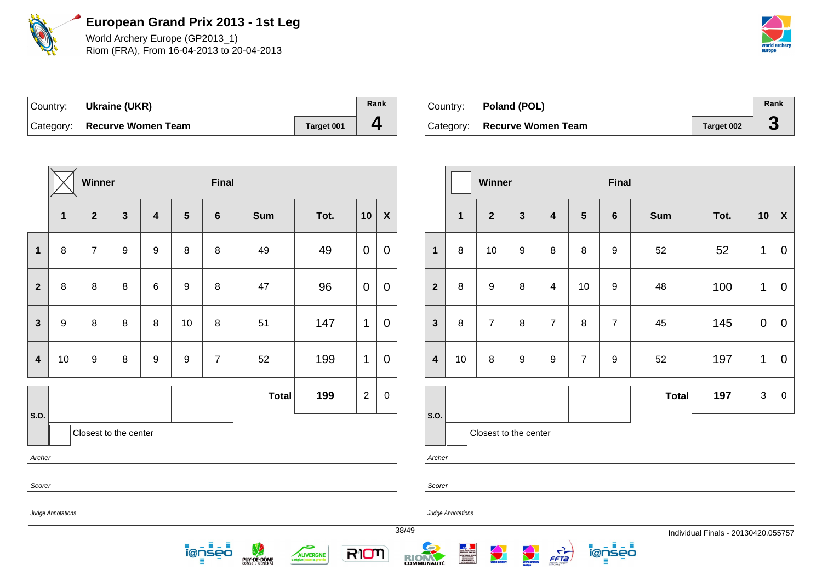

World Archery Europe (GP2013\_1) Riom (FRA), From 16-04-2013 to 20-04-2013



| Country:  | Ukraine (UKR)             |            | Rank |
|-----------|---------------------------|------------|------|
| Category: | <b>Recurve Women Team</b> | Target 001 |      |

| Country: Poland (POL)        |            | Rank |
|------------------------------|------------|------|
| Category: Recurve Women Team | Target 002 |      |

|                                                               |                     | Winner           |                       |                         |                  | <b>Final</b>    |            |      |                |                     |  |                         |         | Winner           |  |
|---------------------------------------------------------------|---------------------|------------------|-----------------------|-------------------------|------------------|-----------------|------------|------|----------------|---------------------|--|-------------------------|---------|------------------|--|
|                                                               | $\mathbf{1}$        | $\overline{2}$   | $\overline{3}$        | $\overline{\mathbf{4}}$ | $5\phantom{1}$   | $6\phantom{1}6$ | <b>Sum</b> | Tot. | 10             | $\pmb{\chi}$        |  |                         | 1       | $\overline{2}$   |  |
| $\mathbf{1}$                                                  | 8                   | $\overline{7}$   | $\boldsymbol{9}$      | $\boldsymbol{9}$        | 8                | 8               | 49         | 49   | $\mathbf 0$    | $\mathbf 0$         |  | $\mathbf 1$             | 8       | 10               |  |
| $\mathbf{2}$                                                  | 8                   | $\bf 8$          | 8                     | 6                       | $\boldsymbol{9}$ | 8               | 47         | 96   | $\mathbf 0$    | $\mathbf 0$         |  | $\overline{2}$          | $\bf 8$ | $\boldsymbol{9}$ |  |
| $\mathbf{3}$                                                  | $\boldsymbol{9}$    | $\,8\,$          | 8                     | $\,8\,$                 | 10               | 8               | 51         | 147  | 1              | $\mathbf 0$         |  | $\mathbf{3}$            | 8       | $\overline{7}$   |  |
| $\overline{\mathbf{4}}$                                       | 10                  | $\boldsymbol{9}$ | 8                     | $\boldsymbol{9}$        | 9                | $\overline{7}$  | 52         | 199  | 1              | $\mathbf 0$         |  | $\overline{\mathbf{4}}$ | 10      | $\,8\,$          |  |
| S.O.                                                          | <b>Total</b><br>199 |                  |                       |                         |                  |                 |            |      | $\overline{2}$ | $\pmb{0}$           |  | S.O.                    |         |                  |  |
|                                                               |                     |                  | Closest to the center |                         |                  |                 |            |      |                |                     |  |                         |         | Closest to th    |  |
| Archer<br>Archer<br>Scorer<br>Scorer                          |                     |                  |                       |                         |                  |                 |            |      |                |                     |  |                         |         |                  |  |
| Judge Annotations<br>Judge Annotations                        |                     |                  |                       |                         |                  |                 |            |      |                |                     |  |                         |         |                  |  |
| Ε<br><u> Ī̃@ņ̃sēō</u><br>RIOM<br>AUVERGNE<br>PUY-DE-DÔME<br>Ξ |                     |                  |                       |                         |                  |                 |            |      |                | 38/49<br>COMMUNAUTÉ |  |                         |         |                  |  |

|                         |              | Winner                |                  |                         |                | <b>Final</b>     |              |      |             |             |
|-------------------------|--------------|-----------------------|------------------|-------------------------|----------------|------------------|--------------|------|-------------|-------------|
|                         | $\mathbf{1}$ | $\mathbf{2}$          | $\mathbf{3}$     | $\overline{\mathbf{4}}$ | 5              | $6\phantom{1}$   | <b>Sum</b>   | Tot. | 10          | X           |
| $\mathbf{1}$            | 8            | 10                    | $\boldsymbol{9}$ | 8                       | 8              | 9                | 52           | 52   | 1           | $\mathbf 0$ |
| $\overline{2}$          | 8            | $\boldsymbol{9}$      | 8                | 4                       | 10             | 9                | 48           | 100  | 1           | 0           |
| $\mathbf{3}$            | 8            | $\overline{7}$        | 8                | $\overline{7}$          | 8              | $\overline{7}$   | 45           | 145  | $\mathbf 0$ | $\mathbf 0$ |
| $\overline{\mathbf{4}}$ | 10           | 8                     | 9                | 9                       | $\overline{7}$ | $\boldsymbol{9}$ | 52           | 197  | 1           | $\mathbf 0$ |
|                         |              |                       |                  |                         |                |                  | <b>Total</b> | 197  | 3           | $\pmb{0}$   |
| S.O.                    |              | Closest to the center |                  |                         |                |                  |              |      |             |             |

ienseo

 $\frac{1}{\sqrt{1-\frac{1}{2}}}$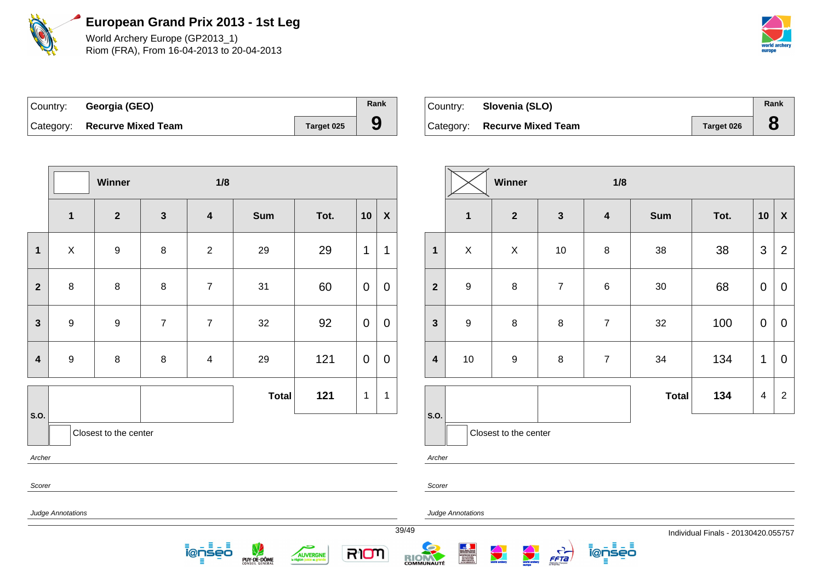

World Archery Europe (GP2013\_1) Riom (FRA), From 16-04-2013 to 20-04-2013



| Country: Georgia (GEO)       |            | Rank |
|------------------------------|------------|------|
| Category: Recurve Mixed Team | Target 025 |      |

| Country: | Slovenia (SLO)               |            | Rank |
|----------|------------------------------|------------|------|
|          | Category: Recurve Mixed Team | Target 026 |      |

|                         |                   | Winner                |                  | 1/8              |              |      |                |                    |       |                         |                          |
|-------------------------|-------------------|-----------------------|------------------|------------------|--------------|------|----------------|--------------------|-------|-------------------------|--------------------------|
|                         | $\mathbf 1$       | $\overline{2}$        | $\mathbf{3}$     | $\boldsymbol{4}$ | <b>Sum</b>   | Tot. | 10             | $\pmb{\mathsf{X}}$ |       |                         | 1                        |
| $\mathbf{1}$            | $\pmb{\times}$    | $\boldsymbol{9}$      | $\, 8$           | $\boldsymbol{2}$ | 29           | 29   | 1              | 1                  |       | $\mathbf{1}$            | $\mathsf X$              |
| $\overline{2}$          | $\,8\,$           | 8                     | $\,8\,$          | $\overline{7}$   | 31           | 60   | $\overline{0}$ | $\mathbf 0$        |       | $\overline{2}$          | $\boldsymbol{9}$         |
| $\mathbf{3}$            | $\boldsymbol{9}$  | $\boldsymbol{9}$      | $\boldsymbol{7}$ | $\boldsymbol{7}$ | 32           | 92   | $\mathbf 0$    | $\mathbf 0$        |       | $\mathbf{3}$            | $\boldsymbol{9}$         |
| $\overline{\mathbf{4}}$ | $\boldsymbol{9}$  | $\,8\,$               | $\, 8$           | 4                | 29           | 121  | $\overline{0}$ | $\mathbf 0$        |       | $\overline{\mathbf{4}}$ | $10\,$                   |
| S.O.                    |                   |                       |                  |                  | <b>Total</b> | 121  | 1              | 1                  |       | S.O.                    |                          |
|                         |                   | Closest to the center |                  |                  |              |      |                |                    |       |                         | Clos                     |
| Archer<br>Scorer        |                   |                       |                  |                  |              |      |                |                    |       | Archer<br>Scorer        |                          |
|                         | Judge Annotations |                       |                  |                  |              |      |                |                    | 39/49 |                         | <b>Judge Annotations</b> |
|                         |                   |                       |                  |                  |              |      |                |                    |       |                         |                          |

PUY-DE-DÔME

5

AUVERGNE

RIOM

目

ienseo

|                         |                  | Winner                  |                | 1/8                     |              |      |                |                           |
|-------------------------|------------------|-------------------------|----------------|-------------------------|--------------|------|----------------|---------------------------|
|                         | $\mathbf 1$      | $\overline{\mathbf{2}}$ | $\mathbf{3}$   | $\overline{\mathbf{4}}$ | <b>Sum</b>   | Tot. | 10             | $\boldsymbol{\mathsf{X}}$ |
| $\mathbf{1}$            | $\pmb{\times}$   | X                       | 10             | $\bf 8$                 | 38           | 38   | 3              | $\overline{2}$            |
| $\overline{2}$          | $\boldsymbol{9}$ | $\bf 8$                 | $\overline{7}$ | $\,6$                   | 30           | 68   | $\overline{0}$ | $\boldsymbol{0}$          |
| $\mathbf{3}$            | $\boldsymbol{9}$ | $\bf 8$                 | $\bf 8$        | $\overline{7}$          | 32           | 100  | $\mathbf 0$    | 0                         |
| $\overline{\mathbf{4}}$ | 10               | $\boldsymbol{9}$        | $\bf 8$        | $\overline{7}$          | 34           | 134  | 1              | $\boldsymbol{0}$          |
|                         |                  |                         |                |                         | <b>Total</b> | 134  | 4              | $\overline{2}$            |
| S.O.                    |                  | Closest to the center   |                |                         |              |      |                |                           |

ienseo

 $\frac{C}{FFA}$ 

E

RIOM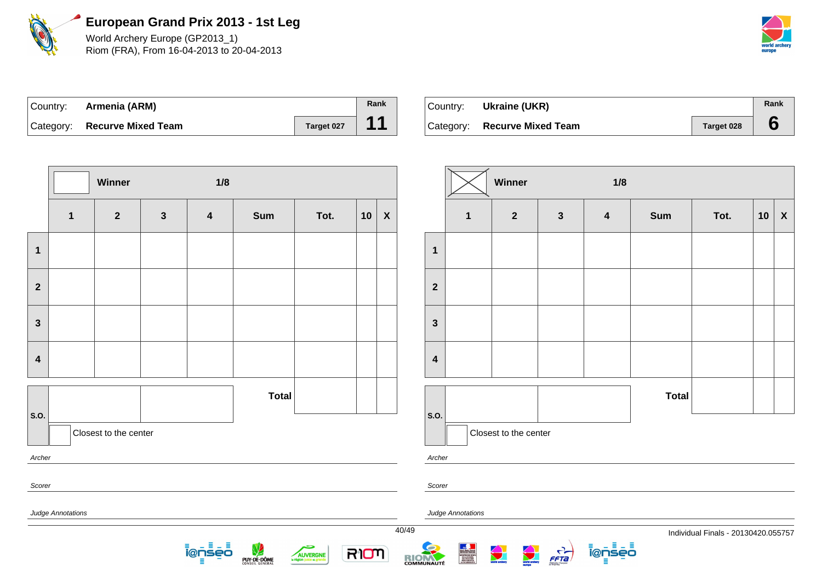

World Archery Europe (GP2013\_1) Riom (FRA), From 16-04-2013 to 20-04-2013



| Country: <b>Armenia (ARM)</b> |            | Rank |
|-------------------------------|------------|------|
| Category: Recurve Mixed Team  | Target 027 | 11   |

| Country: | Ukraine (UKR)                |            | Rank |
|----------|------------------------------|------------|------|
|          | Category: Recurve Mixed Team | Target 028 |      |

|                         |                                                                                                                                                           | 1/8<br>Winner         |                |                         |              |      |    |              |                         |                   | Winner                |              | 1/8                     |              |                                     |             |  |
|-------------------------|-----------------------------------------------------------------------------------------------------------------------------------------------------------|-----------------------|----------------|-------------------------|--------------|------|----|--------------|-------------------------|-------------------|-----------------------|--------------|-------------------------|--------------|-------------------------------------|-------------|--|
|                         | $\mathbf 1$                                                                                                                                               | $\overline{2}$        | $3\phantom{a}$ | $\overline{\mathbf{4}}$ | <b>Sum</b>   | Tot. | 10 | $\pmb{\chi}$ |                         | 1                 | $\boldsymbol{2}$      | $\mathbf{3}$ | $\overline{\mathbf{4}}$ | <b>Sum</b>   | Tot.                                | $10 \mid X$ |  |
| $\mathbf 1$             |                                                                                                                                                           |                       |                |                         |              |      |    |              | $\mathbf{1}$            |                   |                       |              |                         |              |                                     |             |  |
| $\mathbf{2}$            |                                                                                                                                                           |                       |                |                         |              |      |    |              | $\overline{2}$          |                   |                       |              |                         |              |                                     |             |  |
| $\mathbf{3}$            |                                                                                                                                                           |                       |                |                         |              |      |    |              | $\mathbf{3}$            |                   |                       |              |                         |              |                                     |             |  |
| $\overline{\mathbf{4}}$ |                                                                                                                                                           |                       |                |                         |              |      |    |              | $\overline{\mathbf{4}}$ |                   |                       |              |                         |              |                                     |             |  |
|                         |                                                                                                                                                           |                       |                |                         | <b>Total</b> |      |    |              |                         |                   |                       |              |                         | <b>Total</b> |                                     |             |  |
| S.O.                    |                                                                                                                                                           | Closest to the center |                |                         |              |      |    |              | S.O.                    |                   | Closest to the center |              |                         |              |                                     |             |  |
| Archer                  |                                                                                                                                                           |                       |                |                         |              |      |    |              | Archer                  |                   |                       |              |                         |              |                                     |             |  |
| Scorer                  |                                                                                                                                                           |                       |                |                         |              |      |    |              | Scorer                  |                   |                       |              |                         |              |                                     |             |  |
|                         | Judge Annotations                                                                                                                                         |                       |                |                         |              |      |    |              | 40/49                   | Judge Annotations |                       |              |                         |              | Individual Finals - 20130420.055757 |             |  |
|                         | ionseo<br>W<br>Ξ<br>world archery<br><b>Contractor</b><br>RIOM<br>$\frac{1}{\sqrt{1-\frac{1}{2}}}$<br>i@l<br>iseo<br>AUVERGNE<br>RIOM<br>PUY-DE-DÔME<br>Ε |                       |                |                         |              |      |    |              |                         |                   |                       |              |                         |              |                                     |             |  |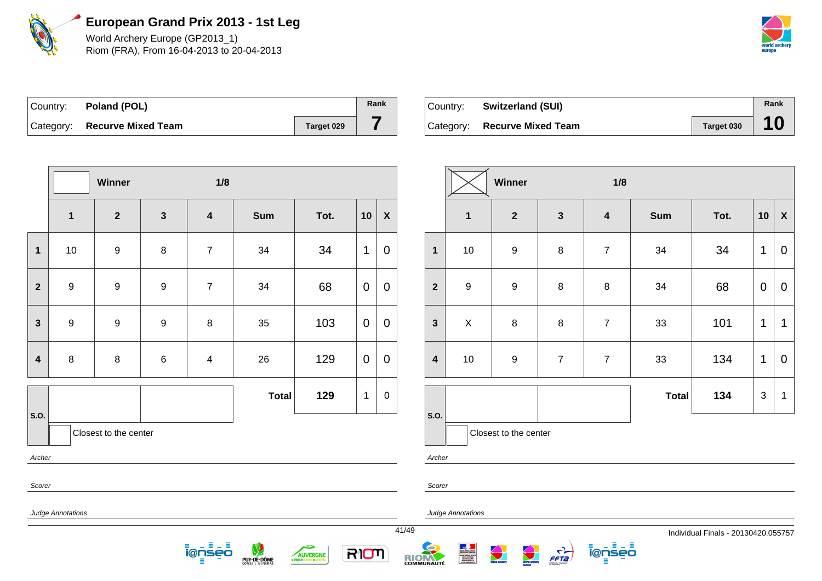

World Archery Europe (GP2013\_1) Riom (FRA), From 16-04-2013 to 20-04-2013



| Country: <b>Poland (POL)</b> |            | Rank |
|------------------------------|------------|------|
| Category: Recurve Mixed Team | Target 029 |      |

| Country: | <b>Switzerland (SUI)</b>     |            | Rank |
|----------|------------------------------|------------|------|
|          | Category: Recurve Mixed Team | Target 030 |      |

|                         |                          | Winner                |                  | 1/8                     |              |      |             |                    |
|-------------------------|--------------------------|-----------------------|------------------|-------------------------|--------------|------|-------------|--------------------|
|                         | $\mathbf 1$              | $\overline{2}$        | $\mathbf{3}$     | $\overline{\mathbf{4}}$ | <b>Sum</b>   | Tot. | 10          | $\pmb{\mathsf{X}}$ |
| $\mathbf{1}$            | 10                       | $\boldsymbol{9}$      | 8                | $\overline{7}$          | 34           | 34   | 1           | $\boldsymbol{0}$   |
| $\mathbf{2}$            | $\boldsymbol{9}$         | $\boldsymbol{9}$      | $\mathsf g$      | $\overline{7}$          | 34           | 68   | $\mathbf 0$ | $\mathbf 0$        |
| $\overline{\mathbf{3}}$ | $\boldsymbol{9}$         | $\boldsymbol{9}$      | $\boldsymbol{9}$ | 8                       | 35           | 103  | $\pmb{0}$   | $\mathbf 0$        |
| $\overline{\mathbf{4}}$ | $\bf 8$                  | $\bf 8$               | 6                | $\overline{\mathbf{4}}$ | 26           | 129  | 0           | $\mathbf 0$        |
|                         |                          |                       |                  |                         | <b>Total</b> | 129  | $\mathbf 1$ | $\pmb{0}$          |
| S.O.                    |                          | Closest to the center |                  |                         |              |      |             |                    |
| Archer                  |                          |                       |                  |                         |              |      |             |                    |
| Scorer                  |                          |                       |                  |                         |              |      |             |                    |
|                         | <b>Judge Annotations</b> |                       |                  |                         |              |      |             | 41/49              |

. ≣ - ≣

÷

AUVERGNE

RIOM

ienseo

PUY-DE-DÔME

|                         |                  | Winner                |                | 1/8                     |              |      |             |                           |
|-------------------------|------------------|-----------------------|----------------|-------------------------|--------------|------|-------------|---------------------------|
|                         | $\mathbf{1}$     | $\mathbf{2}$          | $\mathbf{3}$   | $\overline{\mathbf{4}}$ | <b>Sum</b>   | Tot. | 10          | $\boldsymbol{\mathsf{X}}$ |
| $\mathbf{1}$            | 10               | $\boldsymbol{9}$      | $\bf 8$        | $\overline{7}$          | 34           | 34   | 1           | 0                         |
| $\overline{2}$          | $\boldsymbol{9}$ | $\mathsf g$           | $\bf 8$        | $\bf 8$                 | 34           | 68   | $\mathbf 0$ | 0                         |
| $\mathbf{3}$            | $\mathsf X$      | $\bf 8$               | $\bf 8$        | $\overline{7}$          | 33           | 101  | 1           | 1                         |
| $\overline{\mathbf{4}}$ | $10$             | $\boldsymbol{9}$      | $\overline{7}$ | $\overline{7}$          | 33           | 134  | 1           | 0                         |
|                         |                  |                       |                |                         | <b>Total</b> | 134  | 3           | 1                         |
| S.O.                    |                  | Closest to the center |                |                         |              |      |             |                           |

ienseo

Ξ

 $\frac{C}{FFA}$ 

RIOM

Annotations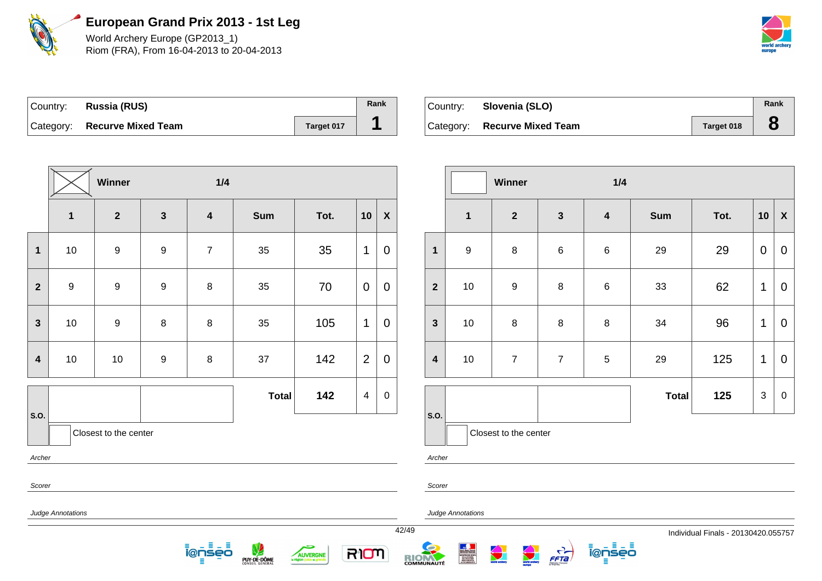

World Archery Europe (GP2013\_1) Riom (FRA), From 16-04-2013 to 20-04-2013



| Country: Russia (RUS)        |            | Rank |
|------------------------------|------------|------|
| Category: Recurve Mixed Team | Target 017 |      |

| Country: | Slovenia (SLO)               |            | Rank |
|----------|------------------------------|------------|------|
|          | Category: Recurve Mixed Team | Target 018 |      |

|                         |                          | Winner                |                  | 1/4                     |              |      |                         |                    |       |                         |  |
|-------------------------|--------------------------|-----------------------|------------------|-------------------------|--------------|------|-------------------------|--------------------|-------|-------------------------|--|
|                         | $\mathbf{1}$             | $\overline{2}$        | $\mathbf{3}$     | $\overline{\mathbf{4}}$ | <b>Sum</b>   | Tot. | 10                      | $\pmb{\mathsf{X}}$ |       |                         |  |
| $\mathbf{1}$            | 10                       | $\boldsymbol{9}$      | 9                | $\overline{7}$          | 35           | 35   | 1                       | $\mathbf 0$        |       | $\mathbf 1$             |  |
| $\overline{\mathbf{2}}$ | 9                        | $\boldsymbol{9}$      | $\boldsymbol{9}$ | $\bf 8$                 | 35           | 70   | $\mathbf 0$             | $\overline{0}$     |       | $\overline{2}$          |  |
| 3                       | 10                       | $\boldsymbol{9}$      | 8                | 8                       | 35           | 105  | 1                       | $\overline{0}$     |       | $\mathbf{3}$            |  |
| $\overline{\mathbf{4}}$ | $10$                     | $10$                  | $\boldsymbol{9}$ | $\bf 8$                 | $37\,$       | 142  | $\overline{2}$          | $\pmb{0}$          |       | $\overline{\mathbf{4}}$ |  |
|                         |                          |                       |                  |                         | <b>Total</b> | 142  | $\overline{\mathbf{4}}$ | $\pmb{0}$          |       |                         |  |
| S.O.                    |                          | Closest to the center |                  |                         |              |      |                         |                    |       | S.O.                    |  |
| Archer                  |                          |                       |                  |                         |              |      |                         |                    |       | Archer                  |  |
| Scorer                  |                          |                       |                  |                         |              |      |                         |                    |       | Scorer                  |  |
|                         | <b>Judge Annotations</b> |                       |                  |                         |              |      |                         |                    | 42/49 | Judge A                 |  |

<u> ionseo</u> - ≣ – ≣

**PUY-DE-DÔME** 

÷

AUVERGNE

RIOM

|                         |                  | Winner                |                  | 1/4                     |              |      |             |                  |
|-------------------------|------------------|-----------------------|------------------|-------------------------|--------------|------|-------------|------------------|
|                         | $\mathbf{1}$     | $\overline{2}$        | $\mathbf{3}$     | $\overline{\mathbf{4}}$ | <b>Sum</b>   | Tot. | 10          | $\mathbf x$      |
| $\mathbf 1$             | $\boldsymbol{9}$ | $\bf 8$               | $\,6$            | 6                       | 29           | 29   | $\mathbf 0$ | 0                |
| $\overline{2}$          | 10               | $\boldsymbol{9}$      | $\bf 8$          | 6                       | 33           | 62   | 1           | $\pmb{0}$        |
| $\mathbf{3}$            | $10$             | $\,8\,$               | $\bf 8$          | 8                       | 34           | 96   | 1           | 0                |
| $\overline{\mathbf{4}}$ | $10$             | $\overline{7}$        | $\boldsymbol{7}$ | 5                       | 29           | 125  | 1           | 0                |
|                         |                  |                       |                  |                         | <b>Total</b> | 125  | 3           | $\boldsymbol{0}$ |
| S.O.                    |                  | Closest to the center |                  |                         |              |      |             |                  |

ienseo

Ξ

 $\frac{C}{FFA}$ 

Annotations

RIOM

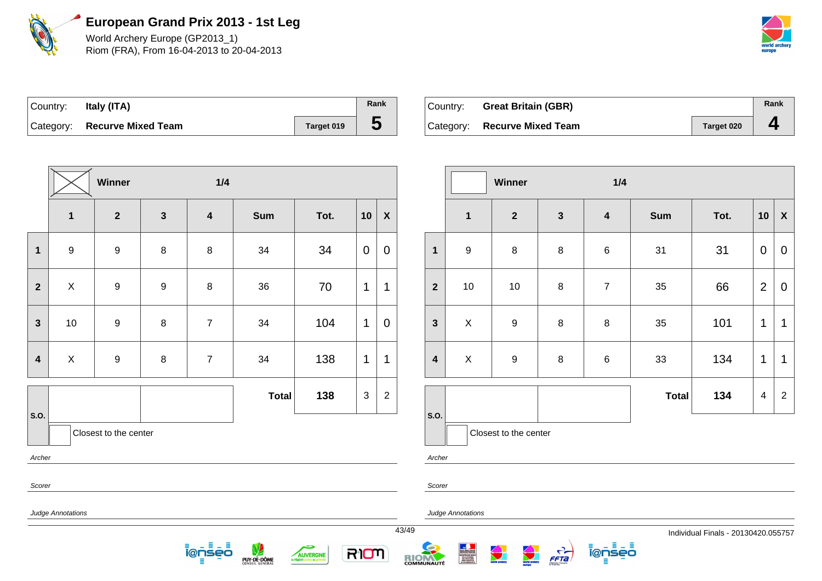

World Archery Europe (GP2013\_1) Riom (FRA), From 16-04-2013 to 20-04-2013



| ∣Country: | Italy (ITA)                  |            | Rank |
|-----------|------------------------------|------------|------|
|           | Category: Recurve Mixed Team | Target 019 | C    |

| Country: Great Britain (GBR) |            | Rank |
|------------------------------|------------|------|
| Category: Recurve Mixed Team | Target 020 | д    |

|                  |                   | Winner                  |                  | 1/4                     |              |      |                |                    |       |                         |  |
|------------------|-------------------|-------------------------|------------------|-------------------------|--------------|------|----------------|--------------------|-------|-------------------------|--|
|                  | $\mathbf{1}$      | $\overline{\mathbf{2}}$ | $\mathbf{3}$     | $\overline{\mathbf{4}}$ | <b>Sum</b>   | Tot. | 10             | $\pmb{\mathsf{X}}$ |       |                         |  |
| $\mathbf{1}$     | $\boldsymbol{9}$  | $\boldsymbol{9}$        | $\bf 8$          | $\bf 8$                 | 34           | 34   | $\mathbf 0$    | $\boldsymbol{0}$   |       | $\mathbf{1}$            |  |
| $\mathbf{2}$     | $\mathsf X$       | $\boldsymbol{9}$        | $\boldsymbol{9}$ | $\bf 8$                 | 36           | 70   | 1              | 1                  |       | $\overline{2}$          |  |
| $\mathbf{3}$     | 10                | $\boldsymbol{9}$        | $\bf 8$          | $\overline{7}$          | 34           | 104  | 1              | $\overline{0}$     |       | $\mathbf{3}$            |  |
| $\boldsymbol{4}$ | $\mathsf X$       | $\boldsymbol{9}$        | $\bf 8$          | $\overline{7}$          | 34           | 138  | 1              | 1                  |       | $\overline{\mathbf{4}}$ |  |
| S.O.             |                   |                         |                  |                         | <b>Total</b> | 138  | $\mathfrak{S}$ | $\overline{2}$     |       | S.O.                    |  |
|                  |                   | Closest to the center   |                  |                         |              |      |                |                    |       |                         |  |
| Archer           |                   |                         |                  |                         |              |      |                |                    |       | Archer                  |  |
| Scorer           |                   |                         |                  |                         |              |      |                |                    |       | Scorer                  |  |
|                  | Judge Annotations |                         |                  |                         |              |      |                |                    | 43/49 | Judge An                |  |

<u> ionseo</u> . ≣ – ≣

PUY-DE-DÔME

5

AUVERGNE

RIOM

|                         |                  | <b>Winner</b>         |              | 1/4                     |              |      |                         |                    |
|-------------------------|------------------|-----------------------|--------------|-------------------------|--------------|------|-------------------------|--------------------|
|                         | $\mathbf{1}$     | $\mathbf{2}$          | $\mathbf{3}$ | $\overline{\mathbf{4}}$ | <b>Sum</b>   | Tot. | 10                      | $\pmb{\mathsf{X}}$ |
| $\mathbf{1}$            | $\boldsymbol{9}$ | 8                     | 8            | 6                       | 31           | 31   | $\mathbf 0$             | $\mathbf 0$        |
| $\overline{2}$          | $10$             | $10$                  | $\bf 8$      | $\overline{7}$          | 35           | 66   | $\overline{2}$          | 0                  |
| $\mathbf{3}$            | $\pmb{\times}$   | $\boldsymbol{9}$      | $\bf 8$      | 8                       | 35           | 101  | 1                       | 1                  |
| $\overline{\mathbf{4}}$ | $\mathsf X$      | $\boldsymbol{9}$      | $\bf 8$      | 6                       | 33           | 134  | 1                       | 1                  |
|                         |                  |                       |              |                         | <b>Total</b> | 134  | $\overline{\mathbf{4}}$ | $\overline{2}$     |
| S.O.                    |                  | Closest to the center |              |                         |              |      |                         |                    |

notations

RIOM

 $\frac{C}{FFA}$ 

Ξ

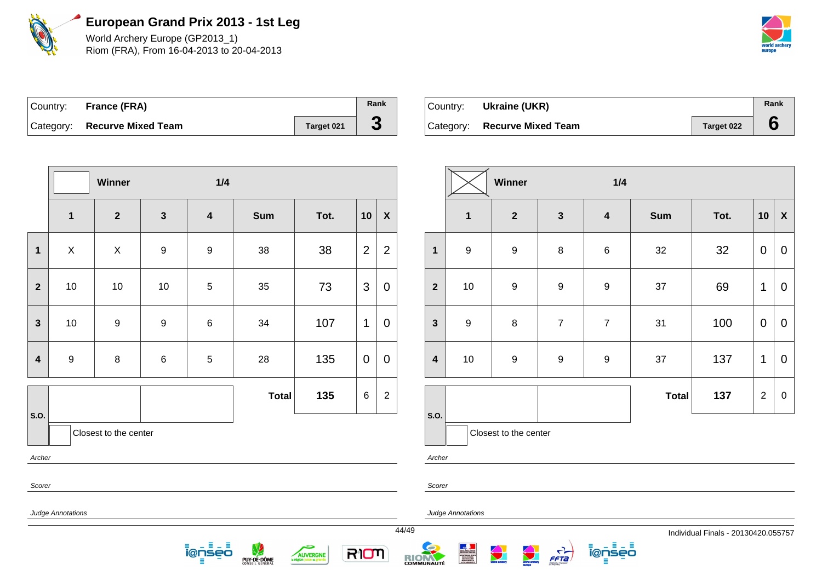

World Archery Europe (GP2013\_1) Riom (FRA), From 16-04-2013 to 20-04-2013



| Country: France (FRA)        |            | Rank |
|------------------------------|------------|------|
| Category: Recurve Mixed Team | Target 021 | C.   |

| ∣Country: | Ukraine (UKR)                |                   | Rank |
|-----------|------------------------------|-------------------|------|
|           | Category: Recurve Mixed Team | <b>Target 022</b> |      |

|                         |                          | Winner                |                  | 1/4                     |              |      |                |                    |       |                         |
|-------------------------|--------------------------|-----------------------|------------------|-------------------------|--------------|------|----------------|--------------------|-------|-------------------------|
|                         | $\mathbf{1}$             | $\mathbf{2}$          | $\mathbf{3}$     | $\overline{\mathbf{4}}$ | <b>Sum</b>   | Tot. | 10             | $\pmb{\mathsf{X}}$ |       |                         |
| $\mathbf 1$             | $\mathsf X$              | $\pmb{\times}$        | $\boldsymbol{9}$ | $\boldsymbol{9}$        | 38           | 38   | $\overline{2}$ | $\overline{2}$     |       | 1                       |
| $\overline{2}$          | $10$                     | $10$                  | $10$             | $\sqrt{5}$              | 35           | 73   | 3              | $\mathbf 0$        |       | $\overline{2}$          |
| $\mathbf{3}$            | $10$                     | $\boldsymbol{9}$      | $\boldsymbol{9}$ | $\,6$                   | 34           | 107  | $\mathbf 1$    | $\mathbf 0$        |       | $\mathbf{3}$            |
| $\overline{\mathbf{4}}$ | $\boldsymbol{9}$         | $\bf 8$               | $\,6$            | $\sqrt{5}$              | 28           | 135  | $\mathbf 0$    | $\mathbf 0$        |       | $\overline{\mathbf{4}}$ |
| S.O.                    |                          |                       |                  |                         | <b>Total</b> | 135  | 6              | $\overline{2}$     |       | S.O.                    |
|                         |                          | Closest to the center |                  |                         |              |      |                |                    |       |                         |
| Archer                  |                          |                       |                  |                         |              |      |                |                    |       | Archer                  |
| Scorer                  |                          |                       |                  |                         |              |      |                |                    |       | Scorer                  |
|                         | <b>Judge Annotations</b> |                       |                  |                         |              |      |                |                    | 44/49 | Judge Ar.               |

. ≣ - ≣

5

AUVERGNE

RIOM

ienseo

PUY-DE-DÔME

|                         |                  | Winner                |                  | 1/4                     |              |      |                |                    |
|-------------------------|------------------|-----------------------|------------------|-------------------------|--------------|------|----------------|--------------------|
|                         | $\mathbf{1}$     | $\mathbf{2}$          | $\mathbf{3}$     | $\overline{\mathbf{4}}$ | <b>Sum</b>   | Tot. | 10             | $\pmb{\mathsf{X}}$ |
| $\mathbf{1}$            | $\boldsymbol{9}$ | $\boldsymbol{9}$      | 8                | $\,6$                   | 32           | 32   | $\mathbf 0$    | $\mathbf 0$        |
| $\overline{2}$          | 10               | $\boldsymbol{9}$      | $\boldsymbol{9}$ | $\boldsymbol{9}$        | 37           | 69   | 1              | $\mathbf 0$        |
| $\mathbf{3}$            | $\boldsymbol{9}$ | $\bf 8$               | $\overline{7}$   | $\overline{7}$          | 31           | 100  | $\mathbf 0$    | $\mathbf 0$        |
| $\overline{\mathbf{4}}$ | 10               | $\boldsymbol{9}$      | $\boldsymbol{9}$ | $\boldsymbol{9}$        | 37           | 137  | 1              | $\overline{0}$     |
|                         |                  |                       |                  |                         | <b>Total</b> | 137  | $\overline{2}$ | $\mathbf 0$        |
| S.O.                    |                  | Closest to the center |                  |                         |              |      |                |                    |

ienseo

 $\frac{C}{FFA}$ 

nnotations

RIOM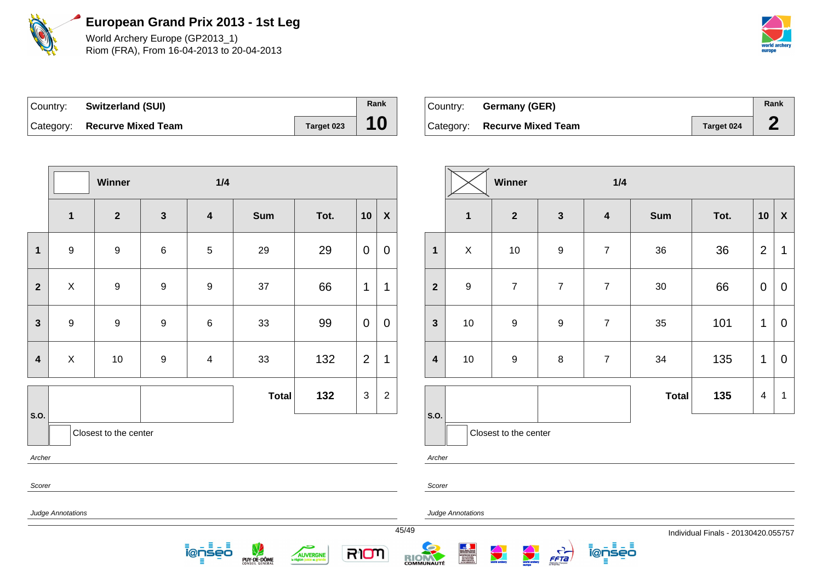

World Archery Europe (GP2013\_1) Riom (FRA), From 16-04-2013 to 20-04-2013



| Country: Switzerland (SUI)   |            | Rank |
|------------------------------|------------|------|
| Category: Recurve Mixed Team | Target 023 | 10   |

| ⊺Country: | Germany (GER)                |            | Rank |
|-----------|------------------------------|------------|------|
|           | Category: Recurve Mixed Team | Target 024 |      |

|                         |                           | Winner                |                  | 1/4                     |              |          |                |                           |       |                         |                   |
|-------------------------|---------------------------|-----------------------|------------------|-------------------------|--------------|----------|----------------|---------------------------|-------|-------------------------|-------------------|
|                         | $\mathbf{1}$              | $\overline{2}$        | $\mathbf{3}$     | $\overline{\mathbf{4}}$ | <b>Sum</b>   | Tot.     | 10             | $\boldsymbol{\mathsf{X}}$ |       |                         | $\mathbf{1}$      |
| $\mathbf{1}$            | $\boldsymbol{9}$          | $\boldsymbol{9}$      | 6                | $\sqrt{5}$              | 29           | 29       | $\mathbf 0$    | 0                         |       | $\mathbf{1}$            | $\mathsf{X}$      |
| $\overline{2}$          | $\boldsymbol{\mathsf{X}}$ | $\boldsymbol{9}$      | $\boldsymbol{9}$ | $\boldsymbol{9}$        | 37           | 66       | $\mathbf 1$    | 1                         |       | $\overline{2}$          | $\boldsymbol{9}$  |
| $\mathbf{3}$            | $\boldsymbol{9}$          | $\boldsymbol{9}$      | $\boldsymbol{9}$ | 6                       | 33           | 99       | $\mathbf 0$    | $\overline{0}$            |       | $\mathbf{3}$            | 10                |
| $\overline{\mathbf{4}}$ | $\mathsf X$               | 10                    | $\boldsymbol{9}$ | $\overline{4}$          | 33           | 132      | $\overline{2}$ | 1                         |       | $\overline{\mathbf{4}}$ | 10                |
| S.O.                    |                           |                       |                  |                         | <b>Total</b> | 132      | $\sqrt{3}$     | $\overline{c}$            |       | S.O.                    |                   |
|                         |                           | Closest to the center |                  |                         |              |          |                |                           |       |                         | Clo               |
| Archer                  |                           |                       |                  |                         |              |          |                |                           |       | Archer                  |                   |
| Scorer                  |                           |                       |                  |                         |              |          |                |                           |       | Scorer                  |                   |
|                         | Judge Annotations         |                       |                  |                         |              |          |                |                           |       |                         | Judge Annotations |
|                         |                           |                       |                  |                         |              |          |                |                           | 45/49 |                         |                   |
|                         |                           |                       |                  | <u>ienses</u>           | PUY-DE-DÔME  | AUVERGNE | RION           |                           | R     |                         | NORTHE DES SPORT  |

RIOM

|                         |                  | Winner                |                  | 1/4                     |              |      |                         |                           |
|-------------------------|------------------|-----------------------|------------------|-------------------------|--------------|------|-------------------------|---------------------------|
|                         | $\mathbf{1}$     | $\overline{2}$        | $\mathbf{3}$     | $\overline{\mathbf{4}}$ | <b>Sum</b>   | Tot. | 10                      | $\boldsymbol{\mathsf{X}}$ |
| $\mathbf{1}$            | X                | $10$                  | $\boldsymbol{9}$ | $\overline{7}$          | 36           | 36   | $\overline{2}$          | 1                         |
| $\overline{2}$          | $\boldsymbol{9}$ | $\boldsymbol{7}$      | $\overline{7}$   | $\overline{7}$          | $30\,$       | 66   | $\mathbf 0$             | $\mathbf 0$               |
| $\mathbf{3}$            | $10$             | $\mathsf g$           | $\boldsymbol{9}$ | $\overline{7}$          | 35           | 101  | 1                       | $\overline{0}$            |
| $\overline{\mathbf{4}}$ | $10$             | $\mathsf g$           | 8                | $\overline{7}$          | 34           | 135  | 1                       | 0                         |
|                         |                  |                       |                  |                         | <b>Total</b> | 135  | $\overline{\mathbf{4}}$ | 1                         |
| S.O.                    |                  | Closest to the center |                  |                         |              |      |                         |                           |

ienseo

 $\frac{C}{FFB}$ 

**World Breiter** 

world archery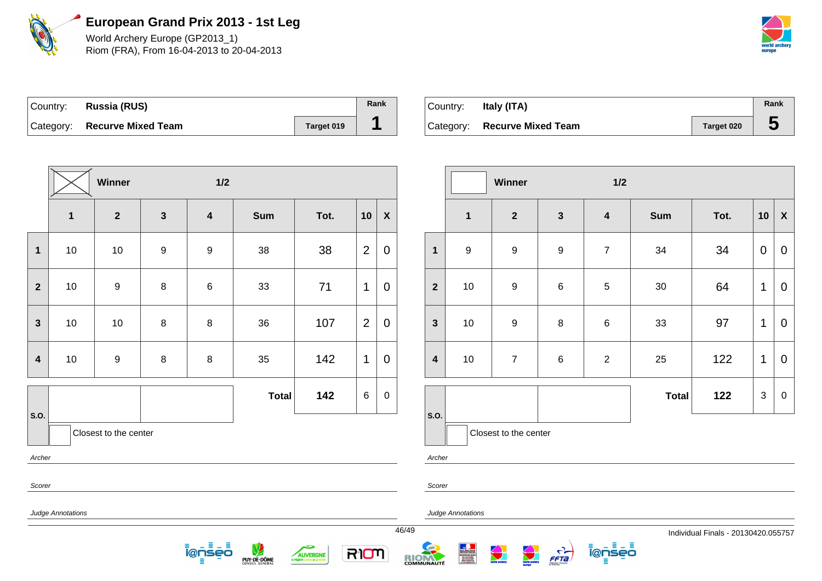

World Archery Europe (GP2013\_1) Riom (FRA), From 16-04-2013 to 20-04-2013



| Country: Russia (RUS)        |            | Rank |
|------------------------------|------------|------|
| Category: Recurve Mixed Team | Target 019 |      |

| Country:  | Italy (ITA)               |            | Rank      |
|-----------|---------------------------|------------|-----------|
| Category: | <b>Recurve Mixed Team</b> | Target 020 | $\bullet$ |

|                         |                                 | Winner           |                  | $1/2$                   |              |      |                |                    |       |                         |  |
|-------------------------|---------------------------------|------------------|------------------|-------------------------|--------------|------|----------------|--------------------|-------|-------------------------|--|
|                         | $\mathbf{1}$                    | $\overline{2}$   | $\mathbf{3}$     | $\overline{\mathbf{4}}$ | <b>Sum</b>   | Tot. | 10             | $\pmb{\mathsf{X}}$ |       |                         |  |
| $\mathbf 1$             | $10$                            | $10$             | $\boldsymbol{9}$ | $\boldsymbol{9}$        | 38           | 38   | $\overline{2}$ | $\mathbf 0$        |       | $\mathbf{1}$            |  |
| $\overline{2}$          | 10                              | $\boldsymbol{9}$ | $\,8\,$          | $\,6$                   | 33           | 71   | 1              | $\overline{0}$     |       | $\overline{2}$          |  |
| $\mathbf{3}$            | 10                              | 10               | $\,8\,$          | 8                       | 36           | 107  | $\overline{2}$ | $\overline{0}$     |       | $\mathbf{3}$            |  |
| $\overline{\mathbf{4}}$ | $10$                            | $\boldsymbol{9}$ | $\bf 8$          | $\bf 8$                 | 35           | 142  | 1              | $\mathbf 0$        |       | $\overline{\mathbf{4}}$ |  |
| S.O.                    |                                 |                  |                  |                         | <b>Total</b> | 142  | 6              | $\mathbf 0$        |       | S.O.                    |  |
|                         | Closest to the center<br>Archer |                  |                  |                         |              |      |                |                    |       | Archer                  |  |
| Scorer                  |                                 |                  |                  |                         |              |      |                |                    |       | Scorer                  |  |
|                         | Judge Annotations               |                  |                  |                         |              |      |                |                    | 46/49 | Judge A                 |  |

<u> ionseo</u> . ≣ – ≣

PUY-DE-DÔME

÷

AUVERGNE

RIOM

|                         |                  | Winner                |                  | 1/2                     |              |      |    |                           |
|-------------------------|------------------|-----------------------|------------------|-------------------------|--------------|------|----|---------------------------|
|                         | $\mathbf{1}$     | $\mathbf{2}$          | $\mathbf{3}$     | $\overline{\mathbf{4}}$ | <b>Sum</b>   | Tot. | 10 | $\boldsymbol{\mathsf{X}}$ |
| $\mathbf{1}$            | $\boldsymbol{9}$ | 9                     | $\boldsymbol{9}$ | $\overline{7}$          | 34           | 34   | 0  | $\mathbf 0$               |
| $\overline{2}$          | 10               | $\boldsymbol{9}$      | $\,6$            | 5                       | $30\,$       | 64   | 1  | 0                         |
| $\mathbf{3}$            | 10               | $\boldsymbol{9}$      | $\bf 8$          | $\,6$                   | 33           | 97   | 1  | $\mathbf 0$               |
| $\overline{\mathbf{4}}$ | $10$             | $\overline{7}$        | $\,6$            | $\overline{2}$          | 25           | 122  | 1  | $\mathbf 0$               |
|                         |                  |                       |                  |                         | <b>Total</b> | 122  | 3  | $\boldsymbol{0}$          |
| S.O.                    |                  | Closest to the center |                  |                         |              |      |    |                           |

Annotations

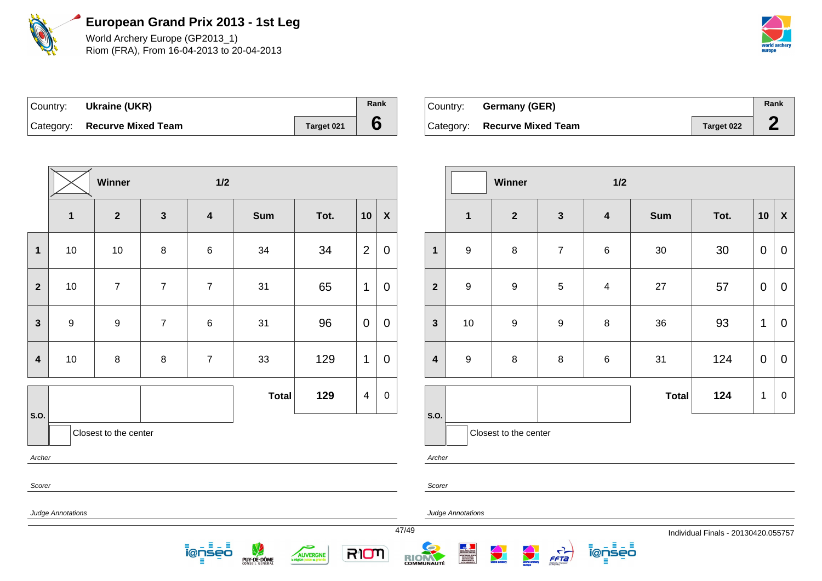

World Archery Europe (GP2013\_1) Riom (FRA), From 16-04-2013 to 20-04-2013



| Country: Ukraine (UKR)       |            | Rank |
|------------------------------|------------|------|
| Category: Recurve Mixed Team | Target 021 |      |

| Country: | Germany (GER)                |            | Rank |
|----------|------------------------------|------------|------|
|          | Category: Recurve Mixed Team | Target 022 |      |

|                         |                   | Winner                |                | $1/2$                   |              |      |                |                    |         |
|-------------------------|-------------------|-----------------------|----------------|-------------------------|--------------|------|----------------|--------------------|---------|
|                         | $\mathbf{1}$      | $\mathbf{2}$          | $\mathbf{3}$   | $\overline{\mathbf{4}}$ | Sum          | Tot. | 10             | $\pmb{\mathsf{X}}$ |         |
| $\mathbf 1$             | $10$              | $10$                  | $\bf 8$        | 6                       | 34           | 34   | $\overline{2}$ | $\pmb{0}$          |         |
| $\mathbf{2}$            | $10$              | $\overline{7}$        | $\overline{7}$ | $\overline{7}$          | 31           | 65   | $\mathbf 1$    | $\mathbf 0$        |         |
| $\mathbf{3}$            | 9                 | $\boldsymbol{9}$      | $\overline{7}$ | 6                       | 31           | 96   | $\mathbf 0$    | $\mathbf 0$        |         |
| $\overline{\mathbf{4}}$ | $10$              | $\bf 8$               | $\bf 8$        | $\overline{7}$          | 33           | 129  | 1              | $\boldsymbol{0}$   |         |
| S.O.                    |                   |                       |                |                         | <b>Total</b> | 129  | $\overline{4}$ | $\boldsymbol{0}$   | S.O.    |
|                         |                   | Closest to the center |                |                         |              |      |                |                    |         |
| Archer                  |                   |                       |                |                         |              |      |                |                    | Archer  |
| Scorer                  |                   |                       |                |                         |              |      |                |                    | Scorer  |
|                         | Judge Annotations |                       |                |                         |              |      |                |                    | Judge A |

<u> ionseo</u> - ≣ – ≣

**PUY-DE-DÔME** 

÷

AUVERGNE

RIOM

|                         |                  | Winner                |                  | 1/2                     |              |      |             |                           |
|-------------------------|------------------|-----------------------|------------------|-------------------------|--------------|------|-------------|---------------------------|
|                         | $\mathbf{1}$     | $\mathbf{2}$          | $\mathbf 3$      | $\overline{\mathbf{4}}$ | <b>Sum</b>   | Tot. | 10          | $\boldsymbol{\mathsf{X}}$ |
| $\mathbf{1}$            | $\boldsymbol{9}$ | $\bf8$                | $\overline{7}$   | $\,6$                   | $30\,$       | 30   | $\mathbf 0$ | $\mathbf 0$               |
| $\boldsymbol{2}$        | $\boldsymbol{9}$ | $\boldsymbol{9}$      | $\,$ 5 $\,$      | $\overline{4}$          | 27           | 57   | 0           | $\mathbf 0$               |
| $\mathbf{3}$            | $10$             | $\boldsymbol{9}$      | $\boldsymbol{9}$ | $\bf 8$                 | 36           | 93   | 1           | $\mathbf 0$               |
| $\overline{\mathbf{4}}$ | $\boldsymbol{9}$ | $\bf8$                | $\bf 8$          | $\,6$                   | 31           | 124  | $\mathbf 0$ | $\mathbf 0$               |
|                         |                  |                       |                  |                         | <b>Total</b> | 124  | $\mathbf 1$ | $\boldsymbol{0}$          |
| S.O.                    |                  | Closest to the center |                  |                         |              |      |             |                           |

Annotations

RIOM

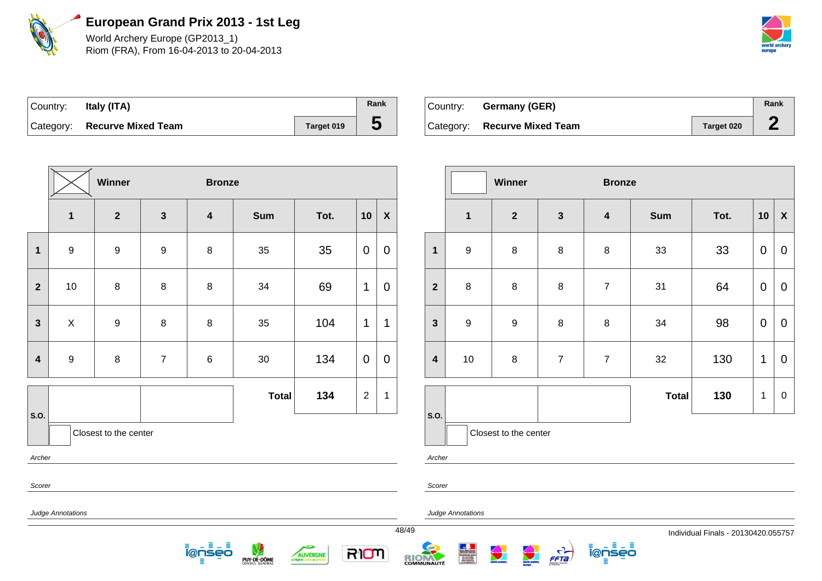

World Archery Europe (GP2013\_1) Riom (FRA), From 16-04-2013 to 20-04-2013



| Country: | Italy (ITA)                  |            | Rank |
|----------|------------------------------|------------|------|
|          | Category: Recurve Mixed Team | Target 019 | ა    |

| Country: | <b>Germany (GER)</b>         |            | Rank |
|----------|------------------------------|------------|------|
|          | Category: Recurve Mixed Team | Target 020 |      |

|                          | Winner<br><b>Bronze</b> |                       |                |                         |              |      |                |                  |  |
|--------------------------|-------------------------|-----------------------|----------------|-------------------------|--------------|------|----------------|------------------|--|
|                          | $\mathbf{1}$            | $\overline{2}$        | $\mathbf{3}$   | $\overline{\mathbf{4}}$ | <b>Sum</b>   | Tot. | 10             | $\boldsymbol{X}$ |  |
| $\overline{\mathbf{1}}$  | $\boldsymbol{9}$        | $\boldsymbol{9}$      | 9              | $\bf 8$                 | 35           | 35   | 0              | 0                |  |
| $\mathbf{2}$             | $10$                    | 8                     | 8              | 8                       | 34           | 69   | 1              | 0                |  |
| $\mathbf{3}$             | X                       | 9                     | 8              | $\bf 8$                 | 35           | 104  | 1              | 1                |  |
| $\overline{\mathbf{4}}$  | $\boldsymbol{9}$        | 8                     | $\overline{7}$ | $\,6$                   | $30\,$       | 134  | 0              | 0                |  |
|                          |                         |                       |                |                         | <b>Total</b> | 134  | $\overline{2}$ | 1                |  |
| S.O.                     |                         | Closest to the center |                |                         |              |      |                |                  |  |
| Archer                   |                         |                       |                |                         |              |      |                |                  |  |
| Scorer                   |                         |                       |                |                         |              |      |                |                  |  |
| <b>Judge Annotations</b> |                         |                       |                |                         |              |      |                |                  |  |

<u> ĩ@ņs៎ēŌ</u>

PUY-DE-DÔME

ڪ

AUVERGNE

|                         |                         | Winner                |                | <b>Bronze</b>           |              |      |              |                           |
|-------------------------|-------------------------|-----------------------|----------------|-------------------------|--------------|------|--------------|---------------------------|
|                         | $\overline{\mathbf{1}}$ | $\overline{2}$        | $\mathbf{3}$   | $\overline{\mathbf{4}}$ | <b>Sum</b>   | Tot. | 10           | $\boldsymbol{\mathsf{X}}$ |
| $\mathbf{1}$            | $\boldsymbol{9}$        | 8                     | $\bf 8$        | 8                       | 33           | 33   | 0            | $\mathbf 0$               |
| $\overline{2}$          | $\bf 8$                 | 8                     | $\bf 8$        | $\overline{7}$          | 31           | 64   | $\pmb{0}$    | $\mathbf 0$               |
| $\mathbf{3}$            | $\mathsf g$             | 9                     | 8              | 8                       | 34           | 98   | $\pmb{0}$    | $\mathbf 0$               |
| $\overline{\mathbf{4}}$ | $10$                    | 8                     | $\overline{7}$ | $\overline{7}$          | 32           | 130  | 1            | $\mathbf 0$               |
|                         |                         |                       |                |                         | <b>Total</b> | 130  | $\mathbf{1}$ | $\boldsymbol{0}$          |
| S.O.                    |                         | Closest to the center |                |                         |              |      |              |                           |

Archer

Scorer

Judge Annotations